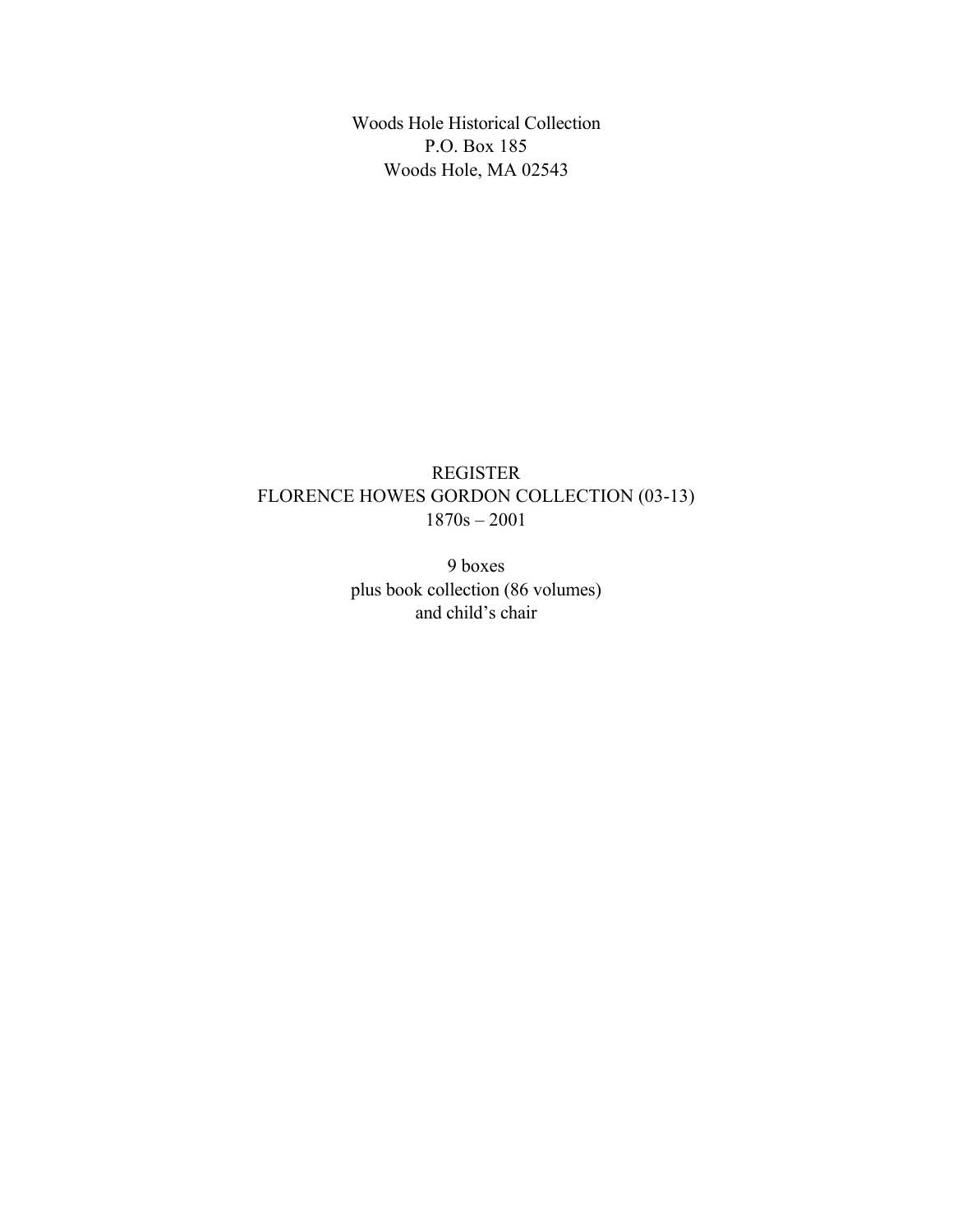Woods Hole Historical Collection P.O. Box 185 Woods Hole, MA 02543

## REGISTER FLORENCE HOWES GORDON COLLECTION (03-13) 1870s – 2001

9 boxes plus book collection (86 volumes) and child's chair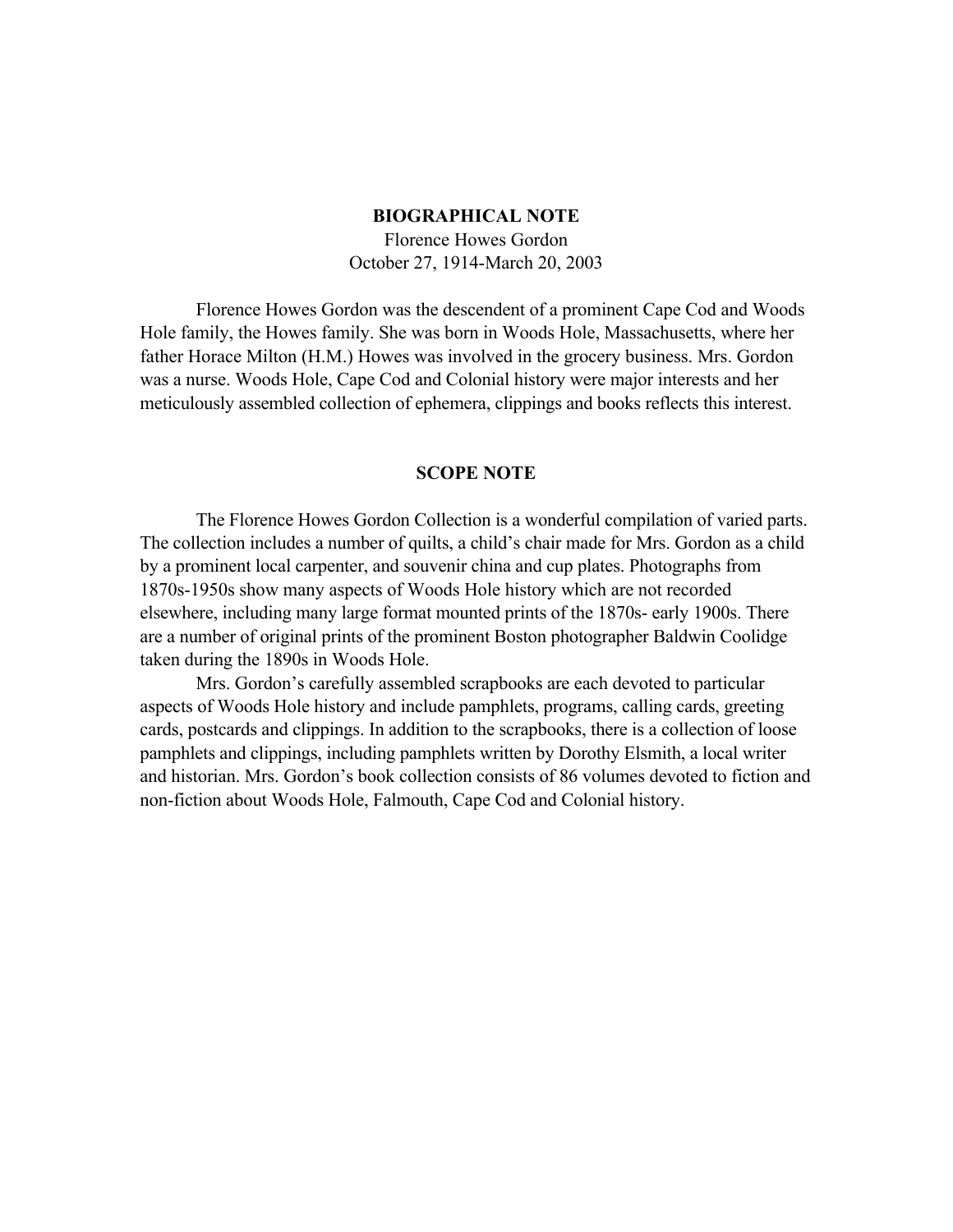#### **BIOGRAPHICAL NOTE**

Florence Howes Gordon October 27, 1914-March 20, 2003

Florence Howes Gordon was the descendent of a prominent Cape Cod and Woods Hole family, the Howes family. She was born in Woods Hole, Massachusetts, where her father Horace Milton (H.M.) Howes was involved in the grocery business. Mrs. Gordon was a nurse. Woods Hole, Cape Cod and Colonial history were major interests and her meticulously assembled collection of ephemera, clippings and books reflects this interest.

#### **SCOPE NOTE**

The Florence Howes Gordon Collection is a wonderful compilation of varied parts. The collection includes a number of quilts, a child's chair made for Mrs. Gordon as a child by a prominent local carpenter, and souvenir china and cup plates. Photographs from 1870s-1950s show many aspects of Woods Hole history which are not recorded elsewhere, including many large format mounted prints of the 1870s- early 1900s. There are a number of original prints of the prominent Boston photographer Baldwin Coolidge taken during the 1890s in Woods Hole.

Mrs. Gordon's carefully assembled scrapbooks are each devoted to particular aspects of Woods Hole history and include pamphlets, programs, calling cards, greeting cards, postcards and clippings. In addition to the scrapbooks, there is a collection of loose pamphlets and clippings, including pamphlets written by Dorothy Elsmith, a local writer and historian. Mrs. Gordon's book collection consists of 86 volumes devoted to fiction and non-fiction about Woods Hole, Falmouth, Cape Cod and Colonial history.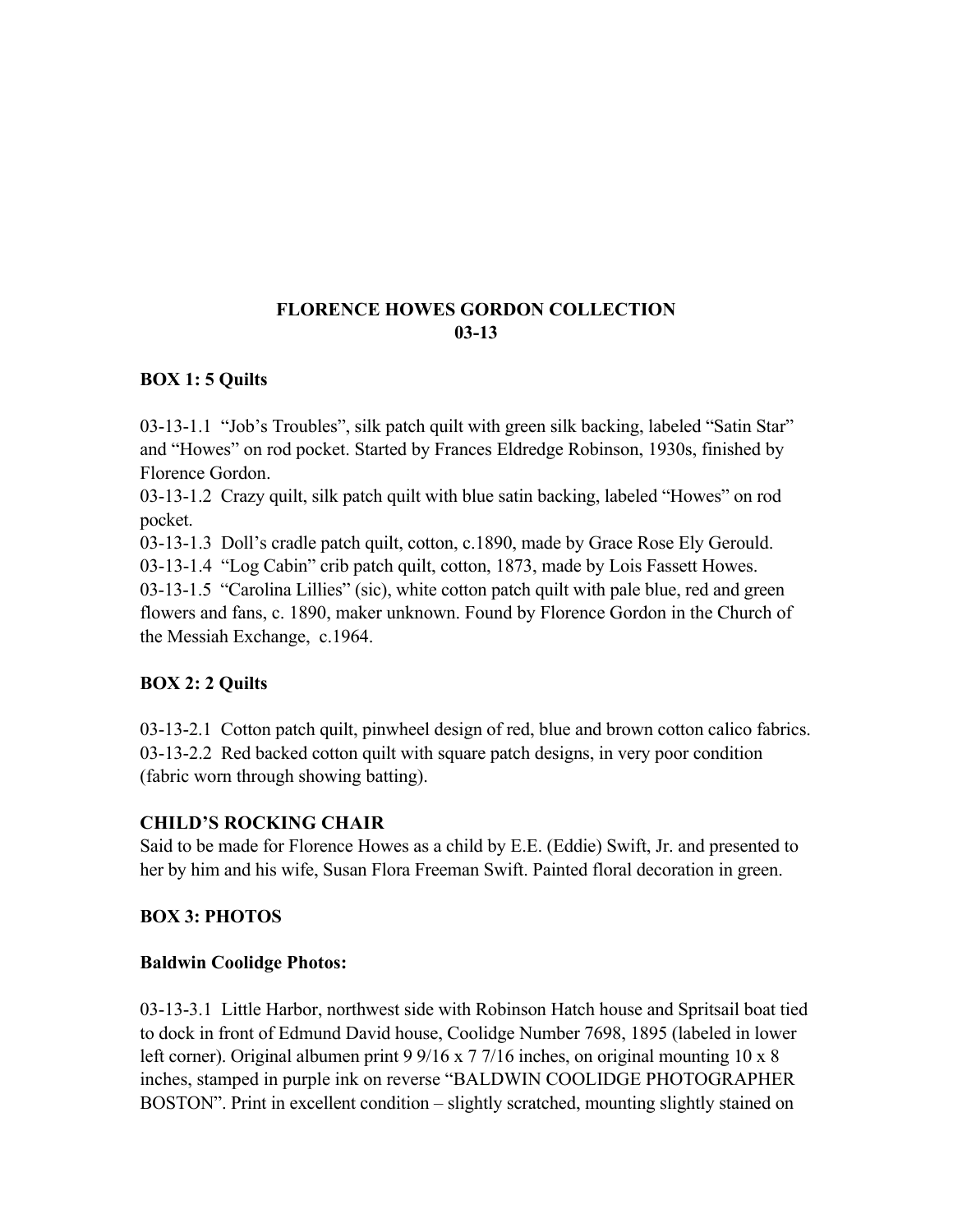## **FLORENCE HOWES GORDON COLLECTION 03-13**

#### **BOX 1: 5 Quilts**

03-13-1.1 "Job's Troubles", silk patch quilt with green silk backing, labeled "Satin Star" and "Howes" on rod pocket. Started by Frances Eldredge Robinson, 1930s, finished by Florence Gordon.

03-13-1.2 Crazy quilt, silk patch quilt with blue satin backing, labeled "Howes" on rod pocket.

03-13-1.3 Doll's cradle patch quilt, cotton, c.1890, made by Grace Rose Ely Gerould.

03-13-1.4 "Log Cabin" crib patch quilt, cotton, 1873, made by Lois Fassett Howes.

03-13-1.5 "Carolina Lillies" (sic), white cotton patch quilt with pale blue, red and green flowers and fans, c. 1890, maker unknown. Found by Florence Gordon in the Church of the Messiah Exchange, c.1964.

## **BOX 2: 2 Quilts**

03-13-2.1 Cotton patch quilt, pinwheel design of red, blue and brown cotton calico fabrics. 03-13-2.2 Red backed cotton quilt with square patch designs, in very poor condition (fabric worn through showing batting).

## **CHILD'S ROCKING CHAIR**

Said to be made for Florence Howes as a child by E.E. (Eddie) Swift, Jr. and presented to her by him and his wife, Susan Flora Freeman Swift. Painted floral decoration in green.

#### **BOX 3: PHOTOS**

#### **Baldwin Coolidge Photos:**

03-13-3.1 Little Harbor, northwest side with Robinson Hatch house and Spritsail boat tied to dock in front of Edmund David house, Coolidge Number 7698, 1895 (labeled in lower left corner). Original albumen print 9 9/16 x 7 7/16 inches, on original mounting 10 x 8 inches, stamped in purple ink on reverse "BALDWIN COOLIDGE PHOTOGRAPHER BOSTON". Print in excellent condition – slightly scratched, mounting slightly stained on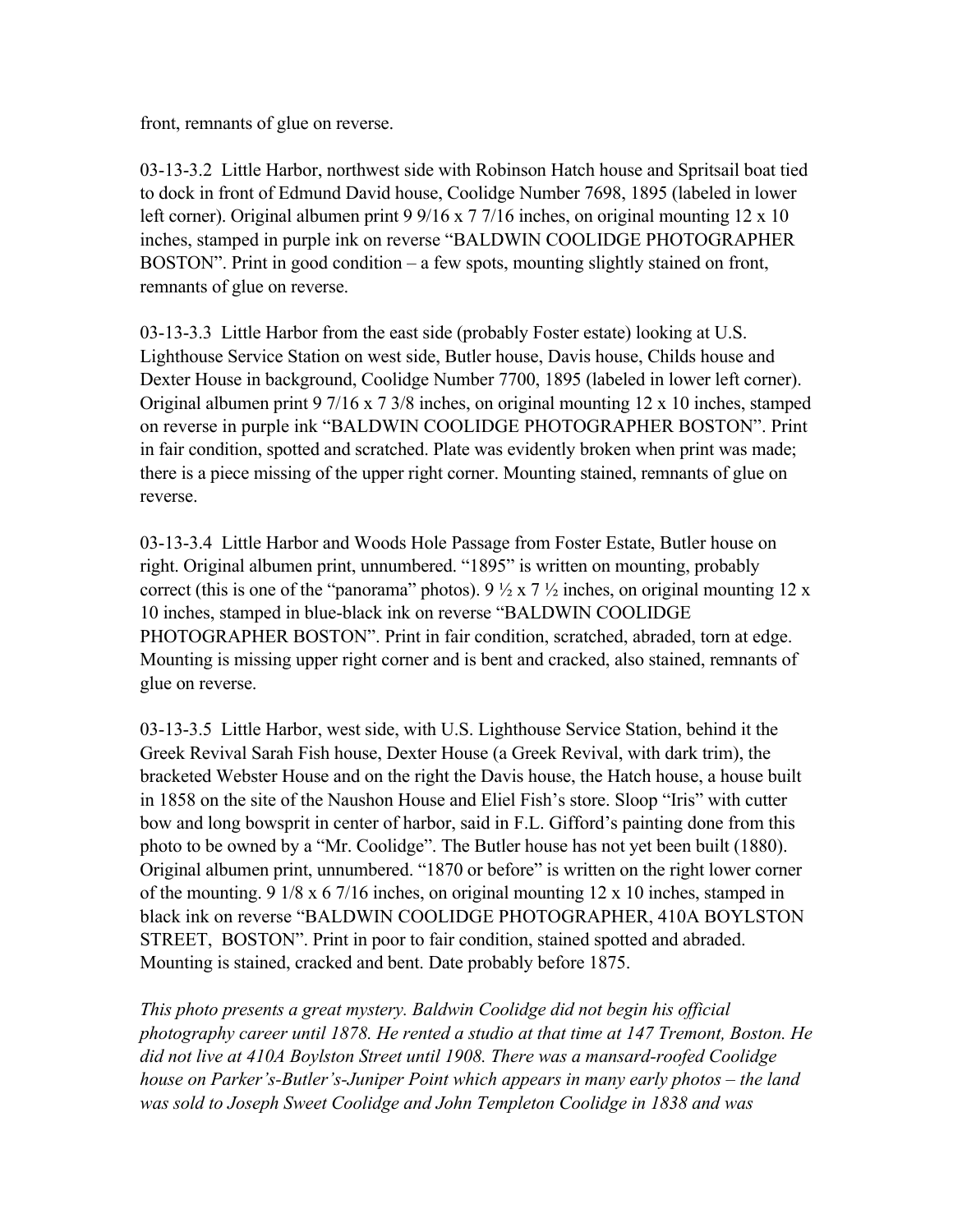front, remnants of glue on reverse.

03-13-3.2 Little Harbor, northwest side with Robinson Hatch house and Spritsail boat tied to dock in front of Edmund David house, Coolidge Number 7698, 1895 (labeled in lower left corner). Original albumen print 9 9/16 x 7 7/16 inches, on original mounting 12 x 10 inches, stamped in purple ink on reverse "BALDWIN COOLIDGE PHOTOGRAPHER BOSTON". Print in good condition – a few spots, mounting slightly stained on front, remnants of glue on reverse.

03-13-3.3 Little Harbor from the east side (probably Foster estate) looking at U.S. Lighthouse Service Station on west side, Butler house, Davis house, Childs house and Dexter House in background, Coolidge Number 7700, 1895 (labeled in lower left corner). Original albumen print 9 7/16 x 7 3/8 inches, on original mounting 12 x 10 inches, stamped on reverse in purple ink "BALDWIN COOLIDGE PHOTOGRAPHER BOSTON". Print in fair condition, spotted and scratched. Plate was evidently broken when print was made; there is a piece missing of the upper right corner. Mounting stained, remnants of glue on reverse.

03-13-3.4 Little Harbor and Woods Hole Passage from Foster Estate, Butler house on right. Original albumen print, unnumbered. "1895" is written on mounting, probably correct (this is one of the "panorama" photos).  $9\frac{1}{2} \times 7\frac{1}{2}$  inches, on original mounting 12 x 10 inches, stamped in blue-black ink on reverse "BALDWIN COOLIDGE PHOTOGRAPHER BOSTON". Print in fair condition, scratched, abraded, torn at edge. Mounting is missing upper right corner and is bent and cracked, also stained, remnants of glue on reverse.

03-13-3.5 Little Harbor, west side, with U.S. Lighthouse Service Station, behind it the Greek Revival Sarah Fish house, Dexter House (a Greek Revival, with dark trim), the bracketed Webster House and on the right the Davis house, the Hatch house, a house built in 1858 on the site of the Naushon House and Eliel Fish's store. Sloop "Iris" with cutter bow and long bowsprit in center of harbor, said in F.L. Gifford's painting done from this photo to be owned by a "Mr. Coolidge". The Butler house has not yet been built (1880). Original albumen print, unnumbered. "1870 or before" is written on the right lower corner of the mounting. 9 1/8 x 6 7/16 inches, on original mounting 12 x 10 inches, stamped in black ink on reverse "BALDWIN COOLIDGE PHOTOGRAPHER, 410A BOYLSTON STREET, BOSTON". Print in poor to fair condition, stained spotted and abraded. Mounting is stained, cracked and bent. Date probably before 1875.

*This photo presents a great mystery. Baldwin Coolidge did not begin his official photography career until 1878. He rented a studio at that time at 147 Tremont, Boston. He did not live at 410A Boylston Street until 1908. There was a mansard-roofed Coolidge house on Parker's-Butler's-Juniper Point which appears in many early photos – the land was sold to Joseph Sweet Coolidge and John Templeton Coolidge in 1838 and was*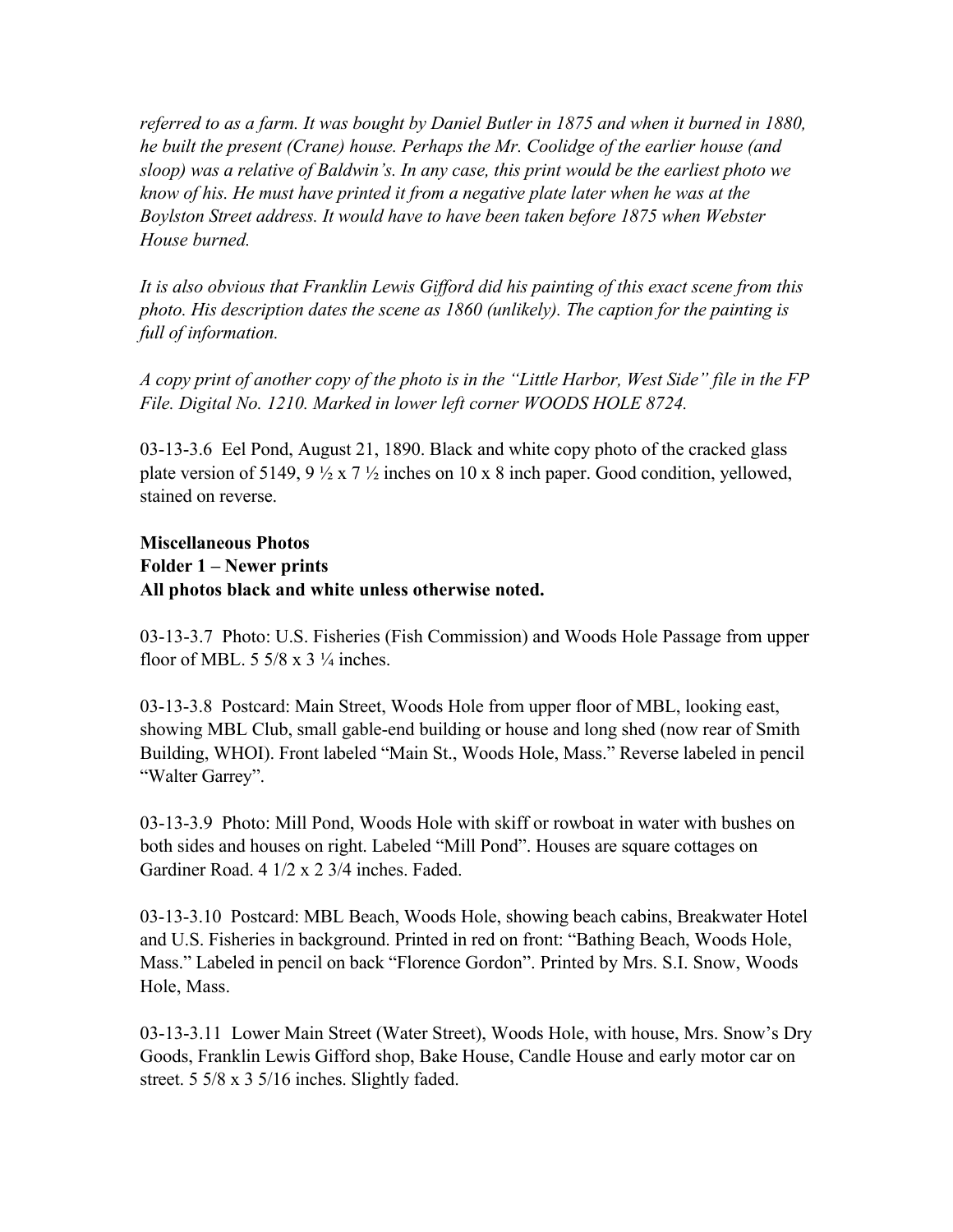*referred to as a farm. It was bought by Daniel Butler in 1875 and when it burned in 1880, he built the present (Crane) house. Perhaps the Mr. Coolidge of the earlier house (and sloop) was a relative of Baldwin's. In any case, this print would be the earliest photo we know of his. He must have printed it from a negative plate later when he was at the Boylston Street address. It would have to have been taken before 1875 when Webster House burned.*

*It is also obvious that Franklin Lewis Gifford did his painting of this exact scene from this photo. His description dates the scene as 1860 (unlikely). The caption for the painting is full of information.* 

*A copy print of another copy of the photo is in the "Little Harbor, West Side" file in the FP File. Digital No. 1210. Marked in lower left corner WOODS HOLE 8724.*

03-13-3.6 Eel Pond, August 21, 1890. Black and white copy photo of the cracked glass plate version of 5149, 9  $\frac{1}{2}$  x 7  $\frac{1}{2}$  inches on 10 x 8 inch paper. Good condition, yellowed, stained on reverse.

## **Miscellaneous Photos Folder 1 – Newer prints All photos black and white unless otherwise noted.**

03-13-3.7 Photo: U.S. Fisheries (Fish Commission) and Woods Hole Passage from upper floor of MBL.  $5\frac{5}{8}$  x  $3\frac{1}{4}$  inches.

03-13-3.8 Postcard: Main Street, Woods Hole from upper floor of MBL, looking east, showing MBL Club, small gable-end building or house and long shed (now rear of Smith Building, WHOI). Front labeled "Main St., Woods Hole, Mass." Reverse labeled in pencil "Walter Garrey".

03-13-3.9 Photo: Mill Pond, Woods Hole with skiff or rowboat in water with bushes on both sides and houses on right. Labeled "Mill Pond". Houses are square cottages on Gardiner Road. 4 1/2 x 2 3/4 inches. Faded.

03-13-3.10 Postcard: MBL Beach, Woods Hole, showing beach cabins, Breakwater Hotel and U.S. Fisheries in background. Printed in red on front: "Bathing Beach, Woods Hole, Mass." Labeled in pencil on back "Florence Gordon". Printed by Mrs. S.I. Snow, Woods Hole, Mass.

03-13-3.11 Lower Main Street (Water Street), Woods Hole, with house, Mrs. Snow's Dry Goods, Franklin Lewis Gifford shop, Bake House, Candle House and early motor car on street. 5 5/8 x 3 5/16 inches. Slightly faded.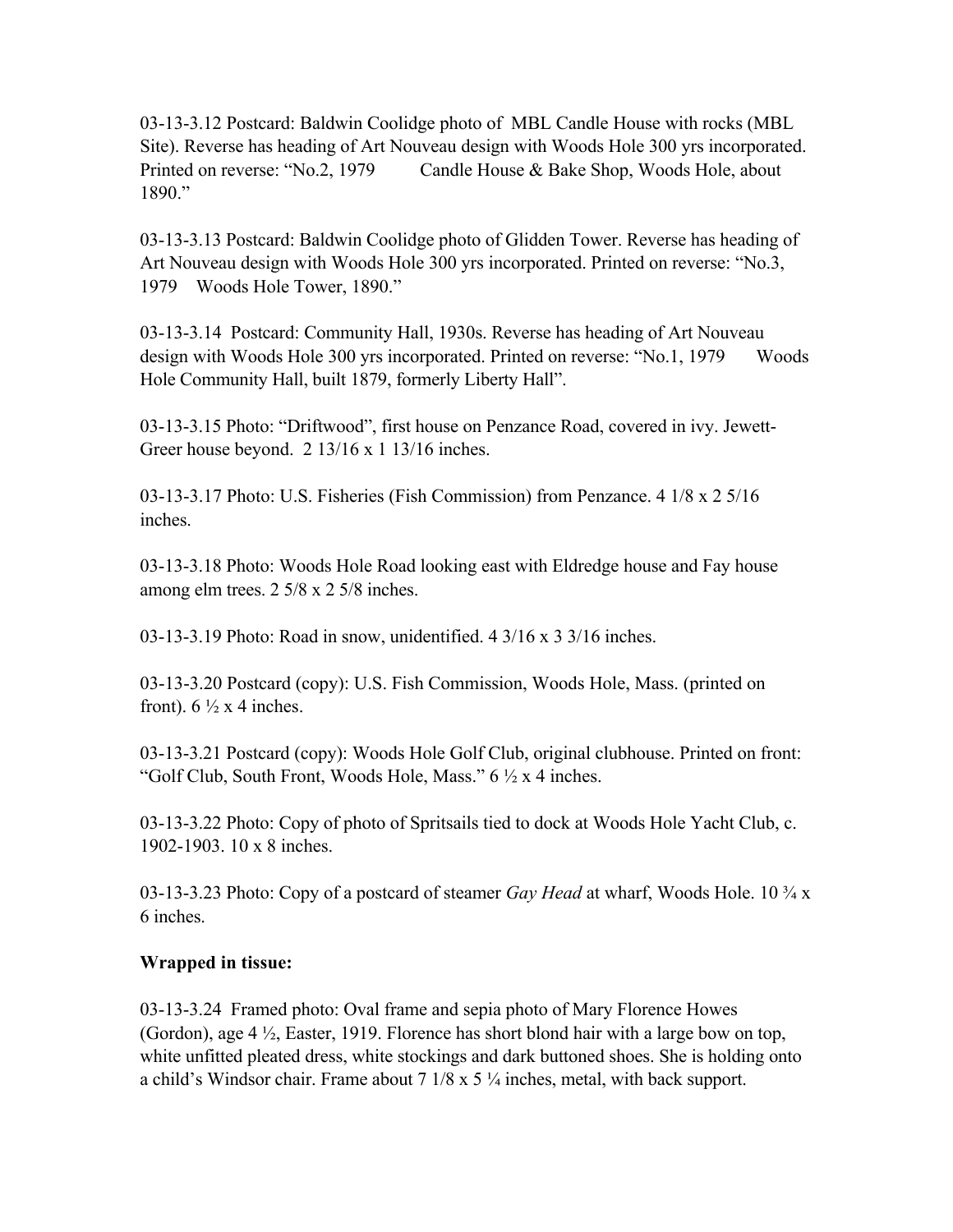03-13-3.12 Postcard: Baldwin Coolidge photo of MBL Candle House with rocks (MBL Site). Reverse has heading of Art Nouveau design with Woods Hole 300 yrs incorporated. Printed on reverse: "No.2, 1979 Candle House & Bake Shop, Woods Hole, about 1890."

03-13-3.13 Postcard: Baldwin Coolidge photo of Glidden Tower. Reverse has heading of Art Nouveau design with Woods Hole 300 yrs incorporated. Printed on reverse: "No.3, 1979 Woods Hole Tower, 1890."

03-13-3.14 Postcard: Community Hall, 1930s. Reverse has heading of Art Nouveau design with Woods Hole 300 yrs incorporated. Printed on reverse: "No.1, 1979 Woods Hole Community Hall, built 1879, formerly Liberty Hall".

03-13-3.15 Photo: "Driftwood", first house on Penzance Road, covered in ivy. Jewett-Greer house beyond. 2 13/16 x 1 13/16 inches.

03-13-3.17 Photo: U.S. Fisheries (Fish Commission) from Penzance. 4 1/8 x 2 5/16 inches.

03-13-3.18 Photo: Woods Hole Road looking east with Eldredge house and Fay house among elm trees. 2 5/8 x 2 5/8 inches.

03-13-3.19 Photo: Road in snow, unidentified. 4 3/16 x 3 3/16 inches.

03-13-3.20 Postcard (copy): U.S. Fish Commission, Woods Hole, Mass. (printed on front).  $6\frac{1}{2}x$  4 inches.

03-13-3.21 Postcard (copy): Woods Hole Golf Club, original clubhouse. Printed on front: "Golf Club, South Front, Woods Hole, Mass."  $6\frac{1}{2}$  x 4 inches.

03-13-3.22 Photo: Copy of photo of Spritsails tied to dock at Woods Hole Yacht Club, c. 1902-1903. 10 x 8 inches.

03-13-3.23 Photo: Copy of a postcard of steamer *Gay Head* at wharf, Woods Hole. 10 ¾ x 6 inches.

#### **Wrapped in tissue:**

03-13-3.24 Framed photo: Oval frame and sepia photo of Mary Florence Howes (Gordon), age 4 ½, Easter, 1919. Florence has short blond hair with a large bow on top, white unfitted pleated dress, white stockings and dark buttoned shoes. She is holding onto a child's Windsor chair. Frame about  $7 \frac{1}{8} \times 5 \frac{1}{4}$  inches, metal, with back support.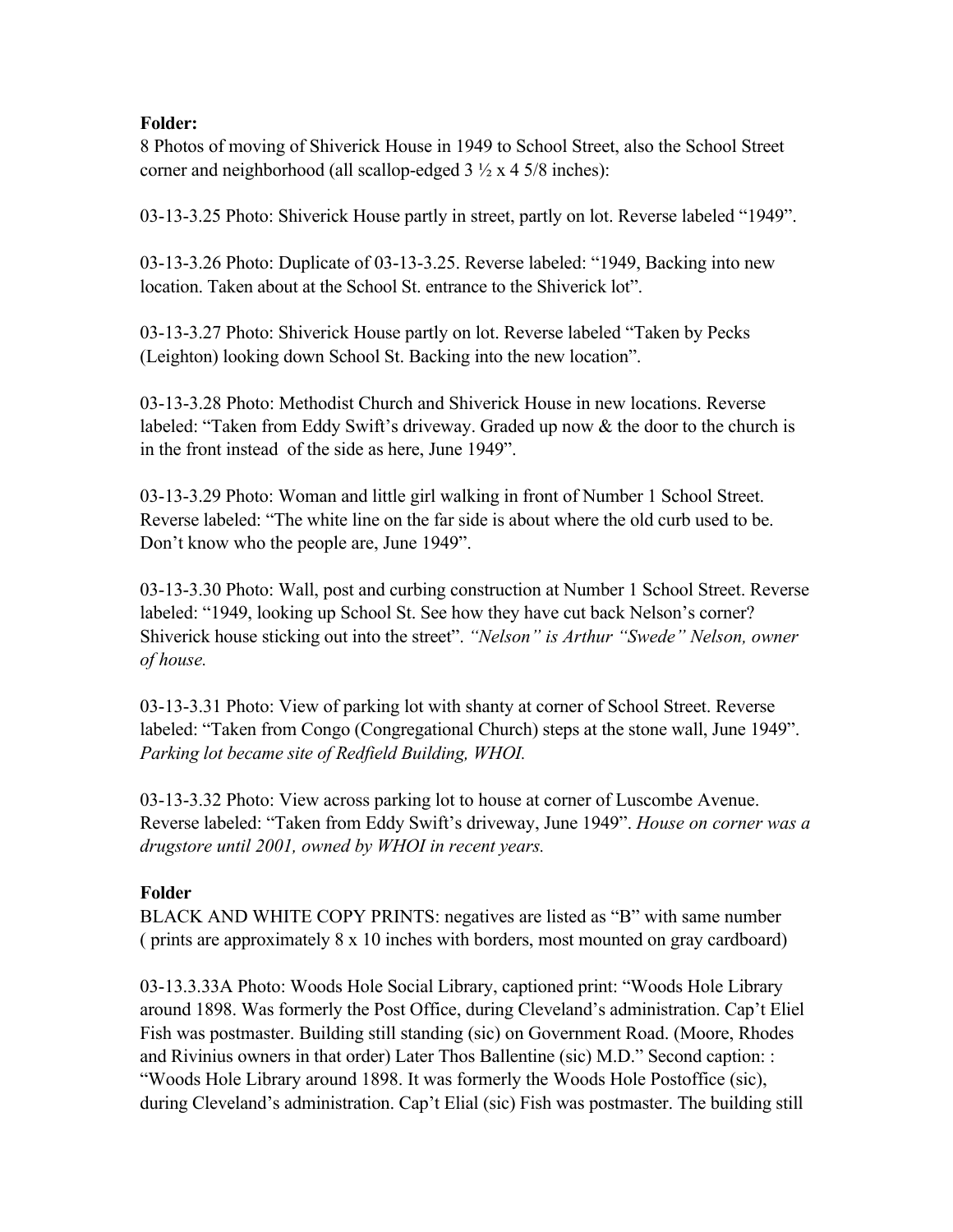#### **Folder:**

8 Photos of moving of Shiverick House in 1949 to School Street, also the School Street corner and neighborhood (all scallop-edged  $3\frac{1}{2} \times 4 \times 5/8$  inches):

03-13-3.25 Photo: Shiverick House partly in street, partly on lot. Reverse labeled "1949".

03-13-3.26 Photo: Duplicate of 03-13-3.25. Reverse labeled: "1949, Backing into new location. Taken about at the School St. entrance to the Shiverick lot".

03-13-3.27 Photo: Shiverick House partly on lot. Reverse labeled "Taken by Pecks (Leighton) looking down School St. Backing into the new location".

03-13-3.28 Photo: Methodist Church and Shiverick House in new locations. Reverse labeled: "Taken from Eddy Swift's driveway. Graded up now & the door to the church is in the front instead of the side as here, June 1949".

03-13-3.29 Photo: Woman and little girl walking in front of Number 1 School Street. Reverse labeled: "The white line on the far side is about where the old curb used to be. Don't know who the people are, June 1949".

03-13-3.30 Photo: Wall, post and curbing construction at Number 1 School Street. Reverse labeled: "1949, looking up School St. See how they have cut back Nelson's corner? Shiverick house sticking out into the street". *"Nelson" is Arthur "Swede" Nelson, owner of house.*

03-13-3.31 Photo: View of parking lot with shanty at corner of School Street. Reverse labeled: "Taken from Congo (Congregational Church) steps at the stone wall, June 1949". *Parking lot became site of Redfield Building, WHOI.*

03-13-3.32 Photo: View across parking lot to house at corner of Luscombe Avenue. Reverse labeled: "Taken from Eddy Swift's driveway, June 1949". *House on corner was a drugstore until 2001, owned by WHOI in recent years.*

## **Folder**

BLACK AND WHITE COPY PRINTS: negatives are listed as "B" with same number ( prints are approximately 8 x 10 inches with borders, most mounted on gray cardboard)

03-13.3.33A Photo: Woods Hole Social Library, captioned print: "Woods Hole Library around 1898. Was formerly the Post Office, during Cleveland's administration. Cap't Eliel Fish was postmaster. Building still standing (sic) on Government Road. (Moore, Rhodes and Rivinius owners in that order) Later Thos Ballentine (sic) M.D." Second caption: : "Woods Hole Library around 1898. It was formerly the Woods Hole Postoffice (sic), during Cleveland's administration. Cap't Elial (sic) Fish was postmaster. The building still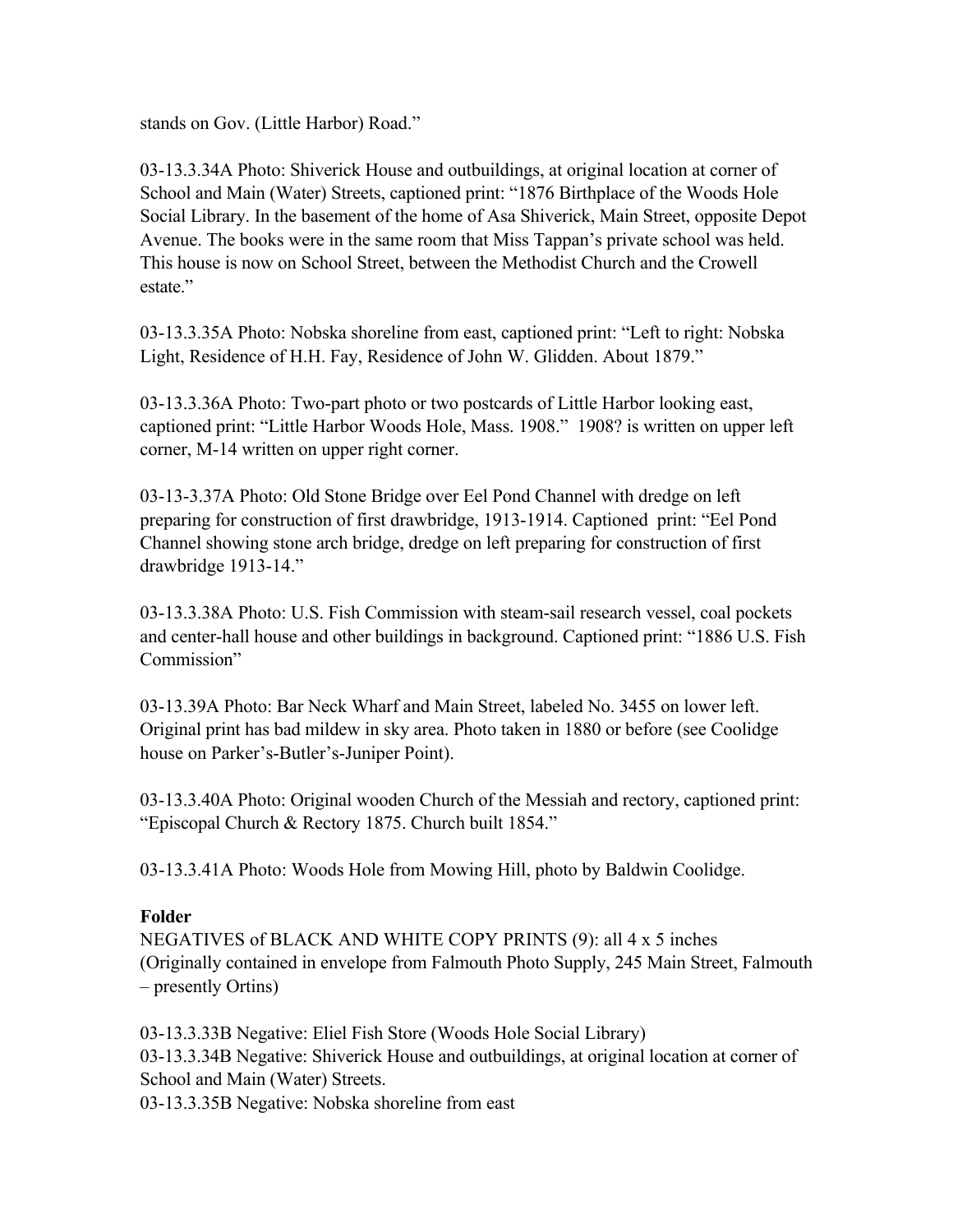stands on Gov. (Little Harbor) Road."

03-13.3.34A Photo: Shiverick House and outbuildings, at original location at corner of School and Main (Water) Streets, captioned print: "1876 Birthplace of the Woods Hole Social Library. In the basement of the home of Asa Shiverick, Main Street, opposite Depot Avenue. The books were in the same room that Miss Tappan's private school was held. This house is now on School Street, between the Methodist Church and the Crowell estate."

03-13.3.35A Photo: Nobska shoreline from east, captioned print: "Left to right: Nobska Light, Residence of H.H. Fay, Residence of John W. Glidden. About 1879."

03-13.3.36A Photo: Two-part photo or two postcards of Little Harbor looking east, captioned print: "Little Harbor Woods Hole, Mass. 1908." 1908? is written on upper left corner, M-14 written on upper right corner.

03-13-3.37A Photo: Old Stone Bridge over Eel Pond Channel with dredge on left preparing for construction of first drawbridge, 1913-1914. Captioned print: "Eel Pond Channel showing stone arch bridge, dredge on left preparing for construction of first drawbridge 1913-14."

03-13.3.38A Photo: U.S. Fish Commission with steam-sail research vessel, coal pockets and center-hall house and other buildings in background. Captioned print: "1886 U.S. Fish Commission"

03-13.39A Photo: Bar Neck Wharf and Main Street, labeled No. 3455 on lower left. Original print has bad mildew in sky area. Photo taken in 1880 or before (see Coolidge house on Parker's-Butler's-Juniper Point).

03-13.3.40A Photo: Original wooden Church of the Messiah and rectory, captioned print: "Episcopal Church & Rectory 1875. Church built 1854."

03-13.3.41A Photo: Woods Hole from Mowing Hill, photo by Baldwin Coolidge.

#### **Folder**

NEGATIVES of BLACK AND WHITE COPY PRINTS (9): all 4 x 5 inches (Originally contained in envelope from Falmouth Photo Supply, 245 Main Street, Falmouth – presently Ortins)

03-13.3.33B Negative: Eliel Fish Store (Woods Hole Social Library) 03-13.3.34B Negative: Shiverick House and outbuildings, at original location at corner of School and Main (Water) Streets.

03-13.3.35B Negative: Nobska shoreline from east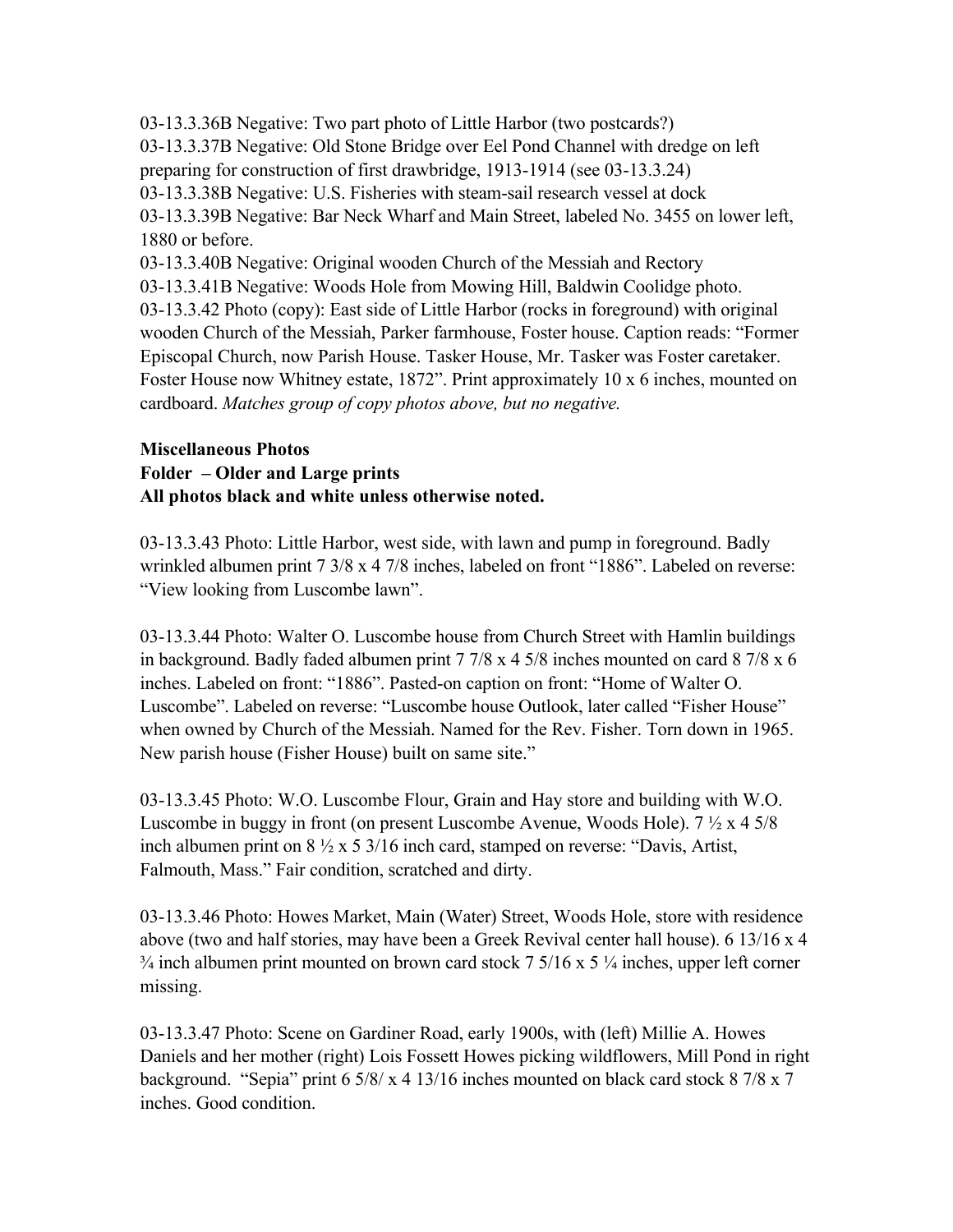03-13.3.36B Negative: Two part photo of Little Harbor (two postcards?) 03-13.3.37B Negative: Old Stone Bridge over Eel Pond Channel with dredge on left preparing for construction of first drawbridge, 1913-1914 (see 03-13.3.24) 03-13.3.38B Negative: U.S. Fisheries with steam-sail research vessel at dock 03-13.3.39B Negative: Bar Neck Wharf and Main Street, labeled No. 3455 on lower left, 1880 or before. 03-13.3.40B Negative: Original wooden Church of the Messiah and Rectory 03-13.3.41B Negative: Woods Hole from Mowing Hill, Baldwin Coolidge photo. 03-13.3.42 Photo (copy): East side of Little Harbor (rocks in foreground) with original wooden Church of the Messiah, Parker farmhouse, Foster house. Caption reads: "Former Episcopal Church, now Parish House. Tasker House, Mr. Tasker was Foster caretaker. Foster House now Whitney estate, 1872". Print approximately 10 x 6 inches, mounted on cardboard. *Matches group of copy photos above, but no negative.*

#### **Miscellaneous Photos Folder – Older and Large prints All photos black and white unless otherwise noted.**

03-13.3.43 Photo: Little Harbor, west side, with lawn and pump in foreground. Badly wrinkled albumen print 7 3/8 x 4 7/8 inches, labeled on front "1886". Labeled on reverse: "View looking from Luscombe lawn".

03-13.3.44 Photo: Walter O. Luscombe house from Church Street with Hamlin buildings in background. Badly faded albumen print 7 7/8 x 4 5/8 inches mounted on card 8 7/8 x 6 inches. Labeled on front: "1886". Pasted-on caption on front: "Home of Walter O. Luscombe". Labeled on reverse: "Luscombe house Outlook, later called "Fisher House" when owned by Church of the Messiah. Named for the Rev. Fisher. Torn down in 1965. New parish house (Fisher House) built on same site."

03-13.3.45 Photo: W.O. Luscombe Flour, Grain and Hay store and building with W.O. Luscombe in buggy in front (on present Luscombe Avenue, Woods Hole). 7 ½ x 4 5/8 inch albumen print on 8 ½ x 5 3/16 inch card, stamped on reverse: "Davis, Artist, Falmouth, Mass." Fair condition, scratched and dirty.

03-13.3.46 Photo: Howes Market, Main (Water) Street, Woods Hole, store with residence above (two and half stories, may have been a Greek Revival center hall house). 6 13/16 x 4  $\frac{3}{4}$  inch albumen print mounted on brown card stock 7 5/16 x 5  $\frac{1}{4}$  inches, upper left corner missing.

03-13.3.47 Photo: Scene on Gardiner Road, early 1900s, with (left) Millie A. Howes Daniels and her mother (right) Lois Fossett Howes picking wildflowers, Mill Pond in right background. "Sepia" print 6 5/8/ x 4 13/16 inches mounted on black card stock 8 7/8 x 7 inches. Good condition.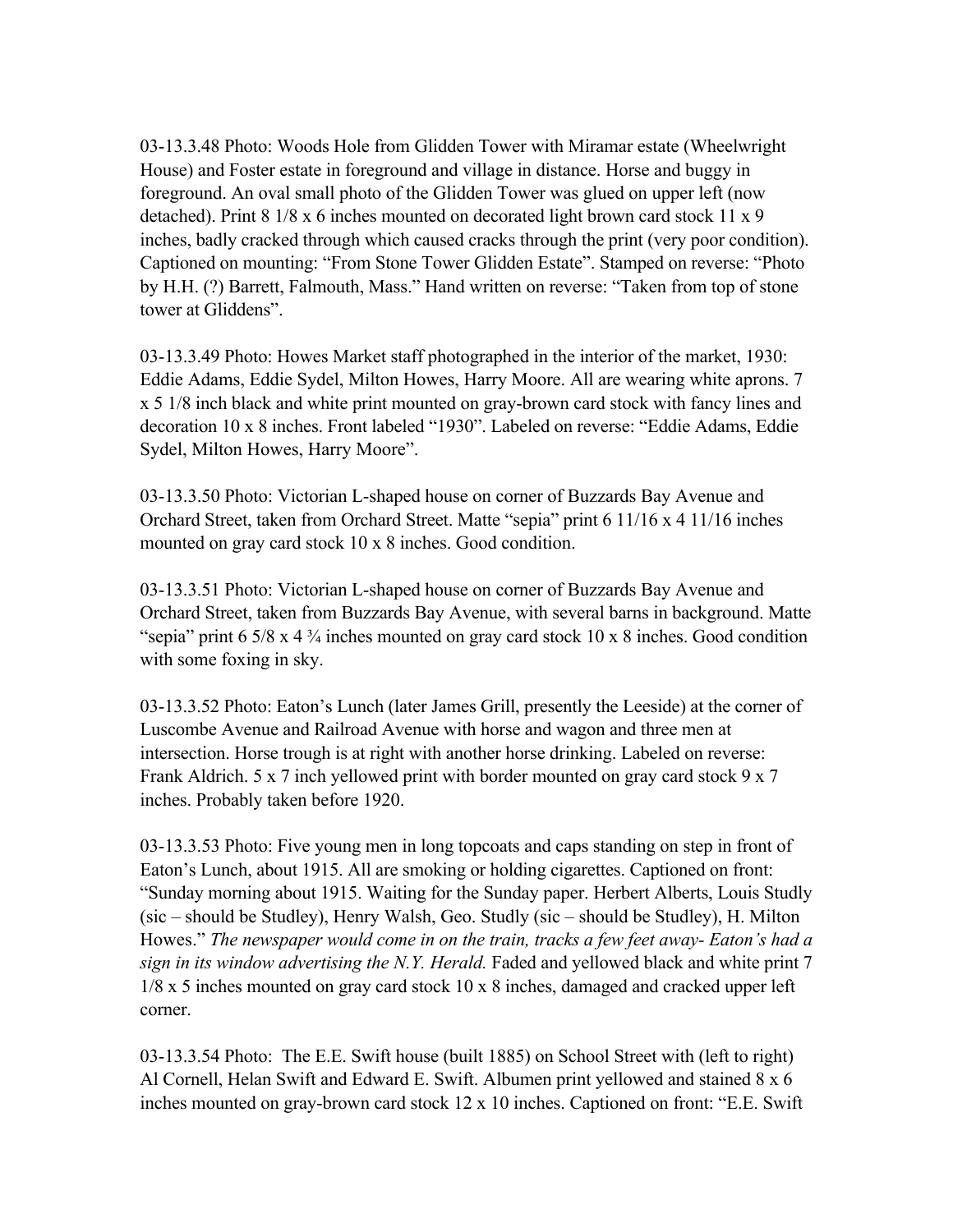03-13.3.48 Photo: Woods Hole from Glidden Tower with Miramar estate (Wheelwright House) and Foster estate in foreground and village in distance. Horse and buggy in foreground. An oval small photo of the Glidden Tower was glued on upper left (now detached). Print 8 1/8 x 6 inches mounted on decorated light brown card stock 11 x 9 inches, badly cracked through which caused cracks through the print (very poor condition). Captioned on mounting: "From Stone Tower Glidden Estate". Stamped on reverse: "Photo by H.H. (?) Barrett, Falmouth, Mass." Hand written on reverse: "Taken from top of stone tower at Gliddens".

03-13.3.49 Photo: Howes Market staff photographed in the interior of the market, 1930: Eddie Adams, Eddie Sydel, Milton Howes, Harry Moore. All are wearing white aprons. 7 x 5 1/8 inch black and white print mounted on gray-brown card stock with fancy lines and decoration 10 x 8 inches. Front labeled "1930". Labeled on reverse: "Eddie Adams, Eddie Sydel, Milton Howes, Harry Moore".

03-13.3.50 Photo: Victorian L-shaped house on corner of Buzzards Bay Avenue and Orchard Street, taken from Orchard Street. Matte "sepia" print 6 11/16 x 4 11/16 inches mounted on gray card stock 10 x 8 inches. Good condition.

03-13.3.51 Photo: Victorian L-shaped house on corner of Buzzards Bay Avenue and Orchard Street, taken from Buzzards Bay Avenue, with several barns in background. Matte "sepia" print  $6\frac{5}{8}$  x  $4\frac{3}{4}$  inches mounted on gray card stock 10 x 8 inches. Good condition with some foxing in sky.

03-13.3.52 Photo: Eaton's Lunch (later James Grill, presently the Leeside) at the corner of Luscombe Avenue and Railroad Avenue with horse and wagon and three men at intersection. Horse trough is at right with another horse drinking. Labeled on reverse: Frank Aldrich. 5 x 7 inch yellowed print with border mounted on gray card stock 9 x 7 inches. Probably taken before 1920.

03-13.3.53 Photo: Five young men in long topcoats and caps standing on step in front of Eaton's Lunch, about 1915. All are smoking or holding cigarettes. Captioned on front: "Sunday morning about 1915. Waiting for the Sunday paper. Herbert Alberts, Louis Studly (sic – should be Studley), Henry Walsh, Geo. Studly (sic – should be Studley), H. Milton Howes." *The newspaper would come in on the train, tracks a few feet away- Eaton's had a sign in its window advertising the N.Y. Herald.* Faded and yellowed black and white print 7 1/8 x 5 inches mounted on gray card stock 10 x 8 inches, damaged and cracked upper left corner.

03-13.3.54 Photo: The E.E. Swift house (built 1885) on School Street with (left to right) Al Cornell, Helan Swift and Edward E. Swift. Albumen print yellowed and stained 8 x 6 inches mounted on gray-brown card stock 12 x 10 inches. Captioned on front: "E.E. Swift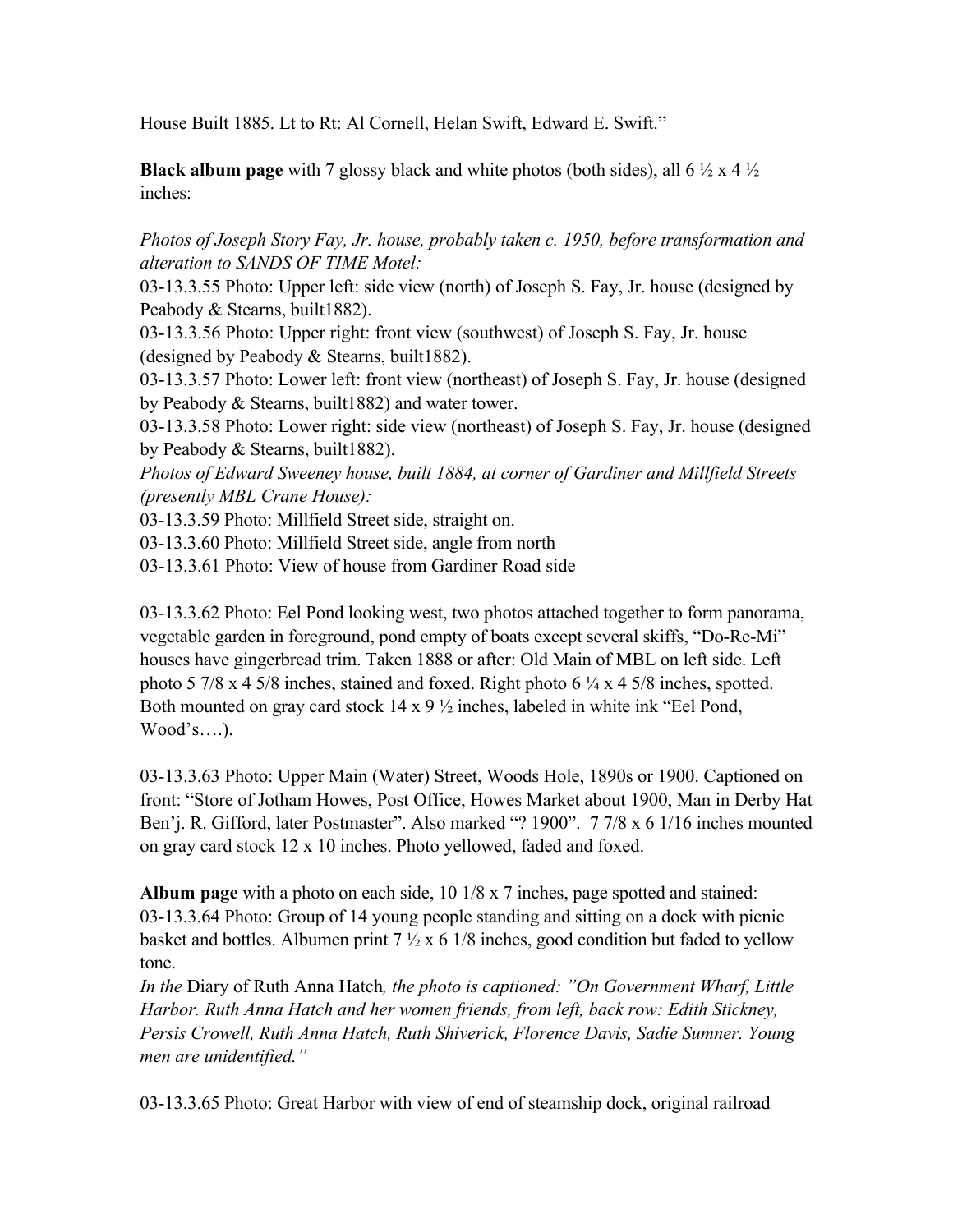House Built 1885. Lt to Rt: Al Cornell, Helan Swift, Edward E. Swift."

**Black album page** with 7 glossy black and white photos (both sides), all 6 ½ x 4 ½ inches:

*Photos of Joseph Story Fay, Jr. house, probably taken c. 1950, before transformation and alteration to SANDS OF TIME Motel:*

03-13.3.55 Photo: Upper left: side view (north) of Joseph S. Fay, Jr. house (designed by Peabody & Stearns, built1882).

03-13.3.56 Photo: Upper right: front view (southwest) of Joseph S. Fay, Jr. house (designed by Peabody  $&$  Stearns, built 1882).

03-13.3.57 Photo: Lower left: front view (northeast) of Joseph S. Fay, Jr. house (designed by Peabody & Stearns, built1882) and water tower.

03-13.3.58 Photo: Lower right: side view (northeast) of Joseph S. Fay, Jr. house (designed by Peabody & Stearns, built1882).

*Photos of Edward Sweeney house, built 1884, at corner of Gardiner and Millfield Streets (presently MBL Crane House):*

03-13.3.59 Photo: Millfield Street side, straight on.

03-13.3.60 Photo: Millfield Street side, angle from north

03-13.3.61 Photo: View of house from Gardiner Road side

03-13.3.62 Photo: Eel Pond looking west, two photos attached together to form panorama, vegetable garden in foreground, pond empty of boats except several skiffs, "Do-Re-Mi" houses have gingerbread trim. Taken 1888 or after: Old Main of MBL on left side. Left photo 5 7/8 x 4 5/8 inches, stained and foxed. Right photo 6 ¼ x 4 5/8 inches, spotted. Both mounted on gray card stock 14 x 9 ½ inches, labeled in white ink "Eel Pond, Wood's….).

03-13.3.63 Photo: Upper Main (Water) Street, Woods Hole, 1890s or 1900. Captioned on front: "Store of Jotham Howes, Post Office, Howes Market about 1900, Man in Derby Hat Ben'j. R. Gifford, later Postmaster". Also marked "? 1900". 7 7/8 x 6 1/16 inches mounted on gray card stock 12 x 10 inches. Photo yellowed, faded and foxed.

**Album page** with a photo on each side, 10 1/8 x 7 inches, page spotted and stained: 03-13.3.64 Photo: Group of 14 young people standing and sitting on a dock with picnic basket and bottles. Albumen print  $7 \frac{1}{2} \times 6 \frac{1}{8}$  inches, good condition but faded to yellow tone.

*In the* Diary of Ruth Anna Hatch*, the photo is captioned: "On Government Wharf, Little Harbor. Ruth Anna Hatch and her women friends, from left, back row: Edith Stickney, Persis Crowell, Ruth Anna Hatch, Ruth Shiverick, Florence Davis, Sadie Sumner. Young men are unidentified."*

03-13.3.65 Photo: Great Harbor with view of end of steamship dock, original railroad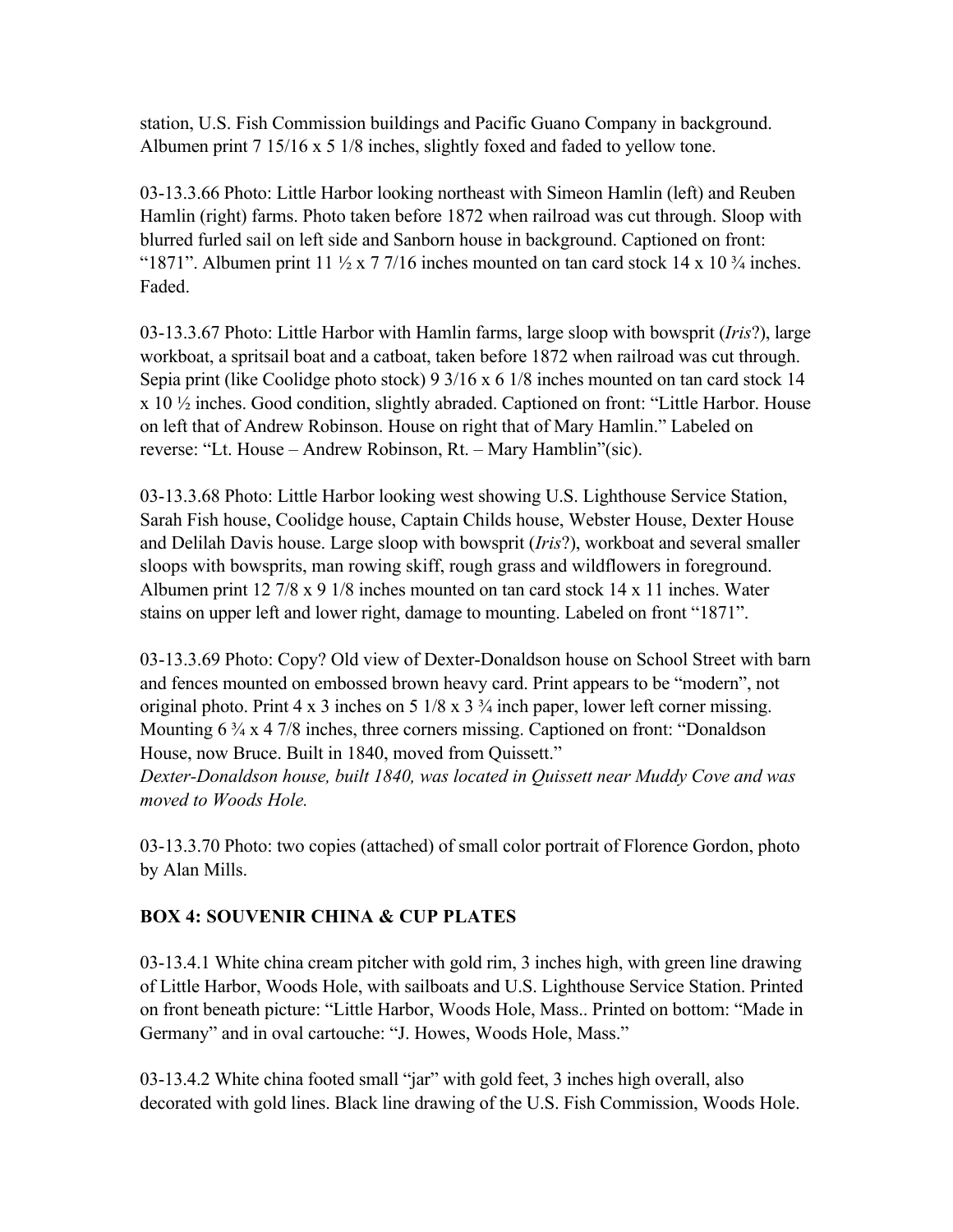station, U.S. Fish Commission buildings and Pacific Guano Company in background. Albumen print 7 15/16 x 5 1/8 inches, slightly foxed and faded to yellow tone.

03-13.3.66 Photo: Little Harbor looking northeast with Simeon Hamlin (left) and Reuben Hamlin (right) farms. Photo taken before 1872 when railroad was cut through. Sloop with blurred furled sail on left side and Sanborn house in background. Captioned on front: "1871". Albumen print 11  $\frac{1}{2}$  x 7 7/16 inches mounted on tan card stock 14 x 10  $\frac{3}{4}$  inches. Faded.

03-13.3.67 Photo: Little Harbor with Hamlin farms, large sloop with bowsprit (*Iris*?), large workboat, a spritsail boat and a catboat, taken before 1872 when railroad was cut through. Sepia print (like Coolidge photo stock) 9 3/16 x 6 1/8 inches mounted on tan card stock 14 x 10 ½ inches. Good condition, slightly abraded. Captioned on front: "Little Harbor. House on left that of Andrew Robinson. House on right that of Mary Hamlin." Labeled on reverse: "Lt. House – Andrew Robinson, Rt. – Mary Hamblin"(sic).

03-13.3.68 Photo: Little Harbor looking west showing U.S. Lighthouse Service Station, Sarah Fish house, Coolidge house, Captain Childs house, Webster House, Dexter House and Delilah Davis house. Large sloop with bowsprit (*Iris*?), workboat and several smaller sloops with bowsprits, man rowing skiff, rough grass and wildflowers in foreground. Albumen print 12 7/8 x 9 1/8 inches mounted on tan card stock 14 x 11 inches. Water stains on upper left and lower right, damage to mounting. Labeled on front "1871".

03-13.3.69 Photo: Copy? Old view of Dexter-Donaldson house on School Street with barn and fences mounted on embossed brown heavy card. Print appears to be "modern", not original photo. Print 4 x 3 inches on 5 1/8 x 3 ¾ inch paper, lower left corner missing. Mounting 6  $\frac{3}{4}$  x 4 7/8 inches, three corners missing. Captioned on front: "Donaldson House, now Bruce. Built in 1840, moved from Quissett."

*Dexter-Donaldson house, built 1840, was located in Quissett near Muddy Cove and was moved to Woods Hole.*

03-13.3.70 Photo: two copies (attached) of small color portrait of Florence Gordon, photo by Alan Mills.

## **BOX 4: SOUVENIR CHINA & CUP PLATES**

03-13.4.1 White china cream pitcher with gold rim, 3 inches high, with green line drawing of Little Harbor, Woods Hole, with sailboats and U.S. Lighthouse Service Station. Printed on front beneath picture: "Little Harbor, Woods Hole, Mass.. Printed on bottom: "Made in Germany" and in oval cartouche: "J. Howes, Woods Hole, Mass."

03-13.4.2 White china footed small "jar" with gold feet, 3 inches high overall, also decorated with gold lines. Black line drawing of the U.S. Fish Commission, Woods Hole.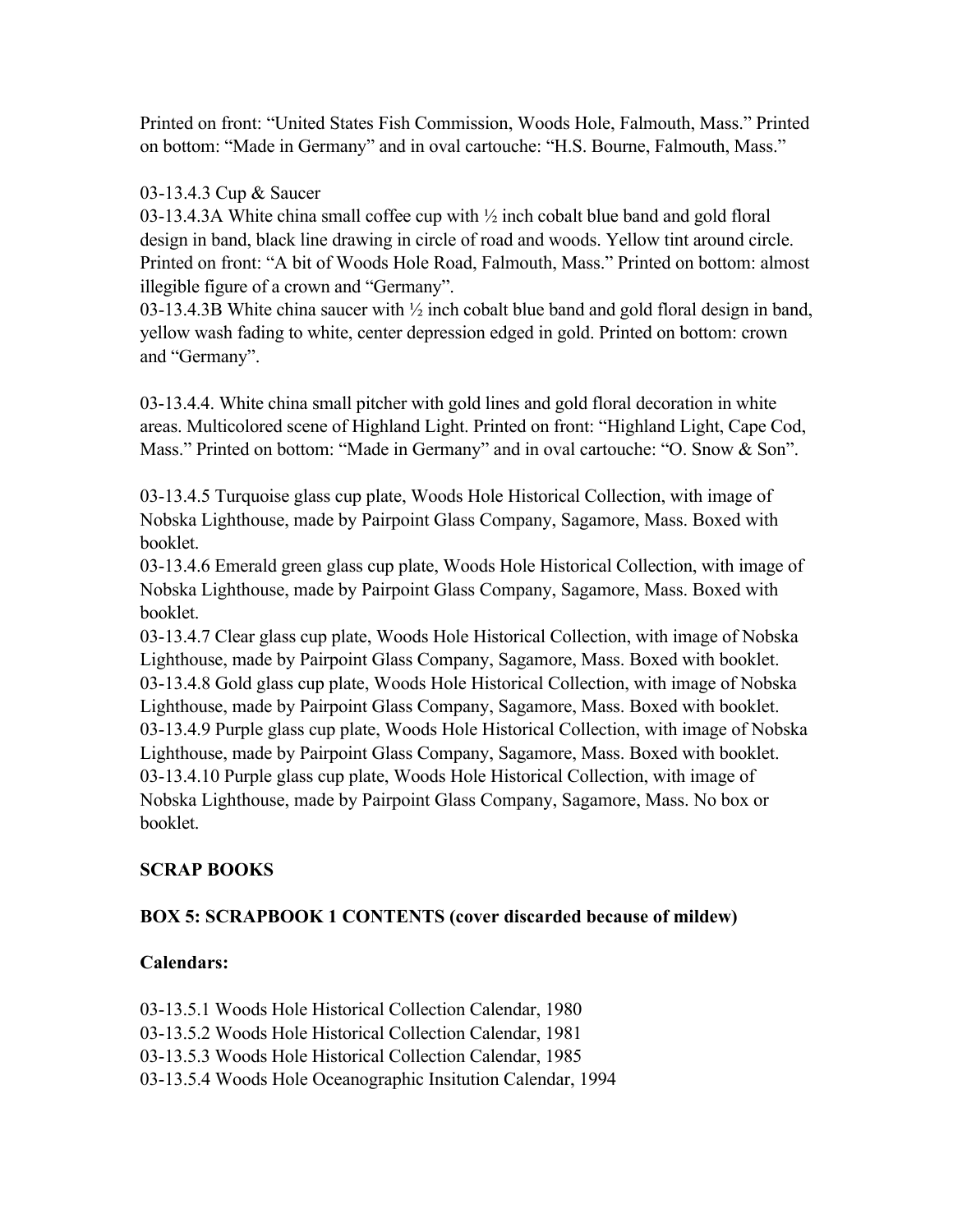Printed on front: "United States Fish Commission, Woods Hole, Falmouth, Mass." Printed on bottom: "Made in Germany" and in oval cartouche: "H.S. Bourne, Falmouth, Mass."

## 03-13.4.3 Cup & Saucer

03-13.4.3A White china small coffee cup with ½ inch cobalt blue band and gold floral design in band, black line drawing in circle of road and woods. Yellow tint around circle. Printed on front: "A bit of Woods Hole Road, Falmouth, Mass." Printed on bottom: almost illegible figure of a crown and "Germany".

03-13.4.3B White china saucer with ½ inch cobalt blue band and gold floral design in band, yellow wash fading to white, center depression edged in gold. Printed on bottom: crown and "Germany".

03-13.4.4. White china small pitcher with gold lines and gold floral decoration in white areas. Multicolored scene of Highland Light. Printed on front: "Highland Light, Cape Cod, Mass." Printed on bottom: "Made in Germany" and in oval cartouche: "O. Snow & Son".

03-13.4.5 Turquoise glass cup plate, Woods Hole Historical Collection, with image of Nobska Lighthouse, made by Pairpoint Glass Company, Sagamore, Mass. Boxed with booklet.

03-13.4.6 Emerald green glass cup plate, Woods Hole Historical Collection, with image of Nobska Lighthouse, made by Pairpoint Glass Company, Sagamore, Mass. Boxed with booklet.

03-13.4.7 Clear glass cup plate, Woods Hole Historical Collection, with image of Nobska Lighthouse, made by Pairpoint Glass Company, Sagamore, Mass. Boxed with booklet. 03-13.4.8 Gold glass cup plate, Woods Hole Historical Collection, with image of Nobska Lighthouse, made by Pairpoint Glass Company, Sagamore, Mass. Boxed with booklet. 03-13.4.9 Purple glass cup plate, Woods Hole Historical Collection, with image of Nobska Lighthouse, made by Pairpoint Glass Company, Sagamore, Mass. Boxed with booklet. 03-13.4.10 Purple glass cup plate, Woods Hole Historical Collection, with image of Nobska Lighthouse, made by Pairpoint Glass Company, Sagamore, Mass. No box or booklet.

## **SCRAP BOOKS**

## **BOX 5: SCRAPBOOK 1 CONTENTS (cover discarded because of mildew)**

## **Calendars:**

03-13.5.1 Woods Hole Historical Collection Calendar, 1980

- 03-13.5.2 Woods Hole Historical Collection Calendar, 1981
- 03-13.5.3 Woods Hole Historical Collection Calendar, 1985
- 03-13.5.4 Woods Hole Oceanographic Insitution Calendar, 1994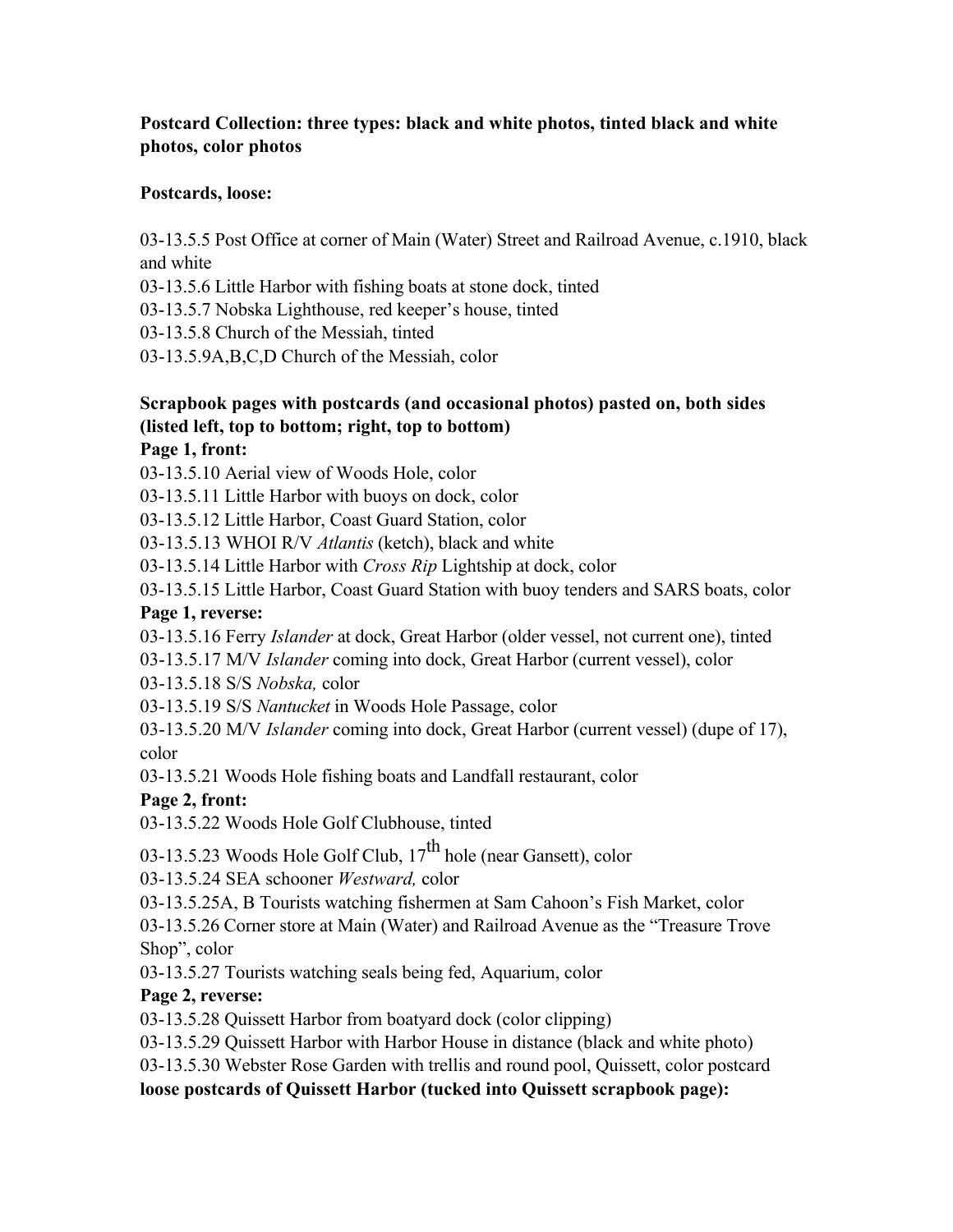#### **Postcard Collection: three types: black and white photos, tinted black and white photos, color photos**

#### **Postcards, loose:**

03-13.5.5 Post Office at corner of Main (Water) Street and Railroad Avenue, c.1910, black and white

03-13.5.6 Little Harbor with fishing boats at stone dock, tinted

03-13.5.7 Nobska Lighthouse, red keeper's house, tinted

03-13.5.8 Church of the Messiah, tinted

03-13.5.9A,B,C,D Church of the Messiah, color

# **Scrapbook pages with postcards (and occasional photos) pasted on, both sides (listed left, top to bottom; right, top to bottom)**

#### **Page 1, front:**

03-13.5.10 Aerial view of Woods Hole, color

03-13.5.11 Little Harbor with buoys on dock, color

03-13.5.12 Little Harbor, Coast Guard Station, color

03-13.5.13 WHOI R/V *Atlantis* (ketch), black and white

03-13.5.14 Little Harbor with *Cross Rip* Lightship at dock, color

03-13.5.15 Little Harbor, Coast Guard Station with buoy tenders and SARS boats, color

#### **Page 1, reverse:**

03-13.5.16 Ferry *Islander* at dock, Great Harbor (older vessel, not current one), tinted

03-13.5.17 M/V *Islander* coming into dock, Great Harbor (current vessel), color

03-13.5.18 S/S *Nobska,* color

03-13.5.19 S/S *Nantucket* in Woods Hole Passage, color

03-13.5.20 M/V *Islander* coming into dock, Great Harbor (current vessel) (dupe of 17), color

03-13.5.21 Woods Hole fishing boats and Landfall restaurant, color

## **Page 2, front:**

03-13.5.22 Woods Hole Golf Clubhouse, tinted

03-13.5.23 Woods Hole Golf Club,  $17<sup>th</sup>$  hole (near Gansett), color

03-13.5.24 SEA schooner *Westward,* color

03-13.5.25A, B Tourists watching fishermen at Sam Cahoon's Fish Market, color

03-13.5.26 Corner store at Main (Water) and Railroad Avenue as the "Treasure Trove Shop", color

03-13.5.27 Tourists watching seals being fed, Aquarium, color

## **Page 2, reverse:**

03-13.5.28 Quissett Harbor from boatyard dock (color clipping)

03-13.5.29 Quissett Harbor with Harbor House in distance (black and white photo)

03-13.5.30 Webster Rose Garden with trellis and round pool, Quissett, color postcard

**loose postcards of Quissett Harbor (tucked into Quissett scrapbook page):**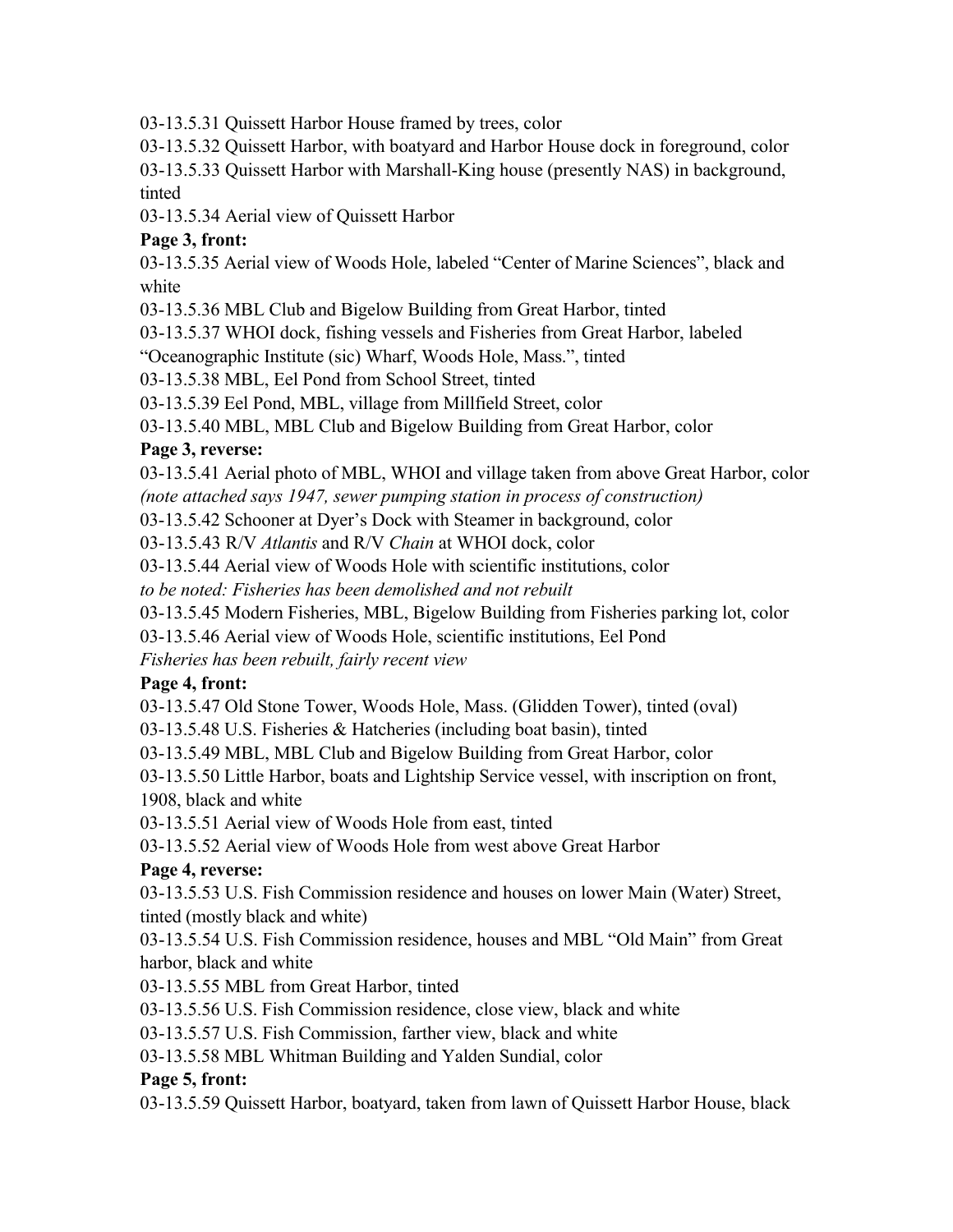03-13.5.31 Quissett Harbor House framed by trees, color

03-13.5.32 Quissett Harbor, with boatyard and Harbor House dock in foreground, color

03-13.5.33 Quissett Harbor with Marshall-King house (presently NAS) in background, tinted

03-13.5.34 Aerial view of Quissett Harbor

# **Page 3, front:**

03-13.5.35 Aerial view of Woods Hole, labeled "Center of Marine Sciences", black and white

03-13.5.36 MBL Club and Bigelow Building from Great Harbor, tinted

03-13.5.37 WHOI dock, fishing vessels and Fisheries from Great Harbor, labeled

"Oceanographic Institute (sic) Wharf, Woods Hole, Mass.", tinted

03-13.5.38 MBL, Eel Pond from School Street, tinted

03-13.5.39 Eel Pond, MBL, village from Millfield Street, color

03-13.5.40 MBL, MBL Club and Bigelow Building from Great Harbor, color

## **Page 3, reverse:**

03-13.5.41 Aerial photo of MBL, WHOI and village taken from above Great Harbor, color *(note attached says 1947, sewer pumping station in process of construction)*

03-13.5.42 Schooner at Dyer's Dock with Steamer in background, color

03-13.5.43 R/V *Atlantis* and R/V *Chain* at WHOI dock, color

03-13.5.44 Aerial view of Woods Hole with scientific institutions, color

*to be noted: Fisheries has been demolished and not rebuilt*

03-13.5.45 Modern Fisheries, MBL, Bigelow Building from Fisheries parking lot, color

03-13.5.46 Aerial view of Woods Hole, scientific institutions, Eel Pond

*Fisheries has been rebuilt, fairly recent view*

# **Page 4, front:**

03-13.5.47 Old Stone Tower, Woods Hole, Mass. (Glidden Tower), tinted (oval)

03-13.5.48 U.S. Fisheries & Hatcheries (including boat basin), tinted

03-13.5.49 MBL, MBL Club and Bigelow Building from Great Harbor, color

03-13.5.50 Little Harbor, boats and Lightship Service vessel, with inscription on front, 1908, black and white

03-13.5.51 Aerial view of Woods Hole from east, tinted

03-13.5.52 Aerial view of Woods Hole from west above Great Harbor

# **Page 4, reverse:**

03-13.5.53 U.S. Fish Commission residence and houses on lower Main (Water) Street, tinted (mostly black and white)

03-13.5.54 U.S. Fish Commission residence, houses and MBL "Old Main" from Great harbor, black and white

03-13.5.55 MBL from Great Harbor, tinted

03-13.5.56 U.S. Fish Commission residence, close view, black and white

03-13.5.57 U.S. Fish Commission, farther view, black and white

03-13.5.58 MBL Whitman Building and Yalden Sundial, color

# **Page 5, front:**

03-13.5.59 Quissett Harbor, boatyard, taken from lawn of Quissett Harbor House, black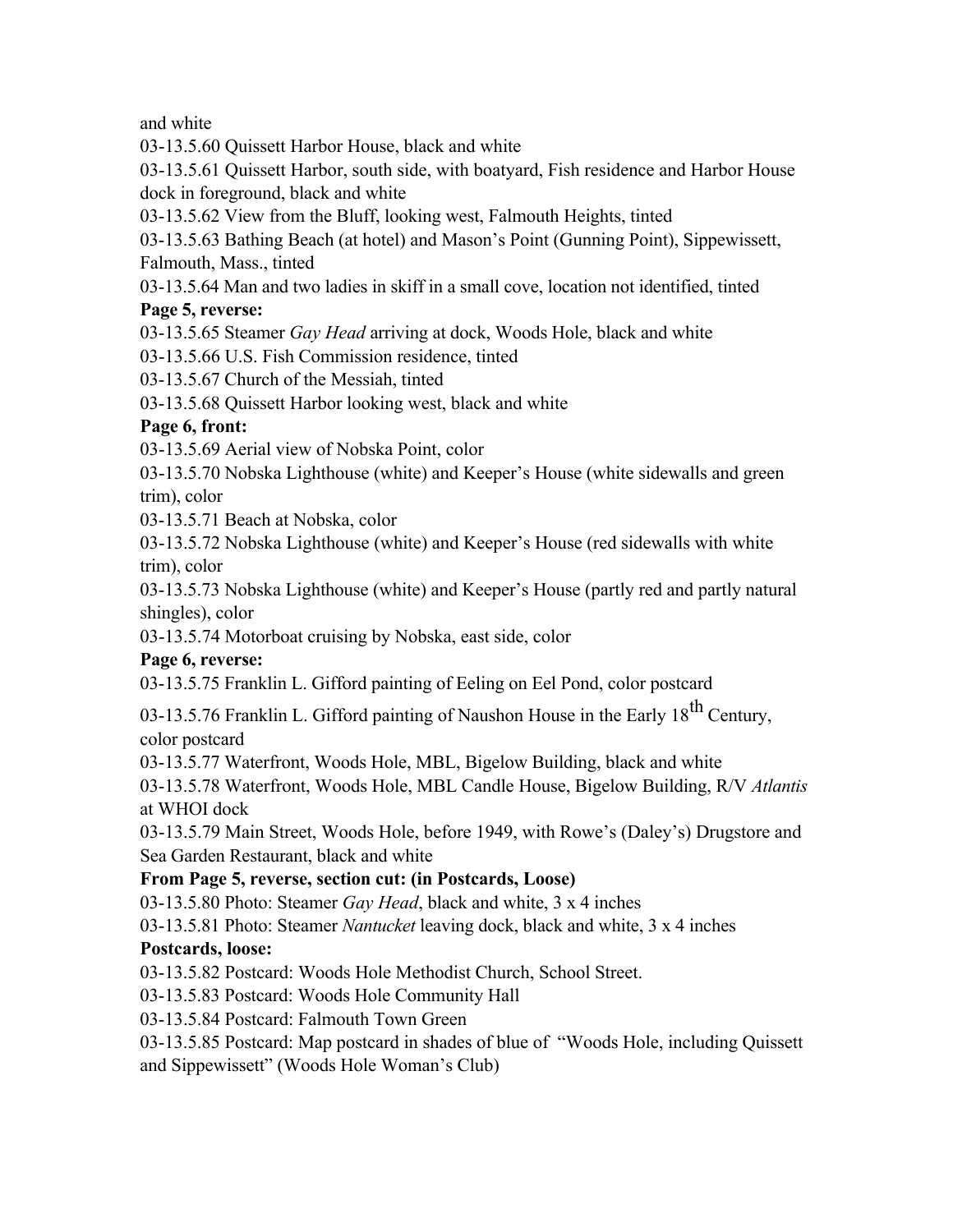and white

03-13.5.60 Quissett Harbor House, black and white

03-13.5.61 Quissett Harbor, south side, with boatyard, Fish residence and Harbor House dock in foreground, black and white

03-13.5.62 View from the Bluff, looking west, Falmouth Heights, tinted

03-13.5.63 Bathing Beach (at hotel) and Mason's Point (Gunning Point), Sippewissett, Falmouth, Mass., tinted

03-13.5.64 Man and two ladies in skiff in a small cove, location not identified, tinted

## **Page 5, reverse:**

03-13.5.65 Steamer *Gay Head* arriving at dock, Woods Hole, black and white

03-13.5.66 U.S. Fish Commission residence, tinted

03-13.5.67 Church of the Messiah, tinted

03-13.5.68 Quissett Harbor looking west, black and white

## **Page 6, front:**

03-13.5.69 Aerial view of Nobska Point, color

03-13.5.70 Nobska Lighthouse (white) and Keeper's House (white sidewalls and green trim), color

03-13.5.71 Beach at Nobska, color

03-13.5.72 Nobska Lighthouse (white) and Keeper's House (red sidewalls with white trim), color

03-13.5.73 Nobska Lighthouse (white) and Keeper's House (partly red and partly natural shingles), color

03-13.5.74 Motorboat cruising by Nobska, east side, color

# **Page 6, reverse:**

03-13.5.75 Franklin L. Gifford painting of Eeling on Eel Pond, color postcard

03-13.5.76 Franklin L. Gifford painting of Naushon House in the Early  $18^{th}$  Century, color postcard

03-13.5.77 Waterfront, Woods Hole, MBL, Bigelow Building, black and white

03-13.5.78 Waterfront, Woods Hole, MBL Candle House, Bigelow Building, R/V *Atlantis* at WHOI dock

03-13.5.79 Main Street, Woods Hole, before 1949, with Rowe's (Daley's) Drugstore and Sea Garden Restaurant, black and white

# **From Page 5, reverse, section cut: (in Postcards, Loose)**

03-13.5.80 Photo: Steamer *Gay Head*, black and white, 3 x 4 inches

03-13.5.81 Photo: Steamer *Nantucket* leaving dock, black and white, 3 x 4 inches

# **Postcards, loose:**

03-13.5.82 Postcard: Woods Hole Methodist Church, School Street.

03-13.5.83 Postcard: Woods Hole Community Hall

03-13.5.84 Postcard: Falmouth Town Green

03-13.5.85 Postcard: Map postcard in shades of blue of "Woods Hole, including Quissett and Sippewissett" (Woods Hole Woman's Club)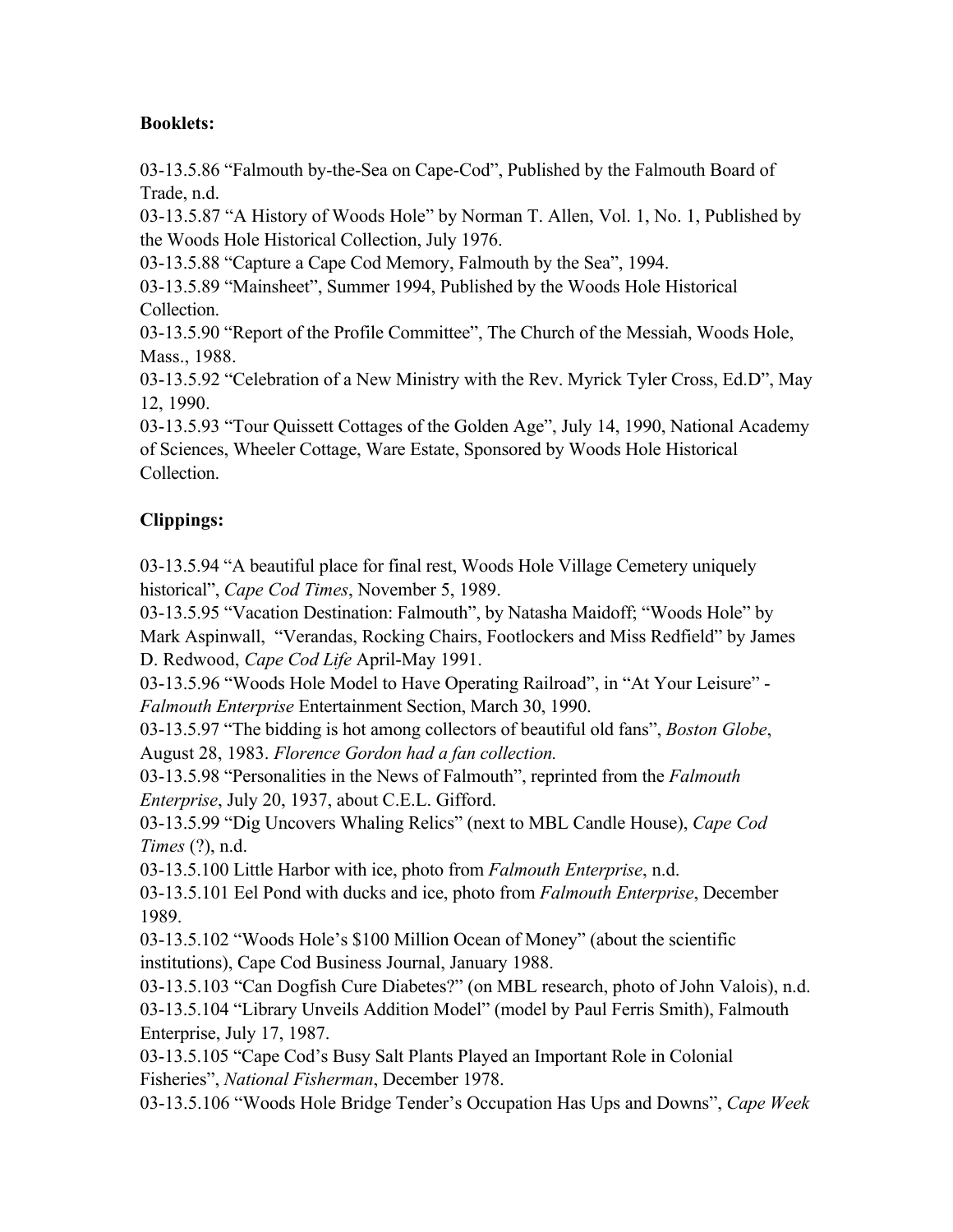#### **Booklets:**

03-13.5.86 "Falmouth by-the-Sea on Cape-Cod", Published by the Falmouth Board of Trade, n.d.

03-13.5.87 "A History of Woods Hole" by Norman T. Allen, Vol. 1, No. 1, Published by the Woods Hole Historical Collection, July 1976.

03-13.5.88 "Capture a Cape Cod Memory, Falmouth by the Sea", 1994.

03-13.5.89 "Mainsheet", Summer 1994, Published by the Woods Hole Historical Collection.

03-13.5.90 "Report of the Profile Committee", The Church of the Messiah, Woods Hole, Mass., 1988.

03-13.5.92 "Celebration of a New Ministry with the Rev. Myrick Tyler Cross, Ed.D", May 12, 1990.

03-13.5.93 "Tour Quissett Cottages of the Golden Age", July 14, 1990, National Academy of Sciences, Wheeler Cottage, Ware Estate, Sponsored by Woods Hole Historical Collection.

# **Clippings:**

03-13.5.94 "A beautiful place for final rest, Woods Hole Village Cemetery uniquely historical", *Cape Cod Times*, November 5, 1989.

03-13.5.95 "Vacation Destination: Falmouth", by Natasha Maidoff; "Woods Hole" by Mark Aspinwall, "Verandas, Rocking Chairs, Footlockers and Miss Redfield" by James D. Redwood, *Cape Cod Life* April-May 1991.

03-13.5.96 "Woods Hole Model to Have Operating Railroad", in "At Your Leisure" - *Falmouth Enterprise* Entertainment Section, March 30, 1990.

03-13.5.97 "The bidding is hot among collectors of beautiful old fans", *Boston Globe*, August 28, 1983. *Florence Gordon had a fan collection.*

03-13.5.98 "Personalities in the News of Falmouth", reprinted from the *Falmouth Enterprise*, July 20, 1937, about C.E.L. Gifford.

03-13.5.99 "Dig Uncovers Whaling Relics" (next to MBL Candle House), *Cape Cod Times* (?), n.d.

03-13.5.100 Little Harbor with ice, photo from *Falmouth Enterprise*, n.d.

03-13.5.101 Eel Pond with ducks and ice, photo from *Falmouth Enterprise*, December 1989.

03-13.5.102 "Woods Hole's \$100 Million Ocean of Money" (about the scientific institutions), Cape Cod Business Journal, January 1988.

03-13.5.103 "Can Dogfish Cure Diabetes?" (on MBL research, photo of John Valois), n.d. 03-13.5.104 "Library Unveils Addition Model" (model by Paul Ferris Smith), Falmouth Enterprise, July 17, 1987.

03-13.5.105 "Cape Cod's Busy Salt Plants Played an Important Role in Colonial Fisheries", *National Fisherman*, December 1978.

03-13.5.106 "Woods Hole Bridge Tender's Occupation Has Ups and Downs", *Cape Week*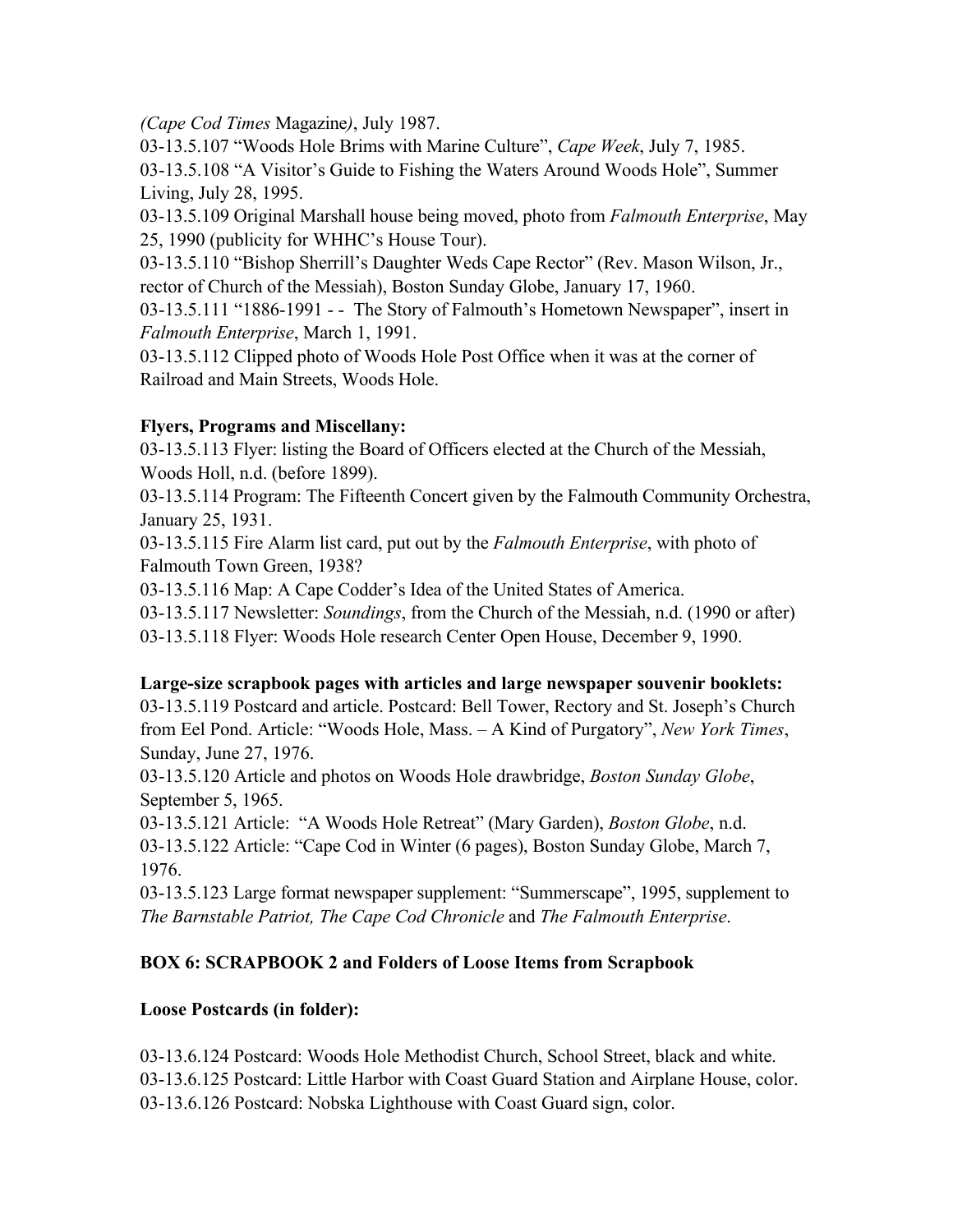*(Cape Cod Times* Magazine*)*, July 1987.

03-13.5.107 "Woods Hole Brims with Marine Culture", *Cape Week*, July 7, 1985. 03-13.5.108 "A Visitor's Guide to Fishing the Waters Around Woods Hole", Summer Living, July 28, 1995.

03-13.5.109 Original Marshall house being moved, photo from *Falmouth Enterprise*, May 25, 1990 (publicity for WHHC's House Tour).

03-13.5.110 "Bishop Sherrill's Daughter Weds Cape Rector" (Rev. Mason Wilson, Jr., rector of Church of the Messiah), Boston Sunday Globe, January 17, 1960.

03-13.5.111 "1886-1991 - - The Story of Falmouth's Hometown Newspaper", insert in *Falmouth Enterprise*, March 1, 1991.

03-13.5.112 Clipped photo of Woods Hole Post Office when it was at the corner of Railroad and Main Streets, Woods Hole.

## **Flyers, Programs and Miscellany:**

03-13.5.113 Flyer: listing the Board of Officers elected at the Church of the Messiah, Woods Holl, n.d. (before 1899).

03-13.5.114 Program: The Fifteenth Concert given by the Falmouth Community Orchestra, January 25, 1931.

03-13.5.115 Fire Alarm list card, put out by the *Falmouth Enterprise*, with photo of Falmouth Town Green, 1938?

03-13.5.116 Map: A Cape Codder's Idea of the United States of America.

03-13.5.117 Newsletter: *Soundings*, from the Church of the Messiah, n.d. (1990 or after)

03-13.5.118 Flyer: Woods Hole research Center Open House, December 9, 1990.

## **Large-size scrapbook pages with articles and large newspaper souvenir booklets:**

03-13.5.119 Postcard and article. Postcard: Bell Tower, Rectory and St. Joseph's Church from Eel Pond. Article: "Woods Hole, Mass. – A Kind of Purgatory", *New York Times*, Sunday, June 27, 1976.

03-13.5.120 Article and photos on Woods Hole drawbridge, *Boston Sunday Globe*, September 5, 1965.

03-13.5.121 Article: "A Woods Hole Retreat" (Mary Garden), *Boston Globe*, n.d. 03-13.5.122 Article: "Cape Cod in Winter (6 pages), Boston Sunday Globe, March 7, 1976.

03-13.5.123 Large format newspaper supplement: "Summerscape", 1995, supplement to *The Barnstable Patriot, The Cape Cod Chronicle* and *The Falmouth Enterprise*.

# **BOX 6: SCRAPBOOK 2 and Folders of Loose Items from Scrapbook**

## **Loose Postcards (in folder):**

03-13.6.124 Postcard: Woods Hole Methodist Church, School Street, black and white. 03-13.6.125 Postcard: Little Harbor with Coast Guard Station and Airplane House, color. 03-13.6.126 Postcard: Nobska Lighthouse with Coast Guard sign, color.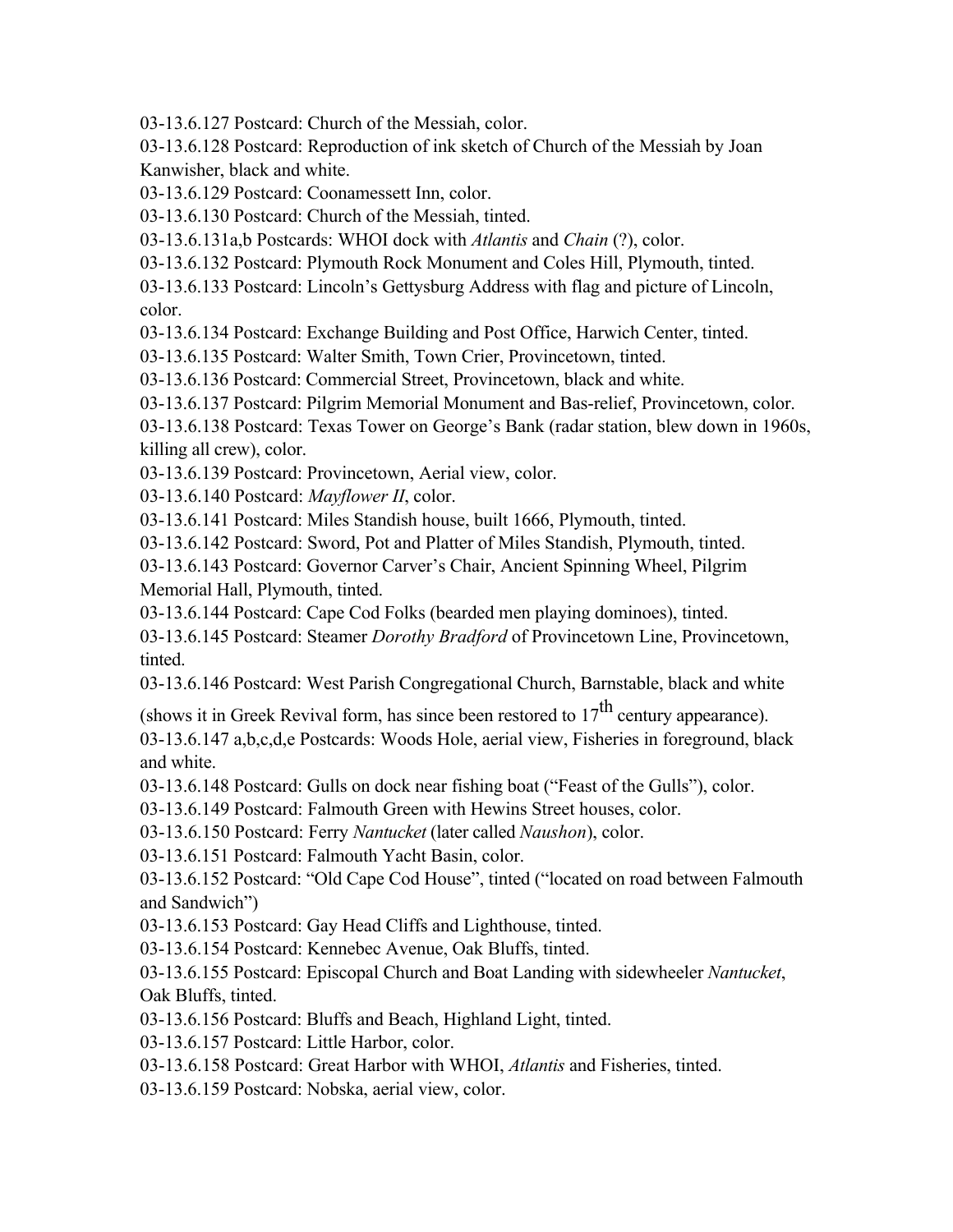03-13.6.127 Postcard: Church of the Messiah, color.

03-13.6.128 Postcard: Reproduction of ink sketch of Church of the Messiah by Joan Kanwisher, black and white.

03-13.6.129 Postcard: Coonamessett Inn, color.

03-13.6.130 Postcard: Church of the Messiah, tinted.

03-13.6.131a,b Postcards: WHOI dock with *Atlantis* and *Chain* (?), color.

03-13.6.132 Postcard: Plymouth Rock Monument and Coles Hill, Plymouth, tinted.

03-13.6.133 Postcard: Lincoln's Gettysburg Address with flag and picture of Lincoln, color.

03-13.6.134 Postcard: Exchange Building and Post Office, Harwich Center, tinted.

03-13.6.135 Postcard: Walter Smith, Town Crier, Provincetown, tinted.

03-13.6.136 Postcard: Commercial Street, Provincetown, black and white.

03-13.6.137 Postcard: Pilgrim Memorial Monument and Bas-relief, Provincetown, color.

03-13.6.138 Postcard: Texas Tower on George's Bank (radar station, blew down in 1960s, killing all crew), color.

03-13.6.139 Postcard: Provincetown, Aerial view, color.

03-13.6.140 Postcard: *Mayflower II*, color.

03-13.6.141 Postcard: Miles Standish house, built 1666, Plymouth, tinted.

03-13.6.142 Postcard: Sword, Pot and Platter of Miles Standish, Plymouth, tinted.

03-13.6.143 Postcard: Governor Carver's Chair, Ancient Spinning Wheel, Pilgrim Memorial Hall, Plymouth, tinted.

03-13.6.144 Postcard: Cape Cod Folks (bearded men playing dominoes), tinted.

03-13.6.145 Postcard: Steamer *Dorothy Bradford* of Provincetown Line, Provincetown, tinted.

03-13.6.146 Postcard: West Parish Congregational Church, Barnstable, black and white

(shows it in Greek Revival form, has since been restored to  $17<sup>th</sup>$  century appearance).

03-13.6.147 a,b,c,d,e Postcards: Woods Hole, aerial view, Fisheries in foreground, black and white.

03-13.6.148 Postcard: Gulls on dock near fishing boat ("Feast of the Gulls"), color.

03-13.6.149 Postcard: Falmouth Green with Hewins Street houses, color.

03-13.6.150 Postcard: Ferry *Nantucket* (later called *Naushon*), color.

03-13.6.151 Postcard: Falmouth Yacht Basin, color.

03-13.6.152 Postcard: "Old Cape Cod House", tinted ("located on road between Falmouth and Sandwich")

03-13.6.153 Postcard: Gay Head Cliffs and Lighthouse, tinted.

03-13.6.154 Postcard: Kennebec Avenue, Oak Bluffs, tinted.

03-13.6.155 Postcard: Episcopal Church and Boat Landing with sidewheeler *Nantucket*, Oak Bluffs, tinted.

03-13.6.156 Postcard: Bluffs and Beach, Highland Light, tinted.

03-13.6.157 Postcard: Little Harbor, color.

03-13.6.158 Postcard: Great Harbor with WHOI, *Atlantis* and Fisheries, tinted.

03-13.6.159 Postcard: Nobska, aerial view, color.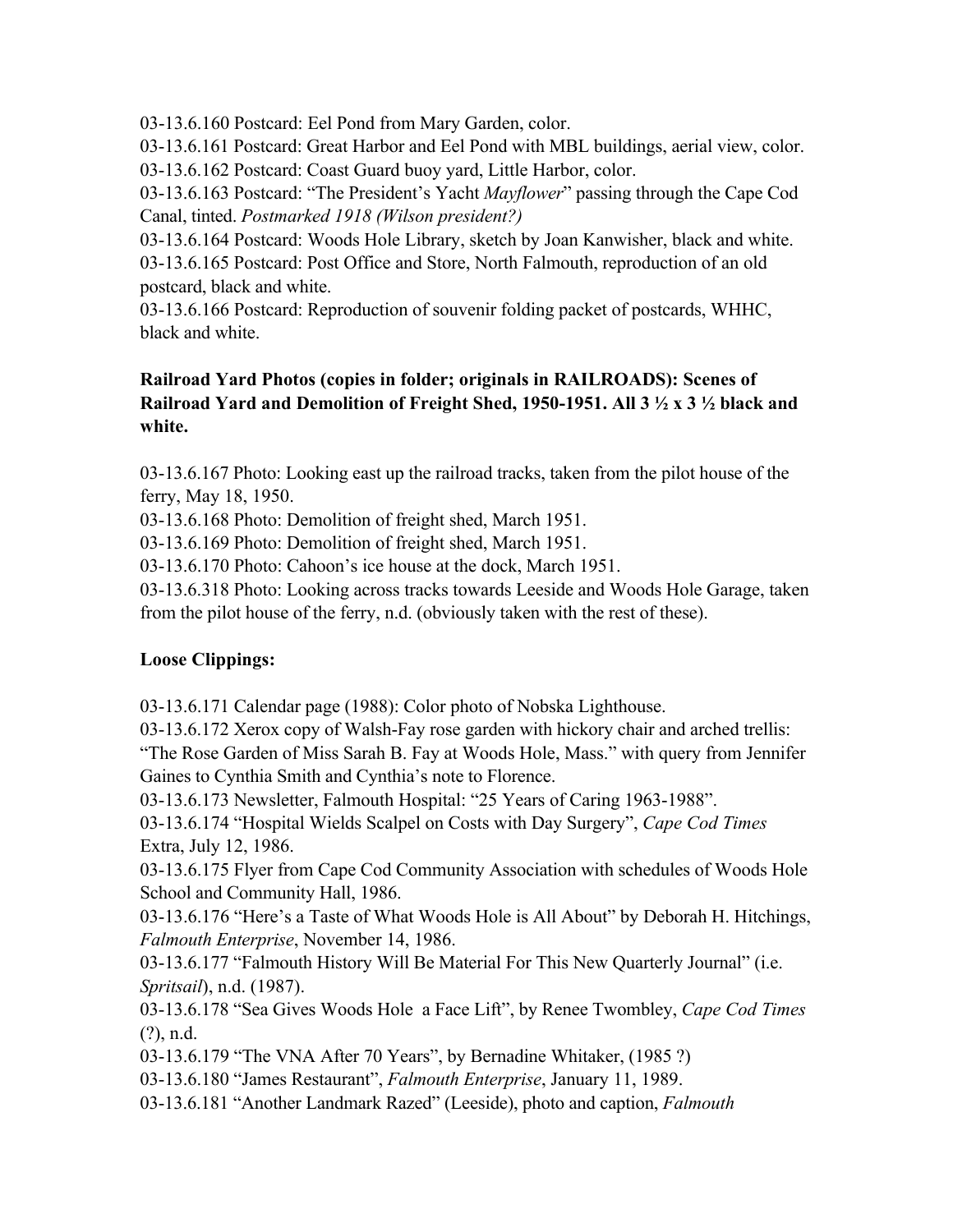03-13.6.160 Postcard: Eel Pond from Mary Garden, color.

03-13.6.161 Postcard: Great Harbor and Eel Pond with MBL buildings, aerial view, color.

03-13.6.162 Postcard: Coast Guard buoy yard, Little Harbor, color.

03-13.6.163 Postcard: "The President's Yacht *Mayflower*" passing through the Cape Cod Canal, tinted. *Postmarked 1918 (Wilson president?)*

03-13.6.164 Postcard: Woods Hole Library, sketch by Joan Kanwisher, black and white. 03-13.6.165 Postcard: Post Office and Store, North Falmouth, reproduction of an old postcard, black and white.

03-13.6.166 Postcard: Reproduction of souvenir folding packet of postcards, WHHC, black and white.

## **Railroad Yard Photos (copies in folder; originals in RAILROADS): Scenes of Railroad Yard and Demolition of Freight Shed, 1950-1951. All 3 ½ x 3 ½ black and white.**

03-13.6.167 Photo: Looking east up the railroad tracks, taken from the pilot house of the ferry, May 18, 1950.

03-13.6.168 Photo: Demolition of freight shed, March 1951.

03-13.6.169 Photo: Demolition of freight shed, March 1951.

03-13.6.170 Photo: Cahoon's ice house at the dock, March 1951.

03-13.6.318 Photo: Looking across tracks towards Leeside and Woods Hole Garage, taken from the pilot house of the ferry, n.d. (obviously taken with the rest of these).

# **Loose Clippings:**

03-13.6.171 Calendar page (1988): Color photo of Nobska Lighthouse.

03-13.6.172 Xerox copy of Walsh-Fay rose garden with hickory chair and arched trellis: "The Rose Garden of Miss Sarah B. Fay at Woods Hole, Mass." with query from Jennifer Gaines to Cynthia Smith and Cynthia's note to Florence.

03-13.6.173 Newsletter, Falmouth Hospital: "25 Years of Caring 1963-1988".

03-13.6.174 "Hospital Wields Scalpel on Costs with Day Surgery", *Cape Cod Times* Extra, July 12, 1986.

03-13.6.175 Flyer from Cape Cod Community Association with schedules of Woods Hole School and Community Hall, 1986.

03-13.6.176 "Here's a Taste of What Woods Hole is All About" by Deborah H. Hitchings, *Falmouth Enterprise*, November 14, 1986.

03-13.6.177 "Falmouth History Will Be Material For This New Quarterly Journal" (i.e. *Spritsail*), n.d. (1987).

03-13.6.178 "Sea Gives Woods Hole a Face Lift", by Renee Twombley, *Cape Cod Times* (?), n.d.

03-13.6.179 "The VNA After 70 Years", by Bernadine Whitaker, (1985 ?)

03-13.6.180 "James Restaurant", *Falmouth Enterprise*, January 11, 1989.

03-13.6.181 "Another Landmark Razed" (Leeside), photo and caption, *Falmouth*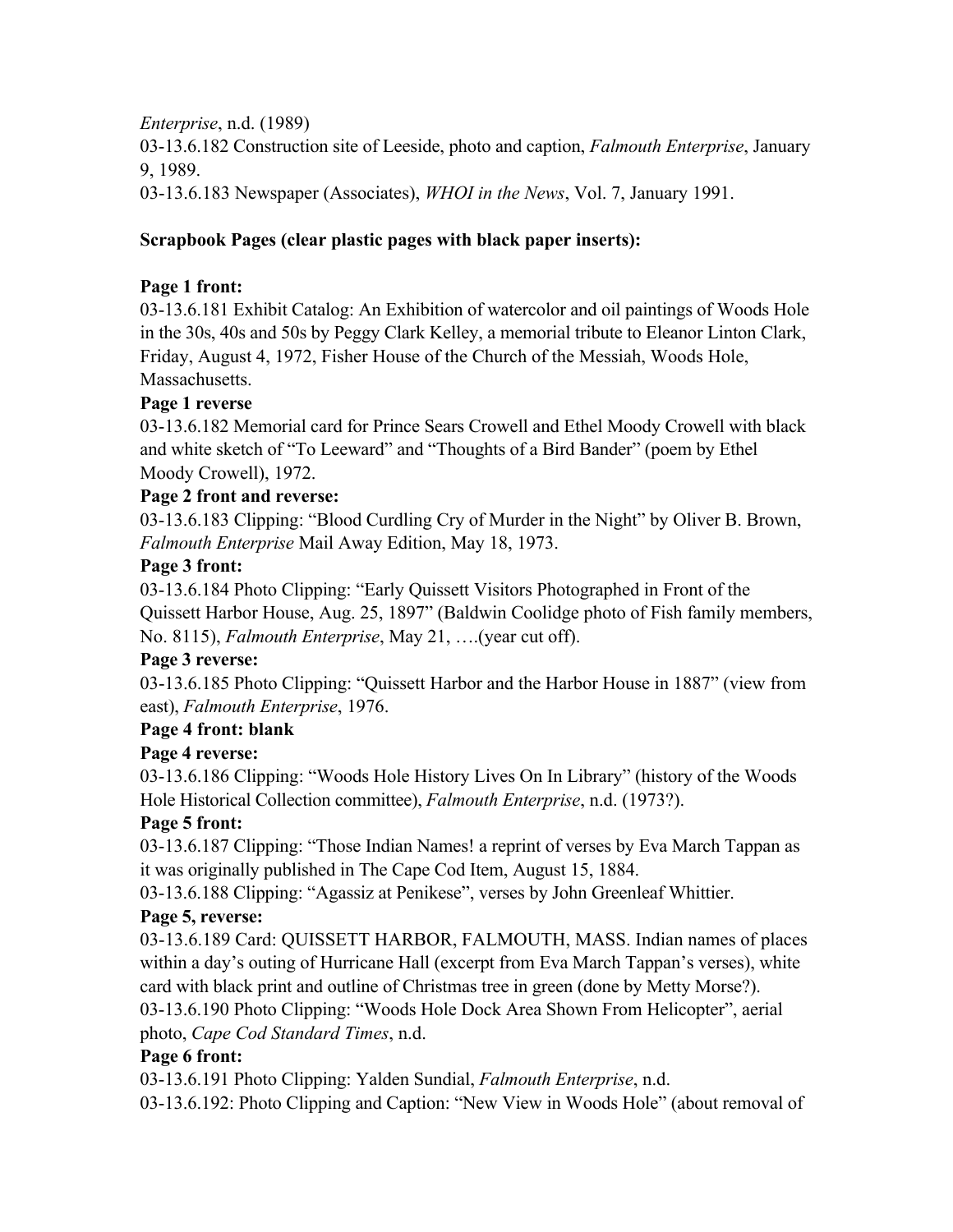*Enterprise*, n.d. (1989) 03-13.6.182 Construction site of Leeside, photo and caption, *Falmouth Enterprise*, January

9, 1989.

03-13.6.183 Newspaper (Associates), *WHOI in the News*, Vol. 7, January 1991.

## **Scrapbook Pages (clear plastic pages with black paper inserts):**

#### **Page 1 front:**

03-13.6.181 Exhibit Catalog: An Exhibition of watercolor and oil paintings of Woods Hole in the 30s, 40s and 50s by Peggy Clark Kelley, a memorial tribute to Eleanor Linton Clark, Friday, August 4, 1972, Fisher House of the Church of the Messiah, Woods Hole, Massachusetts.

#### **Page 1 reverse**

03-13.6.182 Memorial card for Prince Sears Crowell and Ethel Moody Crowell with black and white sketch of "To Leeward" and "Thoughts of a Bird Bander" (poem by Ethel Moody Crowell), 1972.

#### **Page 2 front and reverse:**

03-13.6.183 Clipping: "Blood Curdling Cry of Murder in the Night" by Oliver B. Brown, *Falmouth Enterprise* Mail Away Edition, May 18, 1973.

#### **Page 3 front:**

03-13.6.184 Photo Clipping: "Early Quissett Visitors Photographed in Front of the Quissett Harbor House, Aug. 25, 1897" (Baldwin Coolidge photo of Fish family members, No. 8115), *Falmouth Enterprise*, May 21, ….(year cut off).

## **Page 3 reverse:**

03-13.6.185 Photo Clipping: "Quissett Harbor and the Harbor House in 1887" (view from east), *Falmouth Enterprise*, 1976.

## **Page 4 front: blank**

## **Page 4 reverse:**

03-13.6.186 Clipping: "Woods Hole History Lives On In Library" (history of the Woods Hole Historical Collection committee), *Falmouth Enterprise*, n.d. (1973?).

## **Page 5 front:**

03-13.6.187 Clipping: "Those Indian Names! a reprint of verses by Eva March Tappan as it was originally published in The Cape Cod Item, August 15, 1884.

03-13.6.188 Clipping: "Agassiz at Penikese", verses by John Greenleaf Whittier.

## **Page 5, reverse:**

03-13.6.189 Card: QUISSETT HARBOR, FALMOUTH, MASS. Indian names of places within a day's outing of Hurricane Hall (excerpt from Eva March Tappan's verses), white card with black print and outline of Christmas tree in green (done by Metty Morse?).

03-13.6.190 Photo Clipping: "Woods Hole Dock Area Shown From Helicopter", aerial photo, *Cape Cod Standard Times*, n.d.

## **Page 6 front:**

03-13.6.191 Photo Clipping: Yalden Sundial, *Falmouth Enterprise*, n.d.

03-13.6.192: Photo Clipping and Caption: "New View in Woods Hole" (about removal of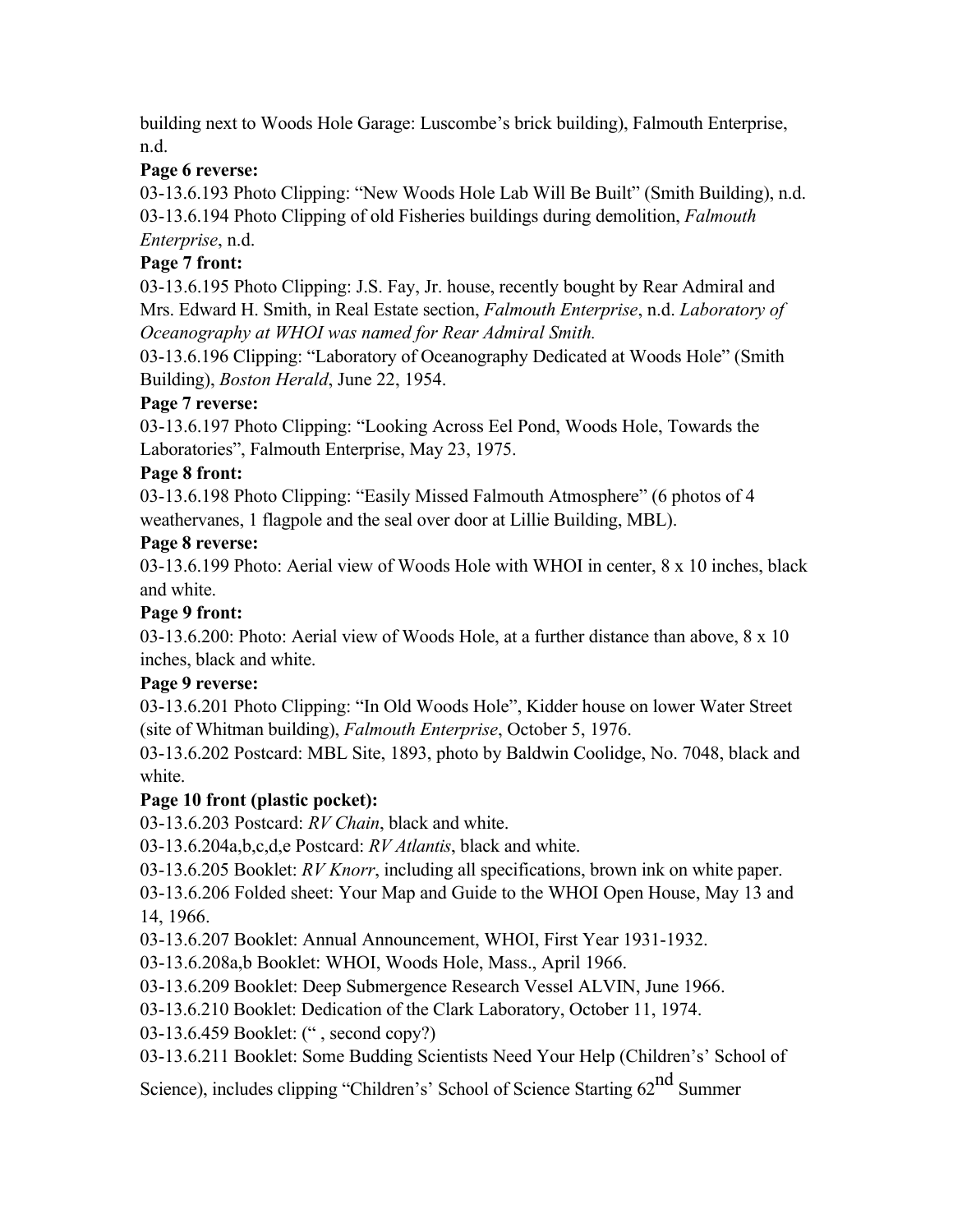building next to Woods Hole Garage: Luscombe's brick building), Falmouth Enterprise, n.d.

# **Page 6 reverse:**

03-13.6.193 Photo Clipping: "New Woods Hole Lab Will Be Built" (Smith Building), n.d. 03-13.6.194 Photo Clipping of old Fisheries buildings during demolition, *Falmouth Enterprise*, n.d.

# **Page 7 front:**

03-13.6.195 Photo Clipping: J.S. Fay, Jr. house, recently bought by Rear Admiral and Mrs. Edward H. Smith, in Real Estate section, *Falmouth Enterprise*, n.d. *Laboratory of Oceanography at WHOI was named for Rear Admiral Smith.*

03-13.6.196 Clipping: "Laboratory of Oceanography Dedicated at Woods Hole" (Smith Building), *Boston Herald*, June 22, 1954.

## **Page 7 reverse:**

03-13.6.197 Photo Clipping: "Looking Across Eel Pond, Woods Hole, Towards the Laboratories", Falmouth Enterprise, May 23, 1975.

## **Page 8 front:**

03-13.6.198 Photo Clipping: "Easily Missed Falmouth Atmosphere" (6 photos of 4 weathervanes, 1 flagpole and the seal over door at Lillie Building, MBL).

## **Page 8 reverse:**

03-13.6.199 Photo: Aerial view of Woods Hole with WHOI in center, 8 x 10 inches, black and white.

# **Page 9 front:**

03-13.6.200: Photo: Aerial view of Woods Hole, at a further distance than above, 8 x 10 inches, black and white.

# **Page 9 reverse:**

03-13.6.201 Photo Clipping: "In Old Woods Hole", Kidder house on lower Water Street (site of Whitman building), *Falmouth Enterprise*, October 5, 1976.

03-13.6.202 Postcard: MBL Site, 1893, photo by Baldwin Coolidge, No. 7048, black and white.

# **Page 10 front (plastic pocket):**

03-13.6.203 Postcard: *RV Chain*, black and white.

03-13.6.204a,b,c,d,e Postcard: *RV Atlantis*, black and white.

03-13.6.205 Booklet: *RV Knorr*, including all specifications, brown ink on white paper.

03-13.6.206 Folded sheet: Your Map and Guide to the WHOI Open House, May 13 and 14, 1966.

03-13.6.207 Booklet: Annual Announcement, WHOI, First Year 1931-1932.

- 03-13.6.208a,b Booklet: WHOI, Woods Hole, Mass., April 1966.
- 03-13.6.209 Booklet: Deep Submergence Research Vessel ALVIN, June 1966.
- 03-13.6.210 Booklet: Dedication of the Clark Laboratory, October 11, 1974.
- 03-13.6.459 Booklet: (" , second copy?)
- 03-13.6.211 Booklet: Some Budding Scientists Need Your Help (Children's' School of

Science), includes clipping "Children's' School of Science Starting 62<sup>nd</sup> Summer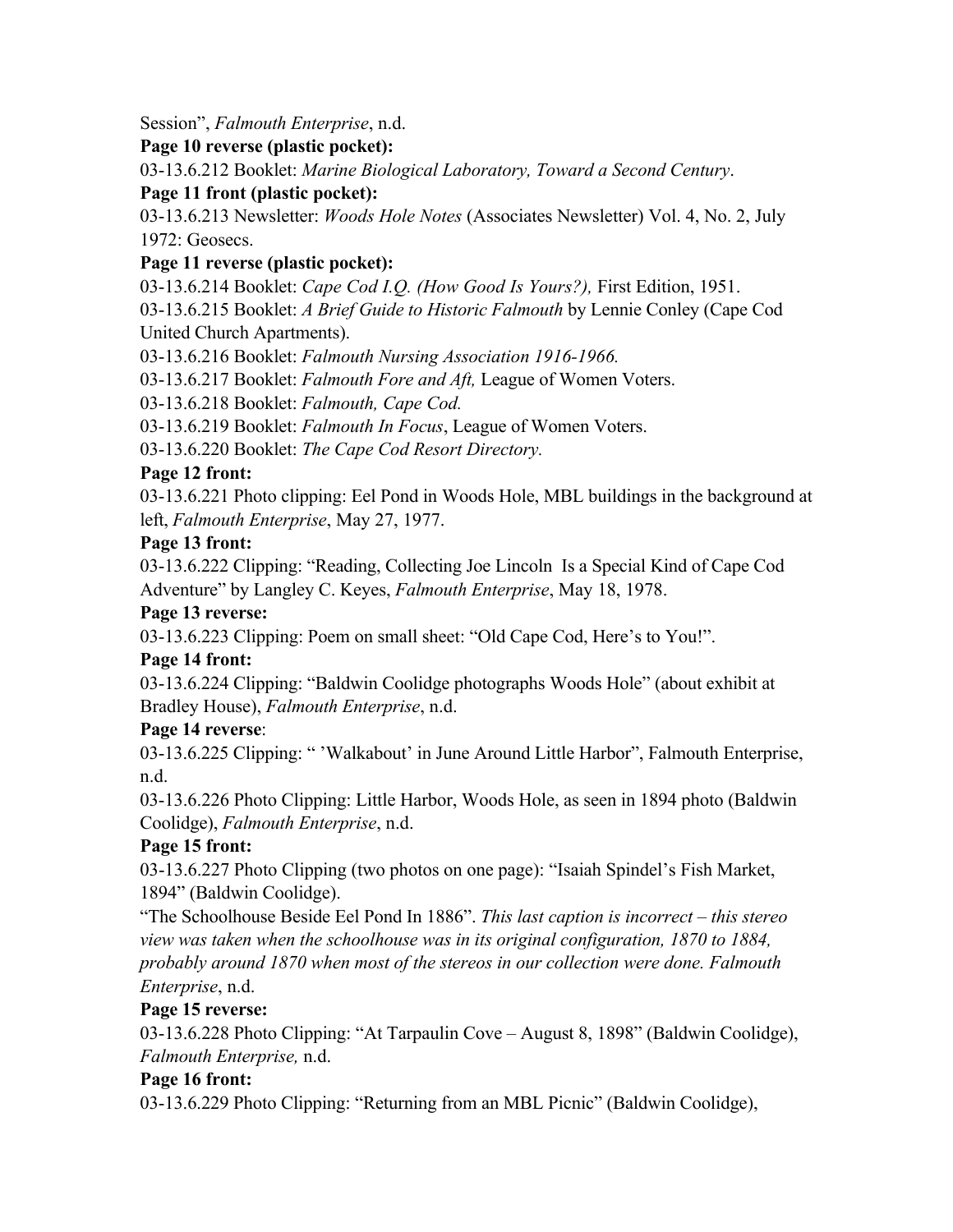Session", *Falmouth Enterprise*, n.d.

## **Page 10 reverse (plastic pocket):**

03-13.6.212 Booklet: *Marine Biological Laboratory, Toward a Second Century*.

## **Page 11 front (plastic pocket):**

03-13.6.213 Newsletter: *Woods Hole Notes* (Associates Newsletter) Vol. 4, No. 2, July 1972: Geosecs.

## **Page 11 reverse (plastic pocket):**

03-13.6.214 Booklet: *Cape Cod I.Q. (How Good Is Yours?),* First Edition, 1951.

03-13.6.215 Booklet: *A Brief Guide to Historic Falmouth* by Lennie Conley (Cape Cod United Church Apartments).

03-13.6.216 Booklet: *Falmouth Nursing Association 1916-1966.*

03-13.6.217 Booklet: *Falmouth Fore and Aft,* League of Women Voters.

03-13.6.218 Booklet: *Falmouth, Cape Cod.*

03-13.6.219 Booklet: *Falmouth In Focus*, League of Women Voters.

03-13.6.220 Booklet: *The Cape Cod Resort Directory.*

# **Page 12 front:**

03-13.6.221 Photo clipping: Eel Pond in Woods Hole, MBL buildings in the background at left, *Falmouth Enterprise*, May 27, 1977.

## **Page 13 front:**

03-13.6.222 Clipping: "Reading, Collecting Joe Lincoln Is a Special Kind of Cape Cod Adventure" by Langley C. Keyes, *Falmouth Enterprise*, May 18, 1978.

# **Page 13 reverse:**

03-13.6.223 Clipping: Poem on small sheet: "Old Cape Cod, Here's to You!".

# **Page 14 front:**

03-13.6.224 Clipping: "Baldwin Coolidge photographs Woods Hole" (about exhibit at Bradley House), *Falmouth Enterprise*, n.d.

# **Page 14 reverse**:

03-13.6.225 Clipping: " 'Walkabout' in June Around Little Harbor", Falmouth Enterprise, n.d.

03-13.6.226 Photo Clipping: Little Harbor, Woods Hole, as seen in 1894 photo (Baldwin Coolidge), *Falmouth Enterprise*, n.d.

# **Page 15 front:**

03-13.6.227 Photo Clipping (two photos on one page): "Isaiah Spindel's Fish Market, 1894" (Baldwin Coolidge).

"The Schoolhouse Beside Eel Pond In 1886". *This last caption is incorrect – this stereo view was taken when the schoolhouse was in its original configuration, 1870 to 1884, probably around 1870 when most of the stereos in our collection were done. Falmouth Enterprise*, n.d.

# **Page 15 reverse:**

03-13.6.228 Photo Clipping: "At Tarpaulin Cove – August 8, 1898" (Baldwin Coolidge), *Falmouth Enterprise,* n.d.

## **Page 16 front:**

03-13.6.229 Photo Clipping: "Returning from an MBL Picnic" (Baldwin Coolidge),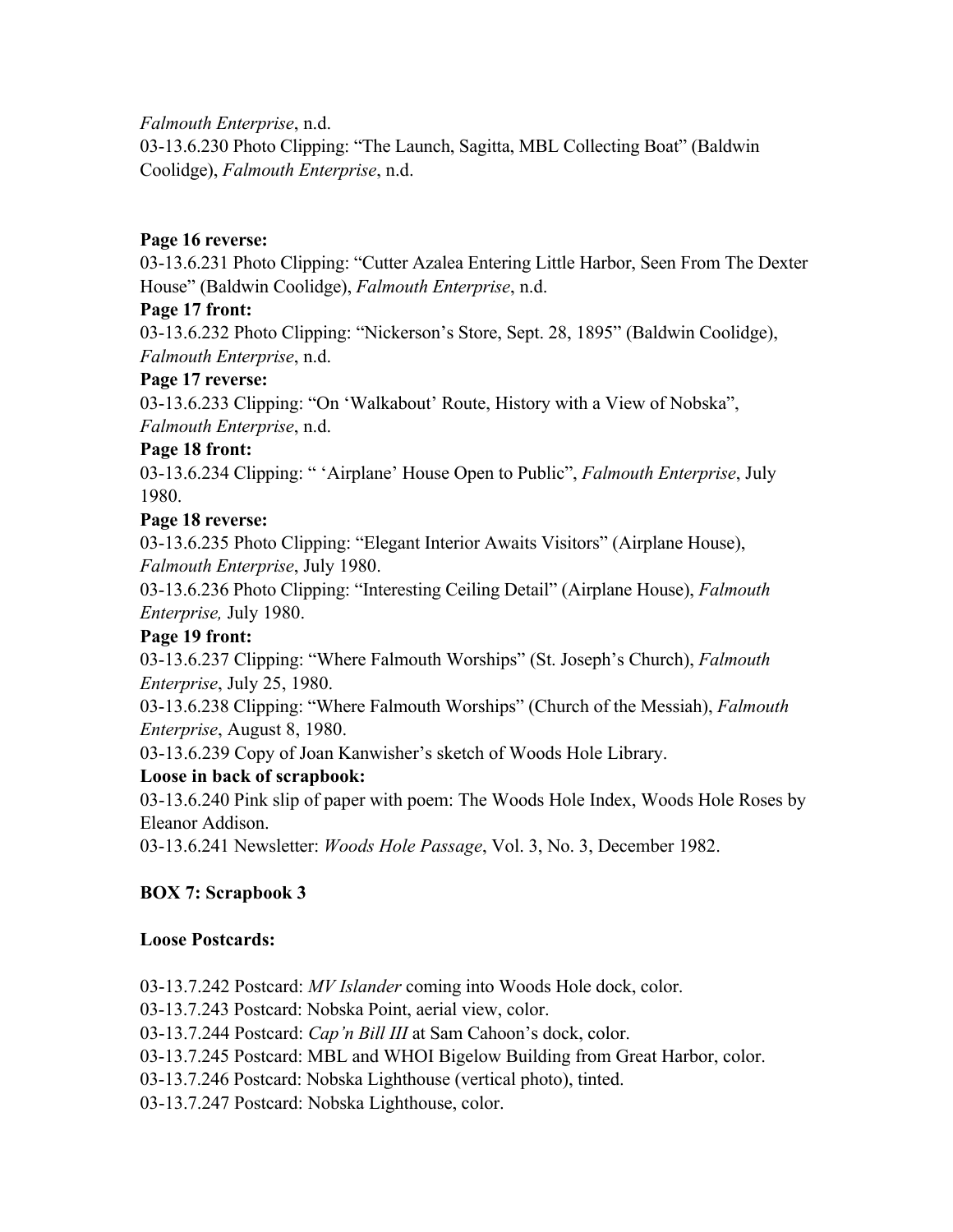*Falmouth Enterprise*, n.d.

03-13.6.230 Photo Clipping: "The Launch, Sagitta, MBL Collecting Boat" (Baldwin Coolidge), *Falmouth Enterprise*, n.d.

#### **Page 16 reverse:**

03-13.6.231 Photo Clipping: "Cutter Azalea Entering Little Harbor, Seen From The Dexter House" (Baldwin Coolidge), *Falmouth Enterprise*, n.d.

#### **Page 17 front:**

03-13.6.232 Photo Clipping: "Nickerson's Store, Sept. 28, 1895" (Baldwin Coolidge), *Falmouth Enterprise*, n.d.

#### **Page 17 reverse:**

03-13.6.233 Clipping: "On 'Walkabout' Route, History with a View of Nobska", *Falmouth Enterprise*, n.d.

#### **Page 18 front:**

03-13.6.234 Clipping: " 'Airplane' House Open to Public", *Falmouth Enterprise*, July 1980.

#### **Page 18 reverse:**

03-13.6.235 Photo Clipping: "Elegant Interior Awaits Visitors" (Airplane House), *Falmouth Enterprise*, July 1980.

03-13.6.236 Photo Clipping: "Interesting Ceiling Detail" (Airplane House), *Falmouth Enterprise,* July 1980.

## **Page 19 front:**

03-13.6.237 Clipping: "Where Falmouth Worships" (St. Joseph's Church), *Falmouth Enterprise*, July 25, 1980.

03-13.6.238 Clipping: "Where Falmouth Worships" (Church of the Messiah), *Falmouth Enterprise*, August 8, 1980.

03-13.6.239 Copy of Joan Kanwisher's sketch of Woods Hole Library.

## **Loose in back of scrapbook:**

03-13.6.240 Pink slip of paper with poem: The Woods Hole Index, Woods Hole Roses by Eleanor Addison.

03-13.6.241 Newsletter: *Woods Hole Passage*, Vol. 3, No. 3, December 1982.

## **BOX 7: Scrapbook 3**

#### **Loose Postcards:**

03-13.7.242 Postcard: *MV Islander* coming into Woods Hole dock, color.

03-13.7.243 Postcard: Nobska Point, aerial view, color.

03-13.7.244 Postcard: *Cap'n Bill III* at Sam Cahoon's dock, color.

03-13.7.245 Postcard: MBL and WHOI Bigelow Building from Great Harbor, color.

03-13.7.246 Postcard: Nobska Lighthouse (vertical photo), tinted.

03-13.7.247 Postcard: Nobska Lighthouse, color.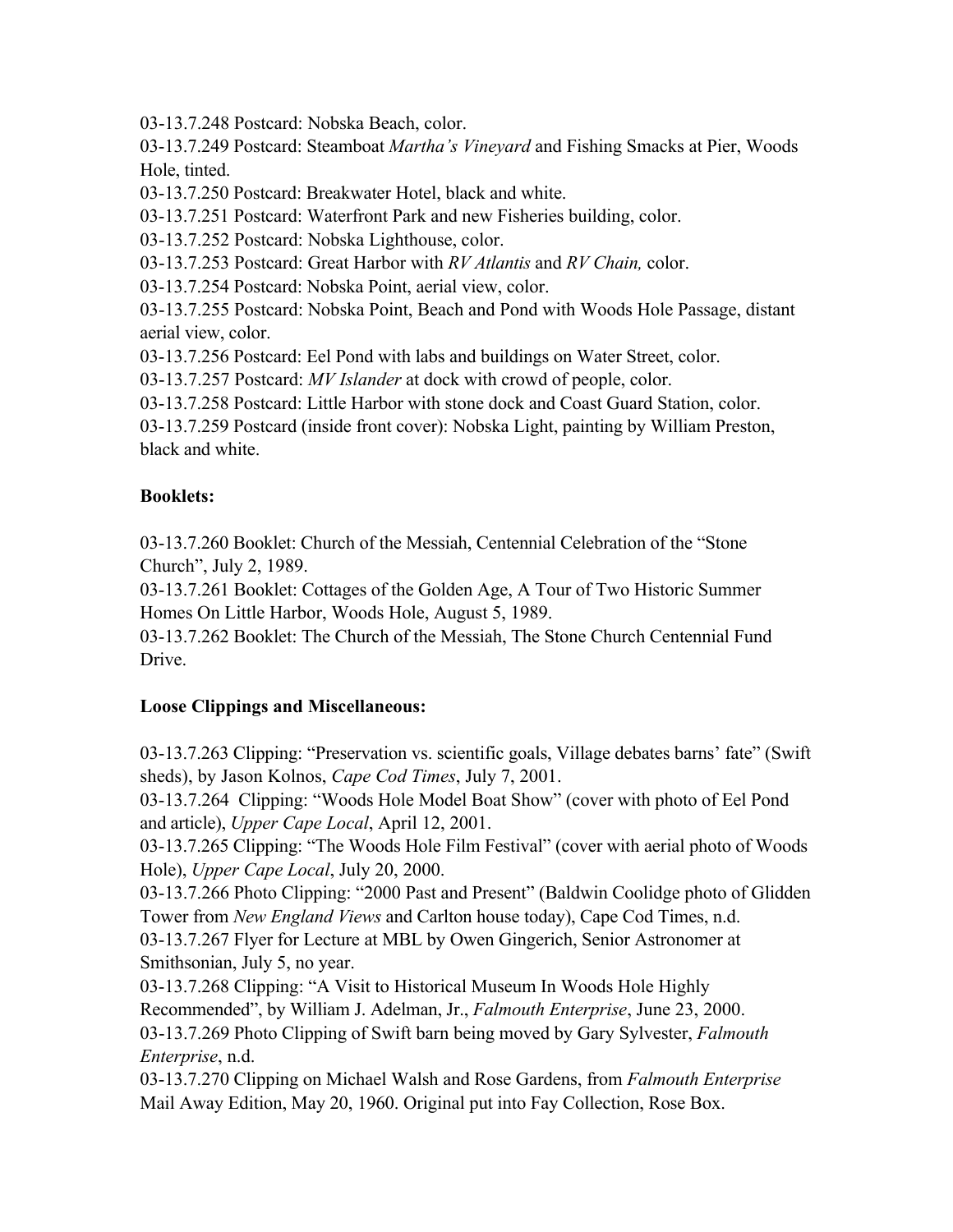03-13.7.248 Postcard: Nobska Beach, color.

03-13.7.249 Postcard: Steamboat *Martha's Vineyard* and Fishing Smacks at Pier, Woods Hole, tinted.

03-13.7.250 Postcard: Breakwater Hotel, black and white.

03-13.7.251 Postcard: Waterfront Park and new Fisheries building, color.

03-13.7.252 Postcard: Nobska Lighthouse, color.

03-13.7.253 Postcard: Great Harbor with *RV Atlantis* and *RV Chain,* color.

03-13.7.254 Postcard: Nobska Point, aerial view, color.

03-13.7.255 Postcard: Nobska Point, Beach and Pond with Woods Hole Passage, distant aerial view, color.

03-13.7.256 Postcard: Eel Pond with labs and buildings on Water Street, color.

03-13.7.257 Postcard: *MV Islander* at dock with crowd of people, color.

03-13.7.258 Postcard: Little Harbor with stone dock and Coast Guard Station, color.

03-13.7.259 Postcard (inside front cover): Nobska Light, painting by William Preston, black and white.

#### **Booklets:**

03-13.7.260 Booklet: Church of the Messiah, Centennial Celebration of the "Stone Church", July 2, 1989.

03-13.7.261 Booklet: Cottages of the Golden Age, A Tour of Two Historic Summer Homes On Little Harbor, Woods Hole, August 5, 1989.

03-13.7.262 Booklet: The Church of the Messiah, The Stone Church Centennial Fund Drive.

## **Loose Clippings and Miscellaneous:**

03-13.7.263 Clipping: "Preservation vs. scientific goals, Village debates barns' fate" (Swift sheds), by Jason Kolnos, *Cape Cod Times*, July 7, 2001.

03-13.7.264 Clipping: "Woods Hole Model Boat Show" (cover with photo of Eel Pond and article), *Upper Cape Local*, April 12, 2001.

03-13.7.265 Clipping: "The Woods Hole Film Festival" (cover with aerial photo of Woods Hole), *Upper Cape Local*, July 20, 2000.

03-13.7.266 Photo Clipping: "2000 Past and Present" (Baldwin Coolidge photo of Glidden Tower from *New England Views* and Carlton house today), Cape Cod Times, n.d.

03-13.7.267 Flyer for Lecture at MBL by Owen Gingerich, Senior Astronomer at Smithsonian, July 5, no year.

03-13.7.268 Clipping: "A Visit to Historical Museum In Woods Hole Highly Recommended", by William J. Adelman, Jr., *Falmouth Enterprise*, June 23, 2000.

03-13.7.269 Photo Clipping of Swift barn being moved by Gary Sylvester, *Falmouth Enterprise*, n.d.

03-13.7.270 Clipping on Michael Walsh and Rose Gardens, from *Falmouth Enterprise* Mail Away Edition, May 20, 1960. Original put into Fay Collection, Rose Box.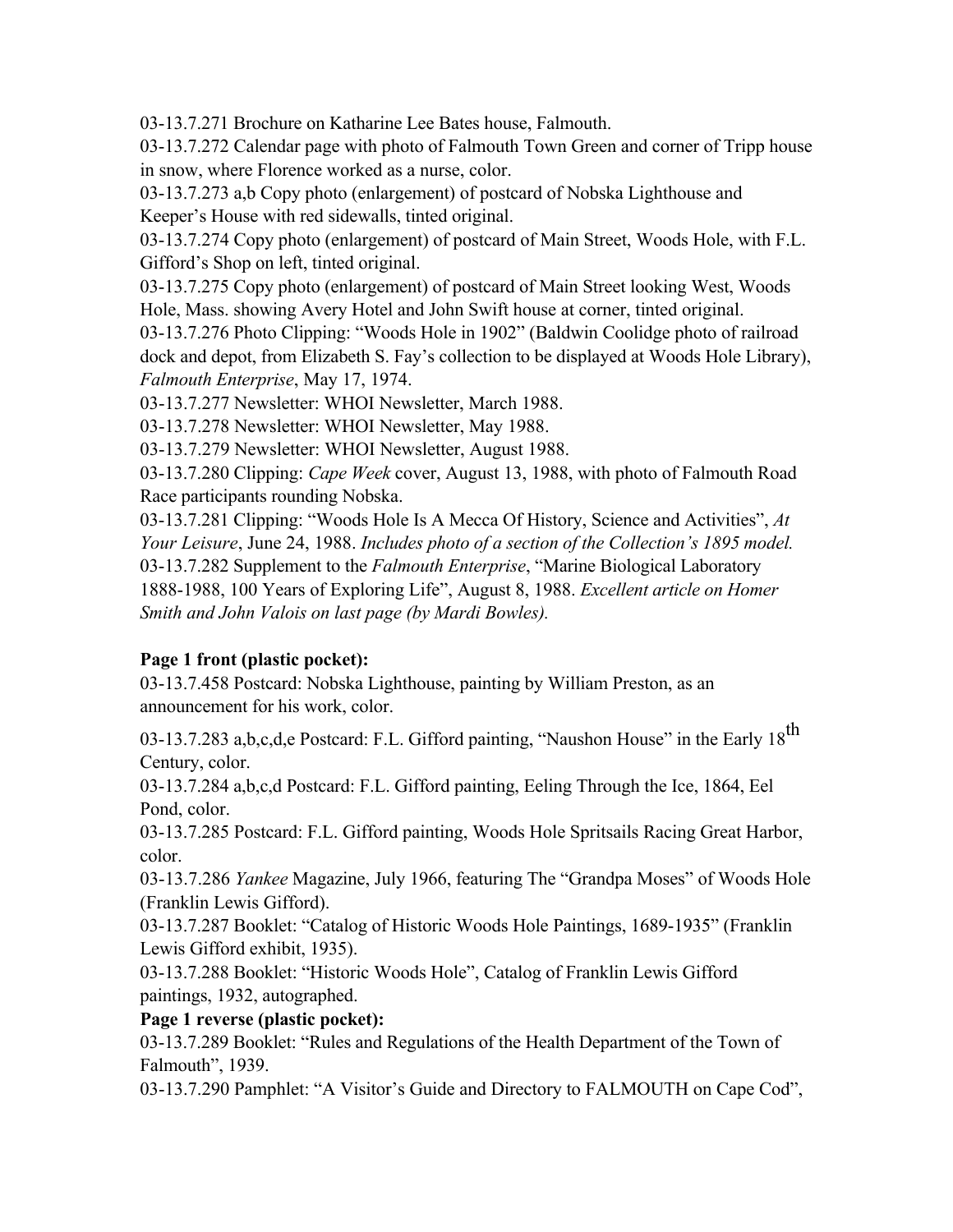03-13.7.271 Brochure on Katharine Lee Bates house, Falmouth.

03-13.7.272 Calendar page with photo of Falmouth Town Green and corner of Tripp house in snow, where Florence worked as a nurse, color.

03-13.7.273 a,b Copy photo (enlargement) of postcard of Nobska Lighthouse and Keeper's House with red sidewalls, tinted original.

03-13.7.274 Copy photo (enlargement) of postcard of Main Street, Woods Hole, with F.L. Gifford's Shop on left, tinted original.

03-13.7.275 Copy photo (enlargement) of postcard of Main Street looking West, Woods Hole, Mass. showing Avery Hotel and John Swift house at corner, tinted original.

03-13.7.276 Photo Clipping: "Woods Hole in 1902" (Baldwin Coolidge photo of railroad dock and depot, from Elizabeth S. Fay's collection to be displayed at Woods Hole Library), *Falmouth Enterprise*, May 17, 1974.

03-13.7.277 Newsletter: WHOI Newsletter, March 1988.

03-13.7.278 Newsletter: WHOI Newsletter, May 1988.

03-13.7.279 Newsletter: WHOI Newsletter, August 1988.

03-13.7.280 Clipping: *Cape Week* cover, August 13, 1988, with photo of Falmouth Road Race participants rounding Nobska.

03-13.7.281 Clipping: "Woods Hole Is A Mecca Of History, Science and Activities", *At Your Leisure*, June 24, 1988. *Includes photo of a section of the Collection's 1895 model.* 03-13.7.282 Supplement to the *Falmouth Enterprise*, "Marine Biological Laboratory 1888-1988, 100 Years of Exploring Life", August 8, 1988. *Excellent article on Homer Smith and John Valois on last page (by Mardi Bowles).*

## **Page 1 front (plastic pocket):**

03-13.7.458 Postcard: Nobska Lighthouse, painting by William Preston, as an announcement for his work, color.

03-13.7.283 a,b,c,d,e Postcard: F.L. Gifford painting, "Naushon House" in the Early 18<sup>th</sup> Century, color.

03-13.7.284 a,b,c,d Postcard: F.L. Gifford painting, Eeling Through the Ice, 1864, Eel Pond, color.

03-13.7.285 Postcard: F.L. Gifford painting, Woods Hole Spritsails Racing Great Harbor, color.

03-13.7.286 *Yankee* Magazine, July 1966, featuring The "Grandpa Moses" of Woods Hole (Franklin Lewis Gifford).

03-13.7.287 Booklet: "Catalog of Historic Woods Hole Paintings, 1689-1935" (Franklin Lewis Gifford exhibit, 1935).

03-13.7.288 Booklet: "Historic Woods Hole", Catalog of Franklin Lewis Gifford paintings, 1932, autographed.

**Page 1 reverse (plastic pocket):**

03-13.7.289 Booklet: "Rules and Regulations of the Health Department of the Town of Falmouth", 1939.

03-13.7.290 Pamphlet: "A Visitor's Guide and Directory to FALMOUTH on Cape Cod",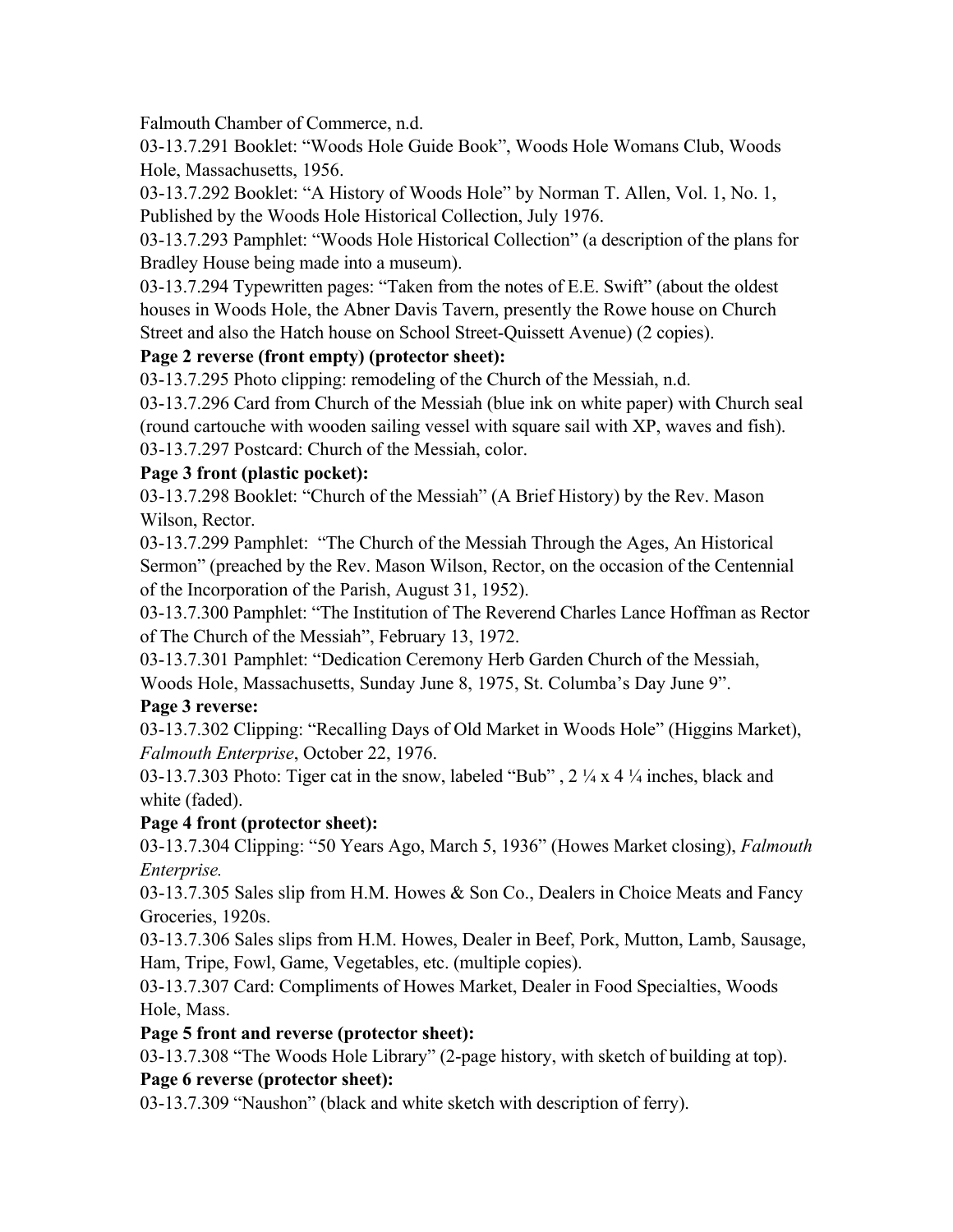Falmouth Chamber of Commerce, n.d.

03-13.7.291 Booklet: "Woods Hole Guide Book", Woods Hole Womans Club, Woods Hole, Massachusetts, 1956.

03-13.7.292 Booklet: "A History of Woods Hole" by Norman T. Allen, Vol. 1, No. 1, Published by the Woods Hole Historical Collection, July 1976.

03-13.7.293 Pamphlet: "Woods Hole Historical Collection" (a description of the plans for Bradley House being made into a museum).

03-13.7.294 Typewritten pages: "Taken from the notes of E.E. Swift" (about the oldest houses in Woods Hole, the Abner Davis Tavern, presently the Rowe house on Church Street and also the Hatch house on School Street-Quissett Avenue) (2 copies).

## **Page 2 reverse (front empty) (protector sheet):**

03-13.7.295 Photo clipping: remodeling of the Church of the Messiah, n.d.

03-13.7.296 Card from Church of the Messiah (blue ink on white paper) with Church seal (round cartouche with wooden sailing vessel with square sail with XP, waves and fish). 03-13.7.297 Postcard: Church of the Messiah, color.

## **Page 3 front (plastic pocket):**

03-13.7.298 Booklet: "Church of the Messiah" (A Brief History) by the Rev. Mason Wilson, Rector.

03-13.7.299 Pamphlet: "The Church of the Messiah Through the Ages, An Historical Sermon" (preached by the Rev. Mason Wilson, Rector, on the occasion of the Centennial of the Incorporation of the Parish, August 31, 1952).

03-13.7.300 Pamphlet: "The Institution of The Reverend Charles Lance Hoffman as Rector of The Church of the Messiah", February 13, 1972.

03-13.7.301 Pamphlet: "Dedication Ceremony Herb Garden Church of the Messiah, Woods Hole, Massachusetts, Sunday June 8, 1975, St. Columba's Day June 9".

## **Page 3 reverse:**

03-13.7.302 Clipping: "Recalling Days of Old Market in Woods Hole" (Higgins Market), *Falmouth Enterprise*, October 22, 1976.

03-13.7.303 Photo: Tiger cat in the snow, labeled "Bub" , 2 ¼ x 4 ¼ inches, black and white (faded).

# **Page 4 front (protector sheet):**

03-13.7.304 Clipping: "50 Years Ago, March 5, 1936" (Howes Market closing), *Falmouth Enterprise.*

03-13.7.305 Sales slip from H.M. Howes & Son Co., Dealers in Choice Meats and Fancy Groceries, 1920s.

03-13.7.306 Sales slips from H.M. Howes, Dealer in Beef, Pork, Mutton, Lamb, Sausage, Ham, Tripe, Fowl, Game, Vegetables, etc. (multiple copies).

03-13.7.307 Card: Compliments of Howes Market, Dealer in Food Specialties, Woods Hole, Mass.

# **Page 5 front and reverse (protector sheet):**

03-13.7.308 "The Woods Hole Library" (2-page history, with sketch of building at top). **Page 6 reverse (protector sheet):**

03-13.7.309 "Naushon" (black and white sketch with description of ferry).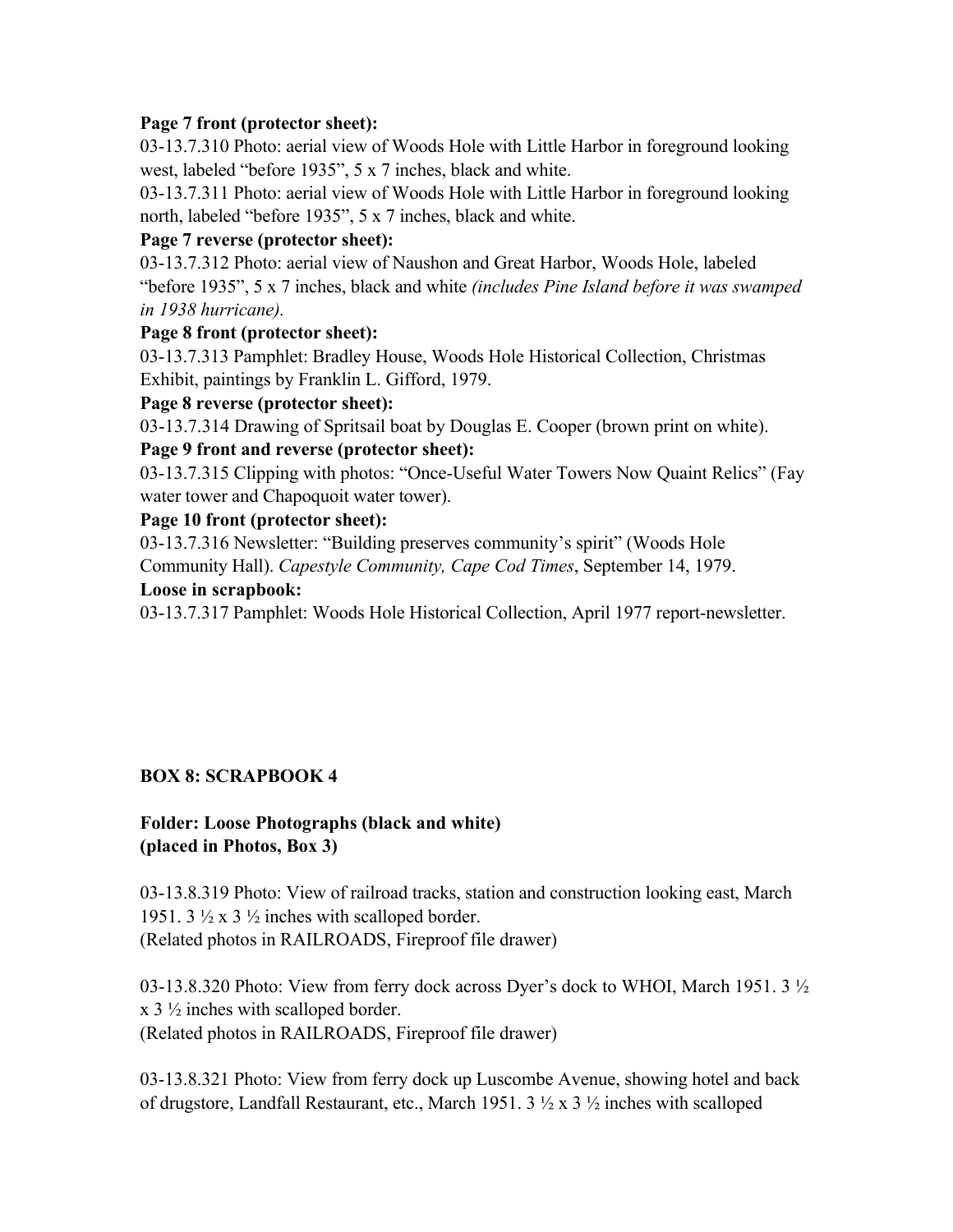#### **Page 7 front (protector sheet):**

03-13.7.310 Photo: aerial view of Woods Hole with Little Harbor in foreground looking west, labeled "before 1935", 5 x 7 inches, black and white.

03-13.7.311 Photo: aerial view of Woods Hole with Little Harbor in foreground looking north, labeled "before 1935", 5 x 7 inches, black and white.

#### **Page 7 reverse (protector sheet):**

03-13.7.312 Photo: aerial view of Naushon and Great Harbor, Woods Hole, labeled "before 1935", 5 x 7 inches, black and white *(includes Pine Island before it was swamped in 1938 hurricane).*

#### **Page 8 front (protector sheet):**

03-13.7.313 Pamphlet: Bradley House, Woods Hole Historical Collection, Christmas Exhibit, paintings by Franklin L. Gifford, 1979.

#### **Page 8 reverse (protector sheet):**

03-13.7.314 Drawing of Spritsail boat by Douglas E. Cooper (brown print on white).

#### **Page 9 front and reverse (protector sheet):**

03-13.7.315 Clipping with photos: "Once-Useful Water Towers Now Quaint Relics" (Fay water tower and Chapoquoit water tower).

#### **Page 10 front (protector sheet):**

03-13.7.316 Newsletter: "Building preserves community's spirit" (Woods Hole Community Hall). *Capestyle Community, Cape Cod Times*, September 14, 1979.

#### **Loose in scrapbook:**

03-13.7.317 Pamphlet: Woods Hole Historical Collection, April 1977 report-newsletter.

#### **BOX 8: SCRAPBOOK 4**

#### **Folder: Loose Photographs (black and white) (placed in Photos, Box 3)**

03-13.8.319 Photo: View of railroad tracks, station and construction looking east, March 1951. 3  $\frac{1}{2}$  x 3  $\frac{1}{2}$  inches with scalloped border. (Related photos in RAILROADS, Fireproof file drawer)

03-13.8.320 Photo: View from ferry dock across Dyer's dock to WHOI, March 1951. 3  $\frac{1}{2}$ x 3 ½ inches with scalloped border. (Related photos in RAILROADS, Fireproof file drawer)

03-13.8.321 Photo: View from ferry dock up Luscombe Avenue, showing hotel and back of drugstore, Landfall Restaurant, etc., March 1951. 3 ½ x 3 ½ inches with scalloped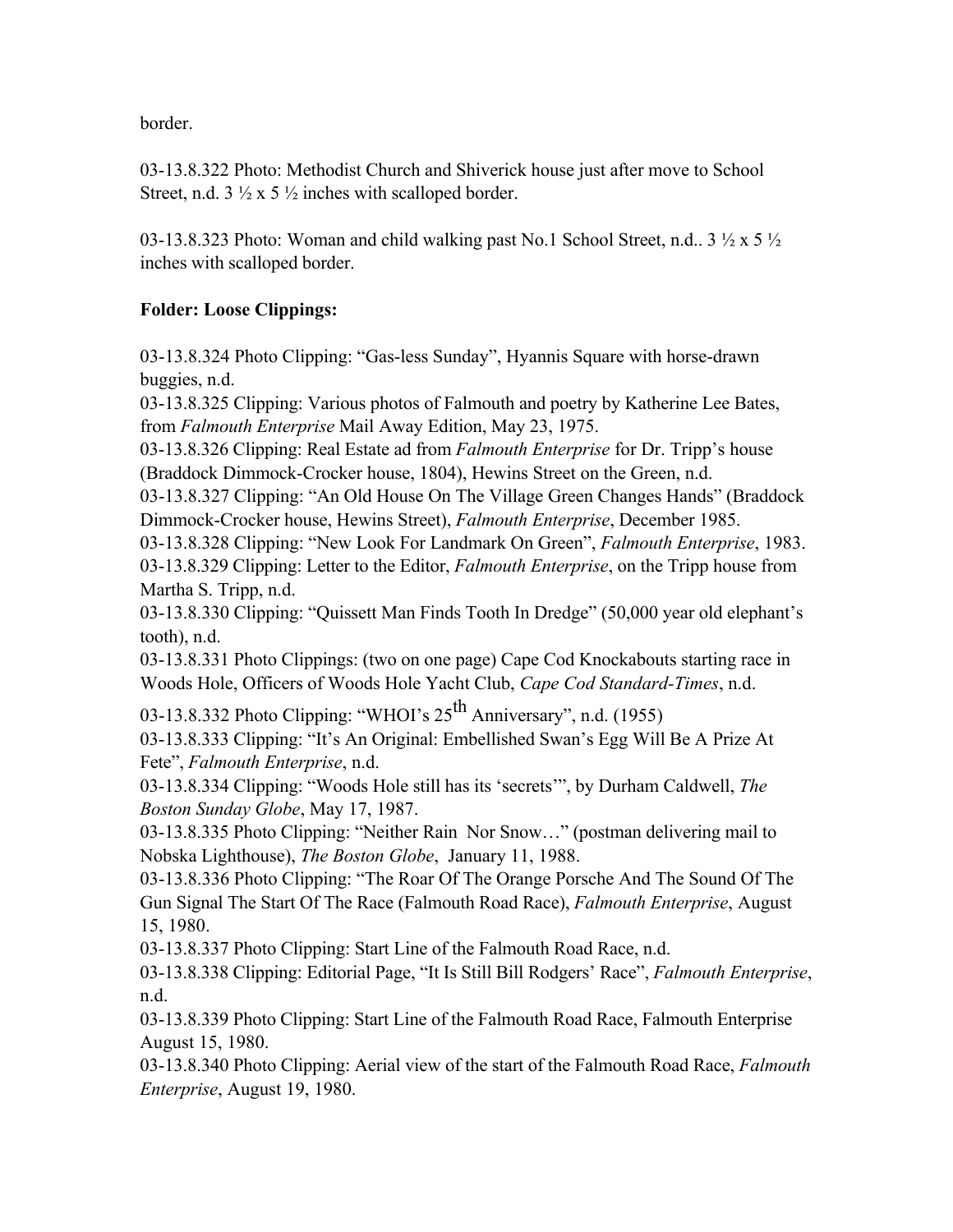border.

03-13.8.322 Photo: Methodist Church and Shiverick house just after move to School Street, n.d.  $3 \frac{1}{2} \times 5 \frac{1}{2}$  inches with scalloped border.

03-13.8.323 Photo: Woman and child walking past No.1 School Street, n.d.,  $3\frac{1}{2} \times 5\frac{1}{2}$ inches with scalloped border.

## **Folder: Loose Clippings:**

03-13.8.324 Photo Clipping: "Gas-less Sunday", Hyannis Square with horse-drawn buggies, n.d.

03-13.8.325 Clipping: Various photos of Falmouth and poetry by Katherine Lee Bates, from *Falmouth Enterprise* Mail Away Edition, May 23, 1975.

03-13.8.326 Clipping: Real Estate ad from *Falmouth Enterprise* for Dr. Tripp's house (Braddock Dimmock-Crocker house, 1804), Hewins Street on the Green, n.d.

03-13.8.327 Clipping: "An Old House On The Village Green Changes Hands" (Braddock Dimmock-Crocker house, Hewins Street), *Falmouth Enterprise*, December 1985.

03-13.8.328 Clipping: "New Look For Landmark On Green", *Falmouth Enterprise*, 1983. 03-13.8.329 Clipping: Letter to the Editor, *Falmouth Enterprise*, on the Tripp house from Martha S. Tripp, n.d.

03-13.8.330 Clipping: "Quissett Man Finds Tooth In Dredge" (50,000 year old elephant's tooth), n.d.

03-13.8.331 Photo Clippings: (two on one page) Cape Cod Knockabouts starting race in Woods Hole, Officers of Woods Hole Yacht Club, *Cape Cod Standard-Times*, n.d.

03-13.8.332 Photo Clipping: "WHOI's  $25^{th}$  Anniversary", n.d. (1955)

03-13.8.333 Clipping: "It's An Original: Embellished Swan's Egg Will Be A Prize At Fete", *Falmouth Enterprise*, n.d.

03-13.8.334 Clipping: "Woods Hole still has its 'secrets'", by Durham Caldwell, *The Boston Sunday Globe*, May 17, 1987.

03-13.8.335 Photo Clipping: "Neither Rain Nor Snow…" (postman delivering mail to Nobska Lighthouse), *The Boston Globe*, January 11, 1988.

03-13.8.336 Photo Clipping: "The Roar Of The Orange Porsche And The Sound Of The Gun Signal The Start Of The Race (Falmouth Road Race), *Falmouth Enterprise*, August 15, 1980.

03-13.8.337 Photo Clipping: Start Line of the Falmouth Road Race, n.d.

03-13.8.338 Clipping: Editorial Page, "It Is Still Bill Rodgers' Race", *Falmouth Enterprise*, n.d.

03-13.8.339 Photo Clipping: Start Line of the Falmouth Road Race, Falmouth Enterprise August 15, 1980.

03-13.8.340 Photo Clipping: Aerial view of the start of the Falmouth Road Race, *Falmouth Enterprise*, August 19, 1980.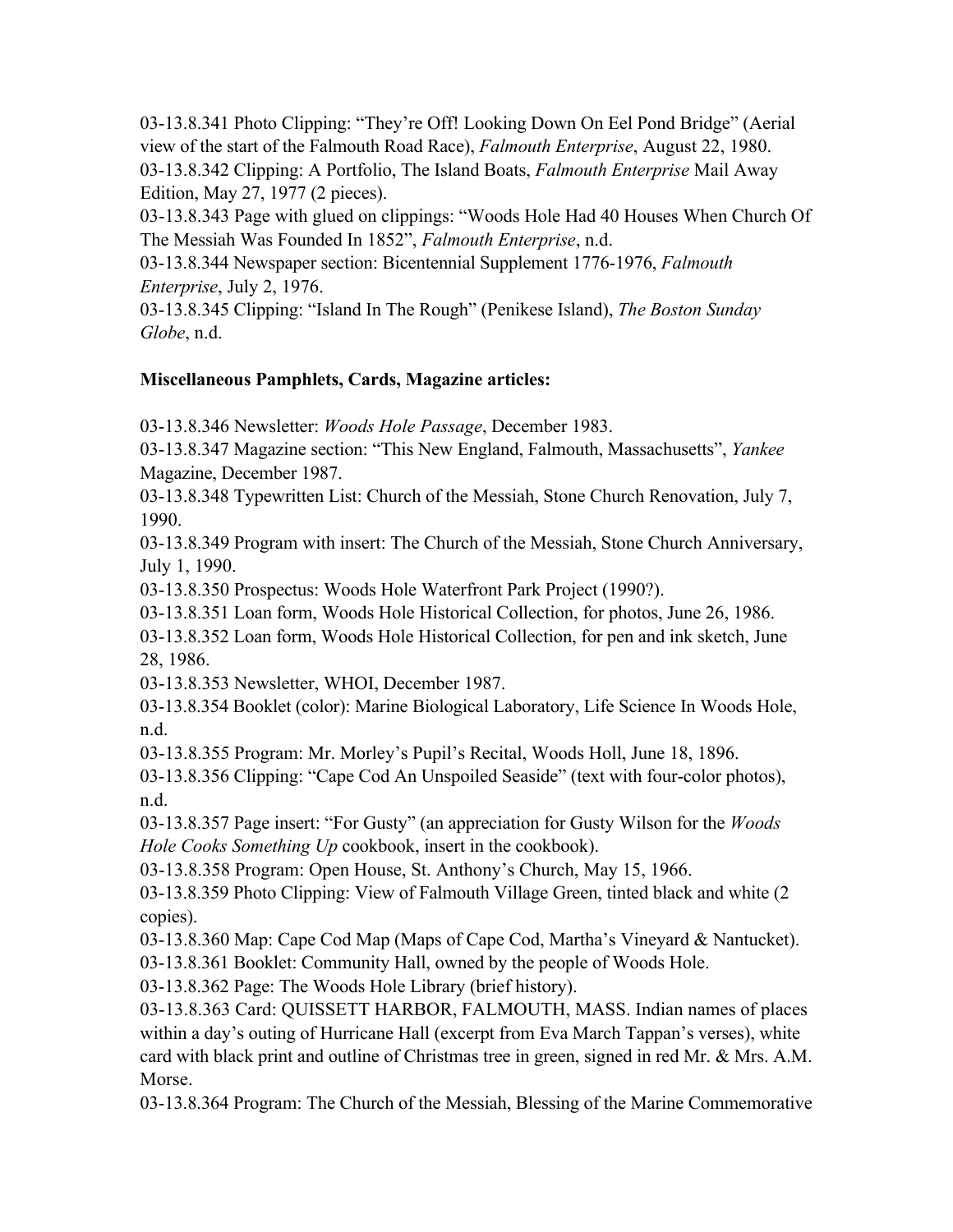03-13.8.341 Photo Clipping: "They're Off! Looking Down On Eel Pond Bridge" (Aerial view of the start of the Falmouth Road Race), *Falmouth Enterprise*, August 22, 1980. 03-13.8.342 Clipping: A Portfolio, The Island Boats, *Falmouth Enterprise* Mail Away Edition, May 27, 1977 (2 pieces).

03-13.8.343 Page with glued on clippings: "Woods Hole Had 40 Houses When Church Of The Messiah Was Founded In 1852", *Falmouth Enterprise*, n.d.

03-13.8.344 Newspaper section: Bicentennial Supplement 1776-1976, *Falmouth Enterprise*, July 2, 1976.

03-13.8.345 Clipping: "Island In The Rough" (Penikese Island), *The Boston Sunday Globe*, n.d.

# **Miscellaneous Pamphlets, Cards, Magazine articles:**

03-13.8.346 Newsletter: *Woods Hole Passage*, December 1983.

03-13.8.347 Magazine section: "This New England, Falmouth, Massachusetts", *Yankee* Magazine, December 1987.

03-13.8.348 Typewritten List: Church of the Messiah, Stone Church Renovation, July 7, 1990.

03-13.8.349 Program with insert: The Church of the Messiah, Stone Church Anniversary, July 1, 1990.

03-13.8.350 Prospectus: Woods Hole Waterfront Park Project (1990?).

03-13.8.351 Loan form, Woods Hole Historical Collection, for photos, June 26, 1986.

03-13.8.352 Loan form, Woods Hole Historical Collection, for pen and ink sketch, June 28, 1986.

03-13.8.353 Newsletter, WHOI, December 1987.

03-13.8.354 Booklet (color): Marine Biological Laboratory, Life Science In Woods Hole, n.d.

03-13.8.355 Program: Mr. Morley's Pupil's Recital, Woods Holl, June 18, 1896.

03-13.8.356 Clipping: "Cape Cod An Unspoiled Seaside" (text with four-color photos), n.d.

03-13.8.357 Page insert: "For Gusty" (an appreciation for Gusty Wilson for the *Woods Hole Cooks Something Up* cookbook, insert in the cookbook).

03-13.8.358 Program: Open House, St. Anthony's Church, May 15, 1966.

03-13.8.359 Photo Clipping: View of Falmouth Village Green, tinted black and white (2 copies).

03-13.8.360 Map: Cape Cod Map (Maps of Cape Cod, Martha's Vineyard & Nantucket).

03-13.8.361 Booklet: Community Hall, owned by the people of Woods Hole.

03-13.8.362 Page: The Woods Hole Library (brief history).

03-13.8.363 Card: QUISSETT HARBOR, FALMOUTH, MASS. Indian names of places within a day's outing of Hurricane Hall (excerpt from Eva March Tappan's verses), white card with black print and outline of Christmas tree in green, signed in red Mr. & Mrs. A.M. Morse.

03-13.8.364 Program: The Church of the Messiah, Blessing of the Marine Commemorative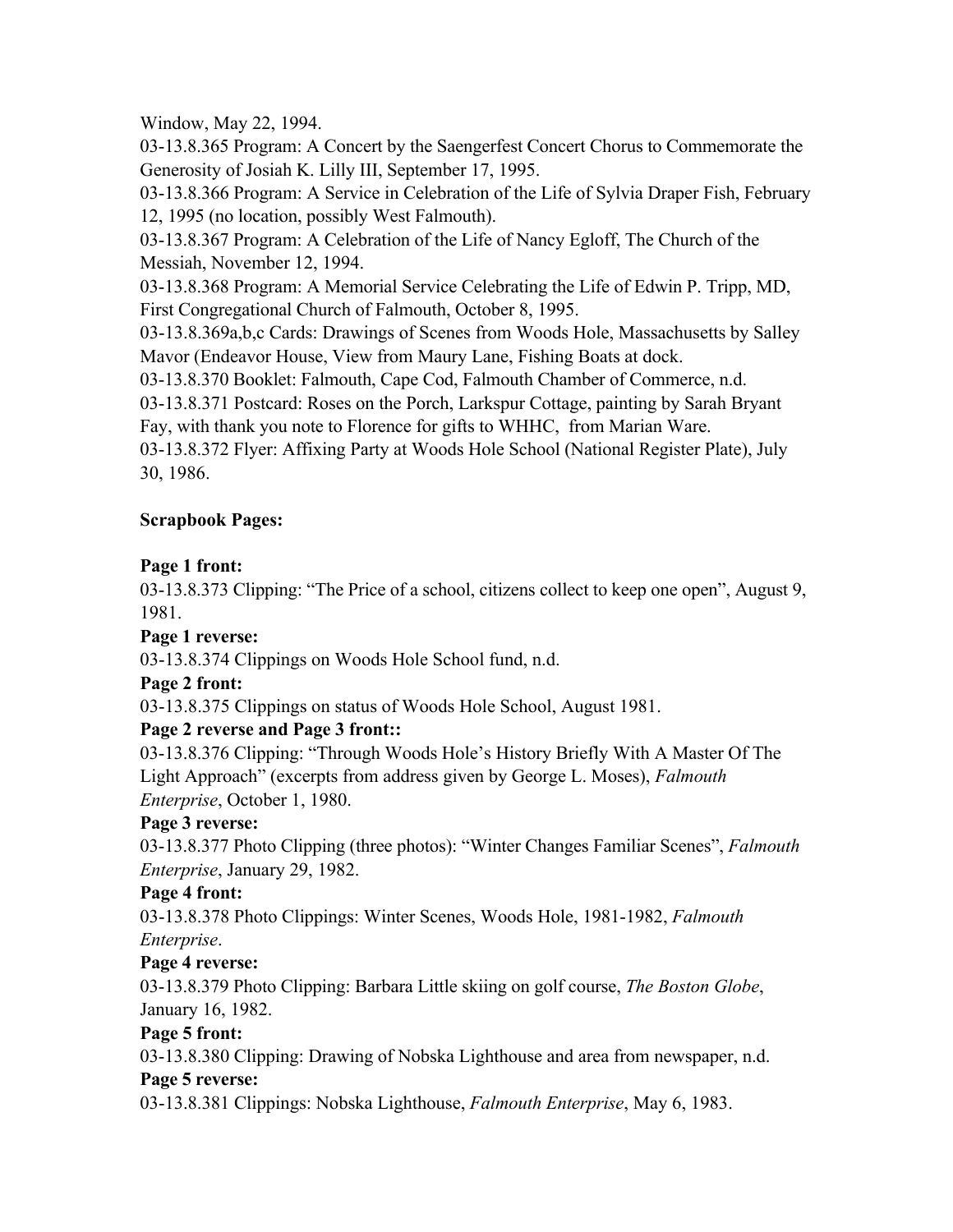#### Window, May 22, 1994.

03-13.8.365 Program: A Concert by the Saengerfest Concert Chorus to Commemorate the Generosity of Josiah K. Lilly III, September 17, 1995.

03-13.8.366 Program: A Service in Celebration of the Life of Sylvia Draper Fish, February 12, 1995 (no location, possibly West Falmouth).

03-13.8.367 Program: A Celebration of the Life of Nancy Egloff, The Church of the Messiah, November 12, 1994.

03-13.8.368 Program: A Memorial Service Celebrating the Life of Edwin P. Tripp, MD, First Congregational Church of Falmouth, October 8, 1995.

03-13.8.369a,b,c Cards: Drawings of Scenes from Woods Hole, Massachusetts by Salley Mavor (Endeavor House, View from Maury Lane, Fishing Boats at dock.

03-13.8.370 Booklet: Falmouth, Cape Cod, Falmouth Chamber of Commerce, n.d.

03-13.8.371 Postcard: Roses on the Porch, Larkspur Cottage, painting by Sarah Bryant Fay, with thank you note to Florence for gifts to WHHC, from Marian Ware.

03-13.8.372 Flyer: Affixing Party at Woods Hole School (National Register Plate), July 30, 1986.

#### **Scrapbook Pages:**

#### **Page 1 front:**

03-13.8.373 Clipping: "The Price of a school, citizens collect to keep one open", August 9, 1981.

#### **Page 1 reverse:**

03-13.8.374 Clippings on Woods Hole School fund, n.d.

## **Page 2 front:**

03-13.8.375 Clippings on status of Woods Hole School, August 1981.

## **Page 2 reverse and Page 3 front::**

03-13.8.376 Clipping: "Through Woods Hole's History Briefly With A Master Of The Light Approach" (excerpts from address given by George L. Moses), *Falmouth Enterprise*, October 1, 1980.

## **Page 3 reverse:**

03-13.8.377 Photo Clipping (three photos): "Winter Changes Familiar Scenes", *Falmouth Enterprise*, January 29, 1982.

## **Page 4 front:**

03-13.8.378 Photo Clippings: Winter Scenes, Woods Hole, 1981-1982, *Falmouth Enterprise*.

## **Page 4 reverse:**

03-13.8.379 Photo Clipping: Barbara Little skiing on golf course, *The Boston Globe*, January 16, 1982.

## **Page 5 front:**

03-13.8.380 Clipping: Drawing of Nobska Lighthouse and area from newspaper, n.d.

#### **Page 5 reverse:**

03-13.8.381 Clippings: Nobska Lighthouse, *Falmouth Enterprise*, May 6, 1983.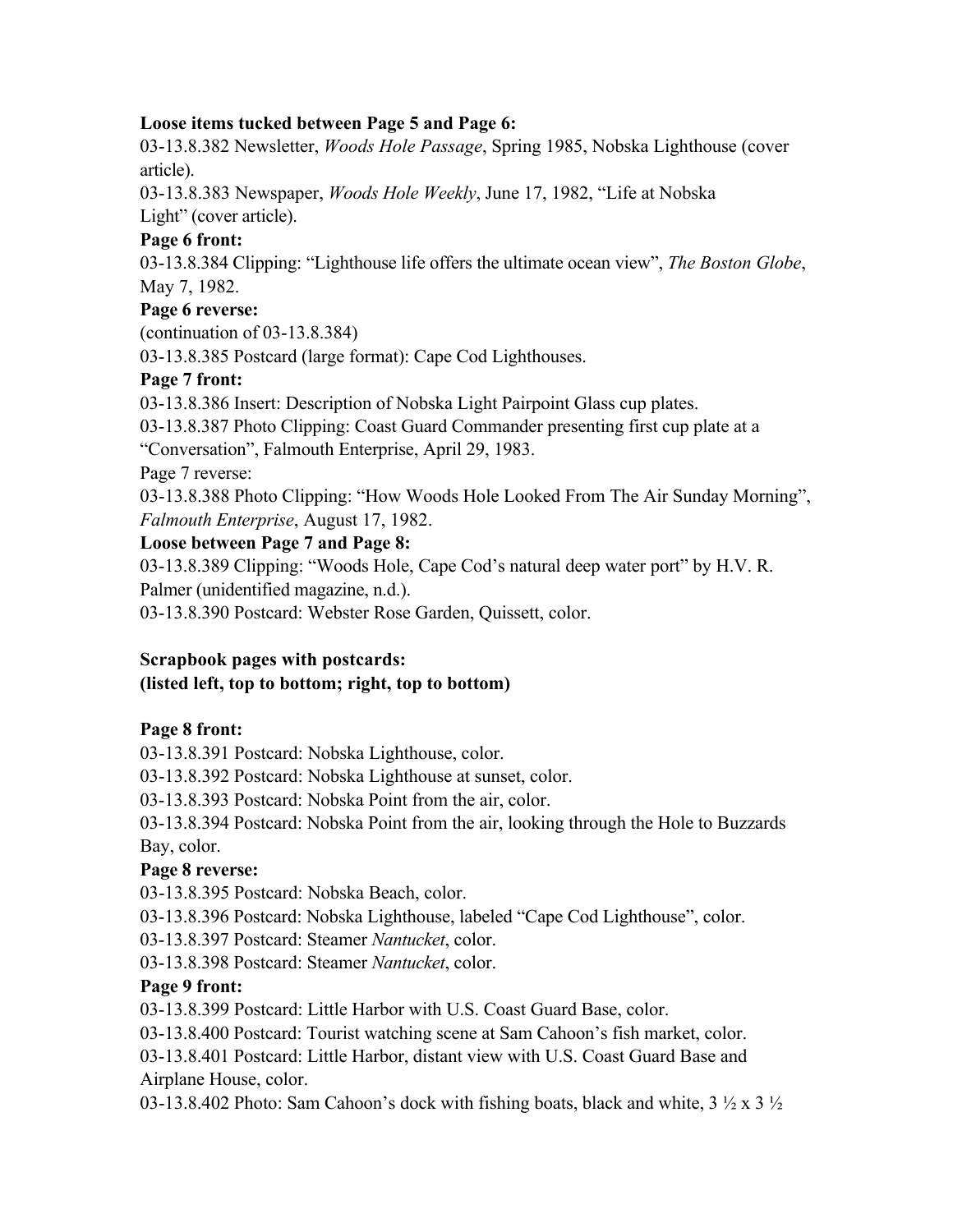#### **Loose items tucked between Page 5 and Page 6:**

03-13.8.382 Newsletter, *Woods Hole Passage*, Spring 1985, Nobska Lighthouse (cover article).

03-13.8.383 Newspaper, *Woods Hole Weekly*, June 17, 1982, "Life at Nobska Light" (cover article).

# **Page 6 front:**

03-13.8.384 Clipping: "Lighthouse life offers the ultimate ocean view", *The Boston Globe*, May 7, 1982.

#### **Page 6 reverse:**

(continuation of 03-13.8.384)

03-13.8.385 Postcard (large format): Cape Cod Lighthouses.

## **Page 7 front:**

03-13.8.386 Insert: Description of Nobska Light Pairpoint Glass cup plates.

03-13.8.387 Photo Clipping: Coast Guard Commander presenting first cup plate at a "Conversation", Falmouth Enterprise, April 29, 1983.

Page 7 reverse:

03-13.8.388 Photo Clipping: "How Woods Hole Looked From The Air Sunday Morning", *Falmouth Enterprise*, August 17, 1982.

#### **Loose between Page 7 and Page 8:**

03-13.8.389 Clipping: "Woods Hole, Cape Cod's natural deep water port" by H.V. R. Palmer (unidentified magazine, n.d.).

03-13.8.390 Postcard: Webster Rose Garden, Quissett, color.

## **Scrapbook pages with postcards:**

## **(listed left, top to bottom; right, top to bottom)**

## **Page 8 front:**

03-13.8.391 Postcard: Nobska Lighthouse, color.

03-13.8.392 Postcard: Nobska Lighthouse at sunset, color.

03-13.8.393 Postcard: Nobska Point from the air, color.

03-13.8.394 Postcard: Nobska Point from the air, looking through the Hole to Buzzards Bay, color.

#### **Page 8 reverse:**

03-13.8.395 Postcard: Nobska Beach, color.

03-13.8.396 Postcard: Nobska Lighthouse, labeled "Cape Cod Lighthouse", color.

03-13.8.397 Postcard: Steamer *Nantucket*, color.

03-13.8.398 Postcard: Steamer *Nantucket*, color.

## **Page 9 front:**

03-13.8.399 Postcard: Little Harbor with U.S. Coast Guard Base, color.

03-13.8.400 Postcard: Tourist watching scene at Sam Cahoon's fish market, color.

03-13.8.401 Postcard: Little Harbor, distant view with U.S. Coast Guard Base and Airplane House, color.

03-13.8.402 Photo: Sam Cahoon's dock with fishing boats, black and white,  $3\frac{1}{2} \times 3\frac{1}{2}$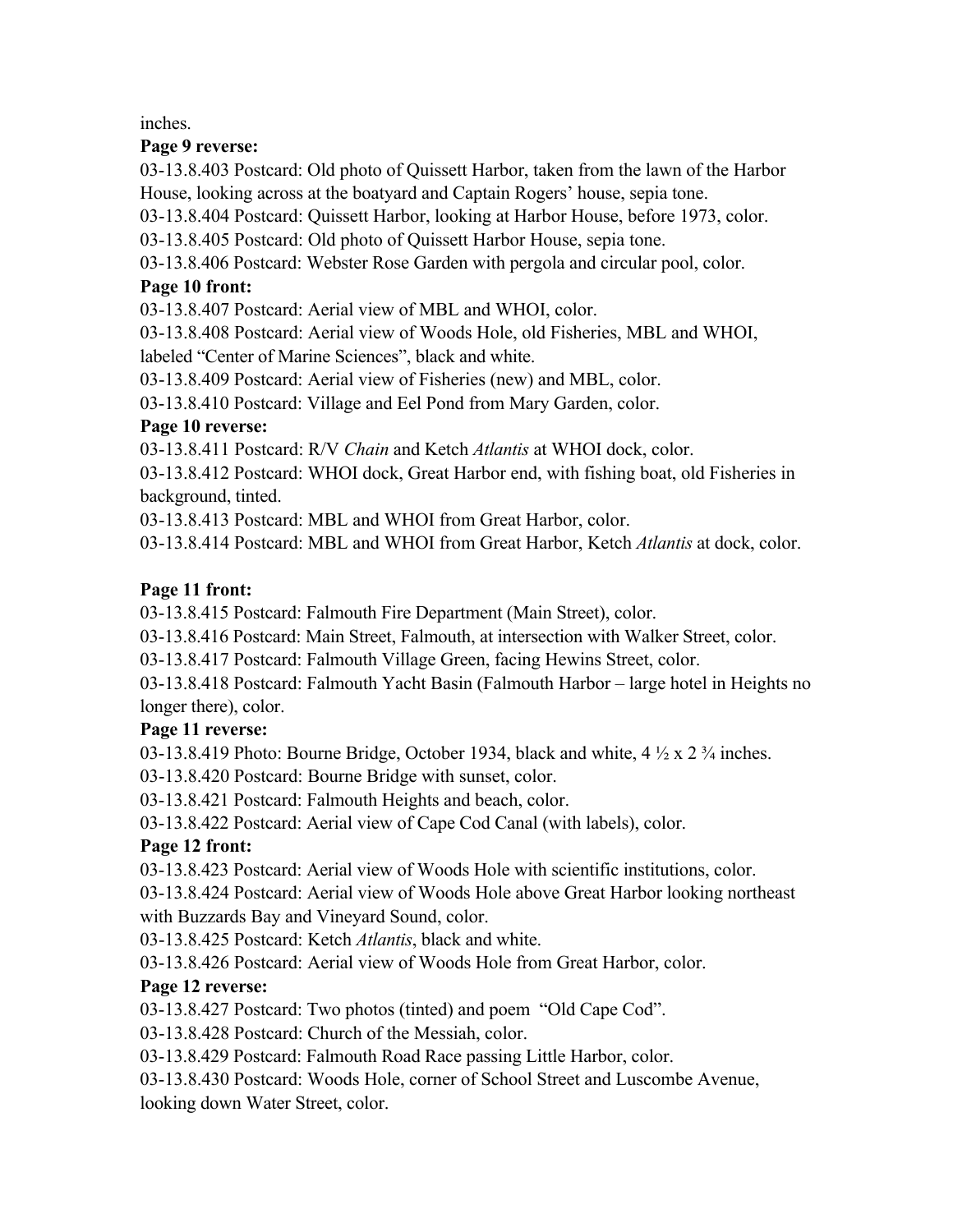inches.

#### **Page 9 reverse:**

03-13.8.403 Postcard: Old photo of Quissett Harbor, taken from the lawn of the Harbor House, looking across at the boatyard and Captain Rogers' house, sepia tone.

03-13.8.404 Postcard: Quissett Harbor, looking at Harbor House, before 1973, color.

03-13.8.405 Postcard: Old photo of Quissett Harbor House, sepia tone.

03-13.8.406 Postcard: Webster Rose Garden with pergola and circular pool, color.

## **Page 10 front:**

03-13.8.407 Postcard: Aerial view of MBL and WHOI, color.

03-13.8.408 Postcard: Aerial view of Woods Hole, old Fisheries, MBL and WHOI, labeled "Center of Marine Sciences", black and white.

03-13.8.409 Postcard: Aerial view of Fisheries (new) and MBL, color.

03-13.8.410 Postcard: Village and Eel Pond from Mary Garden, color.

## **Page 10 reverse:**

03-13.8.411 Postcard: R/V *Chain* and Ketch *Atlantis* at WHOI dock, color.

03-13.8.412 Postcard: WHOI dock, Great Harbor end, with fishing boat, old Fisheries in background, tinted.

03-13.8.413 Postcard: MBL and WHOI from Great Harbor, color.

03-13.8.414 Postcard: MBL and WHOI from Great Harbor, Ketch *Atlantis* at dock, color.

## **Page 11 front:**

03-13.8.415 Postcard: Falmouth Fire Department (Main Street), color.

03-13.8.416 Postcard: Main Street, Falmouth, at intersection with Walker Street, color.

03-13.8.417 Postcard: Falmouth Village Green, facing Hewins Street, color.

03-13.8.418 Postcard: Falmouth Yacht Basin (Falmouth Harbor – large hotel in Heights no longer there), color.

## **Page 11 reverse:**

03-13.8.419 Photo: Bourne Bridge, October 1934, black and white,  $4 \frac{1}{2} \times 2 \frac{3}{4}$  inches.

03-13.8.420 Postcard: Bourne Bridge with sunset, color.

03-13.8.421 Postcard: Falmouth Heights and beach, color.

03-13.8.422 Postcard: Aerial view of Cape Cod Canal (with labels), color.

# **Page 12 front:**

03-13.8.423 Postcard: Aerial view of Woods Hole with scientific institutions, color.

03-13.8.424 Postcard: Aerial view of Woods Hole above Great Harbor looking northeast with Buzzards Bay and Vineyard Sound, color.

03-13.8.425 Postcard: Ketch *Atlantis*, black and white.

03-13.8.426 Postcard: Aerial view of Woods Hole from Great Harbor, color.

# **Page 12 reverse:**

03-13.8.427 Postcard: Two photos (tinted) and poem "Old Cape Cod".

03-13.8.428 Postcard: Church of the Messiah, color.

03-13.8.429 Postcard: Falmouth Road Race passing Little Harbor, color.

03-13.8.430 Postcard: Woods Hole, corner of School Street and Luscombe Avenue, looking down Water Street, color.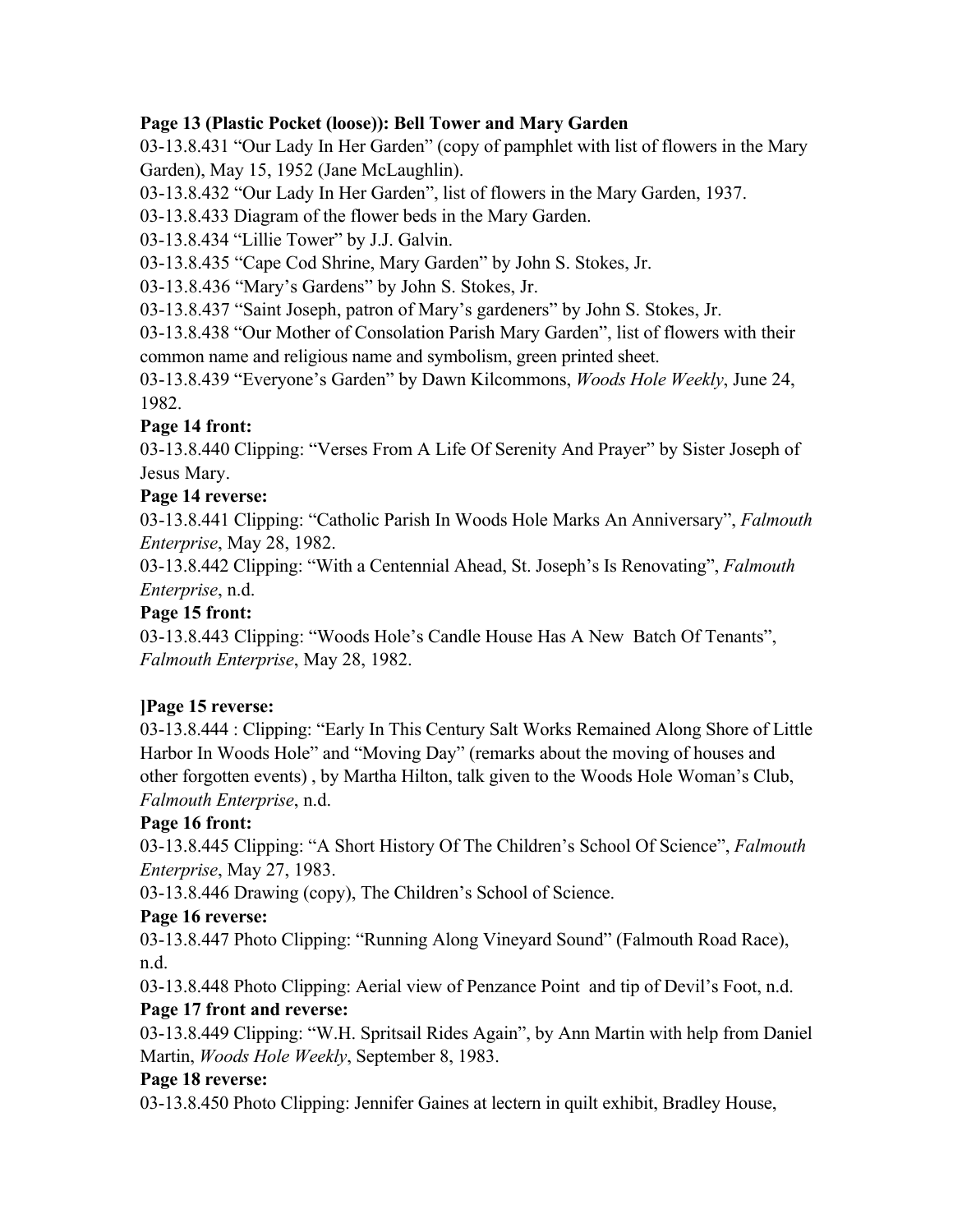## **Page 13 (Plastic Pocket (loose)): Bell Tower and Mary Garden**

03-13.8.431 "Our Lady In Her Garden" (copy of pamphlet with list of flowers in the Mary Garden), May 15, 1952 (Jane McLaughlin).

03-13.8.432 "Our Lady In Her Garden", list of flowers in the Mary Garden, 1937.

03-13.8.433 Diagram of the flower beds in the Mary Garden.

03-13.8.434 "Lillie Tower" by J.J. Galvin.

03-13.8.435 "Cape Cod Shrine, Mary Garden" by John S. Stokes, Jr.

03-13.8.436 "Mary's Gardens" by John S. Stokes, Jr.

03-13.8.437 "Saint Joseph, patron of Mary's gardeners" by John S. Stokes, Jr.

03-13.8.438 "Our Mother of Consolation Parish Mary Garden", list of flowers with their common name and religious name and symbolism, green printed sheet.

03-13.8.439 "Everyone's Garden" by Dawn Kilcommons, *Woods Hole Weekly*, June 24, 1982.

#### **Page 14 front:**

03-13.8.440 Clipping: "Verses From A Life Of Serenity And Prayer" by Sister Joseph of Jesus Mary.

#### **Page 14 reverse:**

03-13.8.441 Clipping: "Catholic Parish In Woods Hole Marks An Anniversary", *Falmouth Enterprise*, May 28, 1982.

03-13.8.442 Clipping: "With a Centennial Ahead, St. Joseph's Is Renovating", *Falmouth Enterprise*, n.d.

#### **Page 15 front:**

03-13.8.443 Clipping: "Woods Hole's Candle House Has A New Batch Of Tenants", *Falmouth Enterprise*, May 28, 1982.

## **]Page 15 reverse:**

03-13.8.444 : Clipping: "Early In This Century Salt Works Remained Along Shore of Little Harbor In Woods Hole" and "Moving Day" (remarks about the moving of houses and other forgotten events) , by Martha Hilton, talk given to the Woods Hole Woman's Club, *Falmouth Enterprise*, n.d.

## **Page 16 front:**

03-13.8.445 Clipping: "A Short History Of The Children's School Of Science", *Falmouth Enterprise*, May 27, 1983.

03-13.8.446 Drawing (copy), The Children's School of Science.

## **Page 16 reverse:**

03-13.8.447 Photo Clipping: "Running Along Vineyard Sound" (Falmouth Road Race), n.d.

03-13.8.448 Photo Clipping: Aerial view of Penzance Point and tip of Devil's Foot, n.d. **Page 17 front and reverse:**

03-13.8.449 Clipping: "W.H. Spritsail Rides Again", by Ann Martin with help from Daniel Martin, *Woods Hole Weekly*, September 8, 1983.

## **Page 18 reverse:**

03-13.8.450 Photo Clipping: Jennifer Gaines at lectern in quilt exhibit, Bradley House,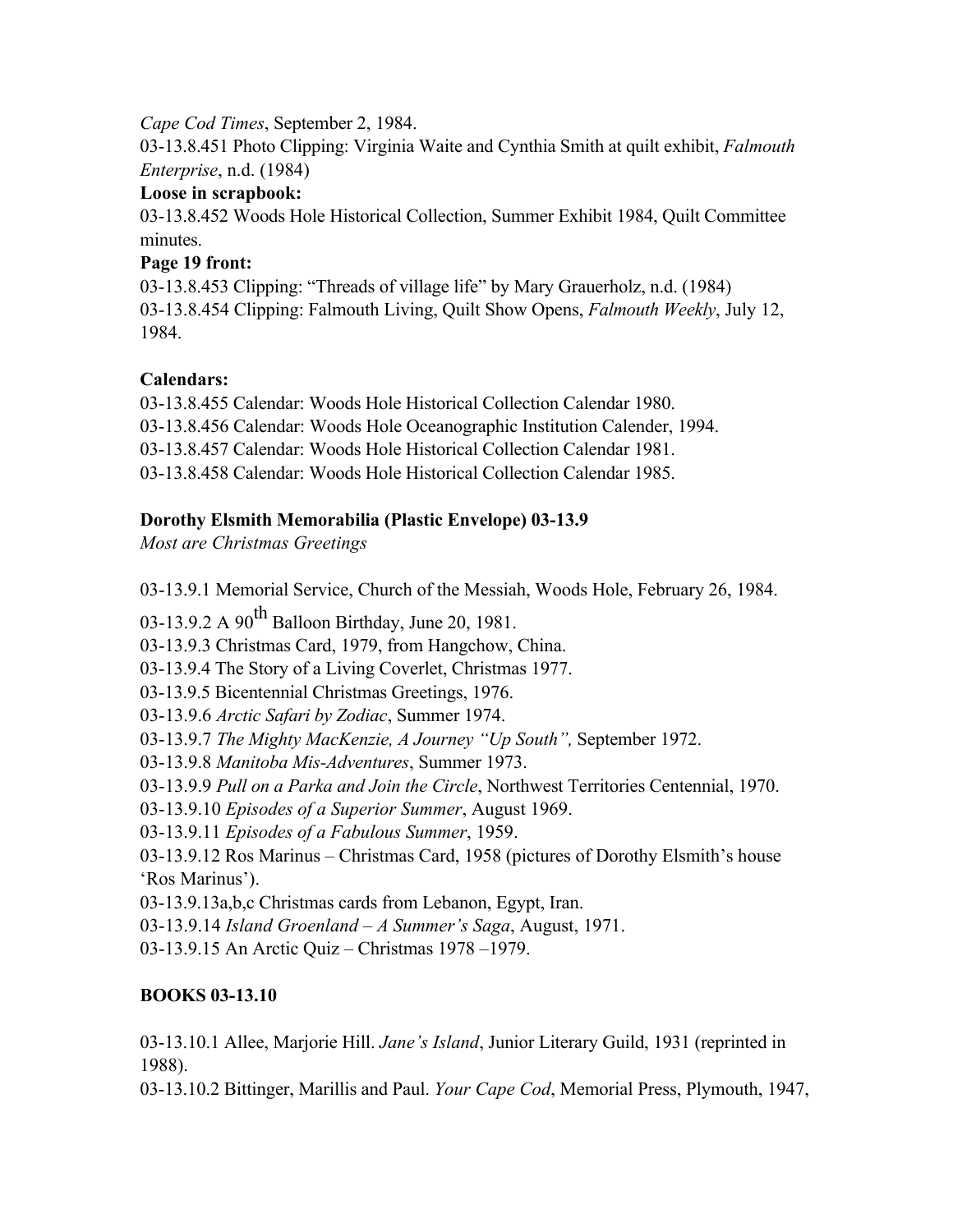#### *Cape Cod Times*, September 2, 1984.

03-13.8.451 Photo Clipping: Virginia Waite and Cynthia Smith at quilt exhibit, *Falmouth Enterprise*, n.d. (1984)

#### **Loose in scrapbook:**

03-13.8.452 Woods Hole Historical Collection, Summer Exhibit 1984, Quilt Committee minutes.

## **Page 19 front:**

03-13.8.453 Clipping: "Threads of village life" by Mary Grauerholz, n.d. (1984) 03-13.8.454 Clipping: Falmouth Living, Quilt Show Opens, *Falmouth Weekly*, July 12, 1984.

## **Calendars:**

03-13.8.455 Calendar: Woods Hole Historical Collection Calendar 1980. 03-13.8.456 Calendar: Woods Hole Oceanographic Institution Calender, 1994. 03-13.8.457 Calendar: Woods Hole Historical Collection Calendar 1981. 03-13.8.458 Calendar: Woods Hole Historical Collection Calendar 1985.

## **Dorothy Elsmith Memorabilia (Plastic Envelope) 03-13.9**

*Most are Christmas Greetings*

03-13.9.1 Memorial Service, Church of the Messiah, Woods Hole, February 26, 1984.

03-13.9.2 A 90<sup>th</sup> Balloon Birthday, June 20, 1981.

03-13.9.3 Christmas Card, 1979, from Hangchow, China.

03-13.9.4 The Story of a Living Coverlet, Christmas 1977.

- 03-13.9.5 Bicentennial Christmas Greetings, 1976.
- 03-13.9.6 *Arctic Safari by Zodiac*, Summer 1974.
- 03-13.9.7 *The Mighty MacKenzie, A Journey "Up South",* September 1972.
- 03-13.9.8 *Manitoba Mis-Adventures*, Summer 1973.
- 03-13.9.9 *Pull on a Parka and Join the Circle*, Northwest Territories Centennial, 1970.
- 03-13.9.10 *Episodes of a Superior Summer*, August 1969.
- 03-13.9.11 *Episodes of a Fabulous Summer*, 1959.
- 03-13.9.12 Ros Marinus Christmas Card, 1958 (pictures of Dorothy Elsmith's house 'Ros Marinus').

03-13.9.13a,b,c Christmas cards from Lebanon, Egypt, Iran.

03-13.9.14 *Island Groenland – A Summer's Saga*, August, 1971.

03-13.9.15 An Arctic Quiz – Christmas 1978 –1979.

# **BOOKS 03-13.10**

03-13.10.1 Allee, Marjorie Hill. *Jane's Island*, Junior Literary Guild, 1931 (reprinted in 1988).

03-13.10.2 Bittinger, Marillis and Paul. *Your Cape Cod*, Memorial Press, Plymouth, 1947,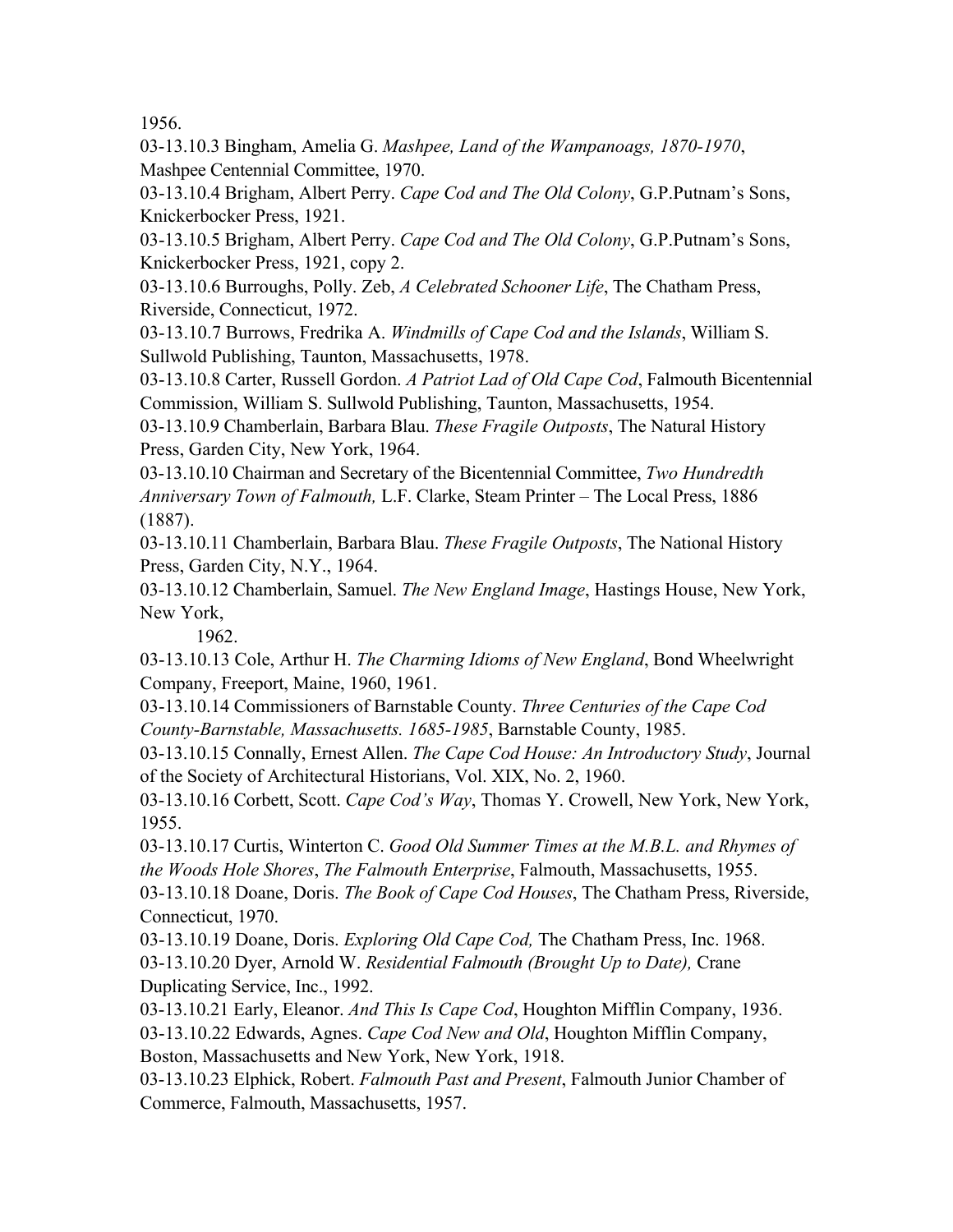1956.

03-13.10.3 Bingham, Amelia G. *Mashpee, Land of the Wampanoags, 1870-1970*, Mashpee Centennial Committee, 1970.

03-13.10.4 Brigham, Albert Perry. *Cape Cod and The Old Colony*, G.P.Putnam's Sons, Knickerbocker Press, 1921.

03-13.10.5 Brigham, Albert Perry. *Cape Cod and The Old Colony*, G.P.Putnam's Sons, Knickerbocker Press, 1921, copy 2.

03-13.10.6 Burroughs, Polly. Zeb, *A Celebrated Schooner Life*, The Chatham Press, Riverside, Connecticut, 1972.

03-13.10.7 Burrows, Fredrika A. *Windmills of Cape Cod and the Islands*, William S. Sullwold Publishing, Taunton, Massachusetts, 1978.

03-13.10.8 Carter, Russell Gordon. *A Patriot Lad of Old Cape Cod*, Falmouth Bicentennial Commission, William S. Sullwold Publishing, Taunton, Massachusetts, 1954.

03-13.10.9 Chamberlain, Barbara Blau. *These Fragile Outposts*, The Natural History Press, Garden City, New York, 1964.

03-13.10.10 Chairman and Secretary of the Bicentennial Committee, *Two Hundredth Anniversary Town of Falmouth,* L.F. Clarke, Steam Printer – The Local Press, 1886 (1887).

03-13.10.11 Chamberlain, Barbara Blau. *These Fragile Outposts*, The National History Press, Garden City, N.Y., 1964.

03-13.10.12 Chamberlain, Samuel. *The New England Image*, Hastings House, New York, New York,

1962.

03-13.10.13 Cole, Arthur H. *The Charming Idioms of New England*, Bond Wheelwright Company, Freeport, Maine, 1960, 1961.

03-13.10.14 Commissioners of Barnstable County. *Three Centuries of the Cape Cod County-Barnstable, Massachusetts. 1685-1985*, Barnstable County, 1985.

03-13.10.15 Connally, Ernest Allen. *The Cape Cod House: An Introductory Study*, Journal of the Society of Architectural Historians, Vol. XIX, No. 2, 1960.

03-13.10.16 Corbett, Scott. *Cape Cod's Way*, Thomas Y. Crowell, New York, New York, 1955.

03-13.10.17 Curtis, Winterton C. *Good Old Summer Times at the M.B.L. and Rhymes of the Woods Hole Shores*, *The Falmouth Enterprise*, Falmouth, Massachusetts, 1955.

03-13.10.18 Doane, Doris. *The Book of Cape Cod Houses*, The Chatham Press, Riverside, Connecticut, 1970.

03-13.10.19 Doane, Doris. *Exploring Old Cape Cod,* The Chatham Press, Inc. 1968. 03-13.10.20 Dyer, Arnold W. *Residential Falmouth (Brought Up to Date),* Crane Duplicating Service, Inc., 1992.

03-13.10.21 Early, Eleanor. *And This Is Cape Cod*, Houghton Mifflin Company, 1936. 03-13.10.22 Edwards, Agnes. *Cape Cod New and Old*, Houghton Mifflin Company, Boston, Massachusetts and New York, New York, 1918.

03-13.10.23 Elphick, Robert. *Falmouth Past and Present*, Falmouth Junior Chamber of Commerce, Falmouth, Massachusetts, 1957.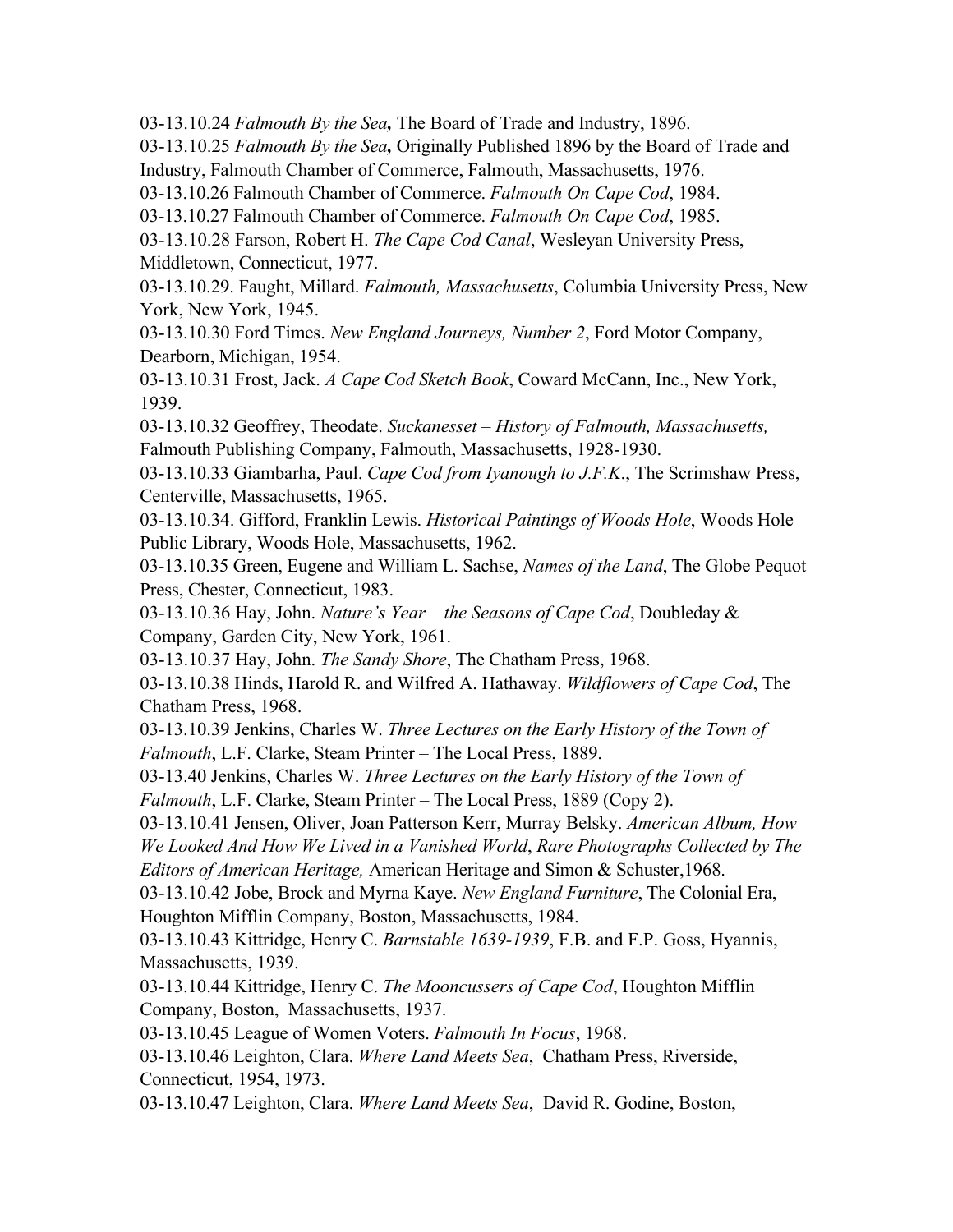03-13.10.24 *Falmouth By the Sea,* The Board of Trade and Industry, 1896.

03-13.10.25 *Falmouth By the Sea,* Originally Published 1896 by the Board of Trade and Industry, Falmouth Chamber of Commerce, Falmouth, Massachusetts, 1976.

03-13.10.26 Falmouth Chamber of Commerce. *Falmouth On Cape Cod*, 1984.

03-13.10.27 Falmouth Chamber of Commerce. *Falmouth On Cape Cod*, 1985.

03-13.10.28 Farson, Robert H. *The Cape Cod Canal*, Wesleyan University Press, Middletown, Connecticut, 1977.

03-13.10.29. Faught, Millard. *Falmouth, Massachusetts*, Columbia University Press, New York, New York, 1945.

03-13.10.30 Ford Times. *New England Journeys, Number 2*, Ford Motor Company, Dearborn, Michigan, 1954.

03-13.10.31 Frost, Jack. *A Cape Cod Sketch Book*, Coward McCann, Inc., New York, 1939.

03-13.10.32 Geoffrey, Theodate. *Suckanesset – History of Falmouth, Massachusetts,* Falmouth Publishing Company, Falmouth, Massachusetts, 1928-1930.

03-13.10.33 Giambarha, Paul. *Cape Cod from Iyanough to J.F.K*., The Scrimshaw Press, Centerville, Massachusetts, 1965.

03-13.10.34. Gifford, Franklin Lewis. *Historical Paintings of Woods Hole*, Woods Hole Public Library, Woods Hole, Massachusetts, 1962.

03-13.10.35 Green, Eugene and William L. Sachse, *Names of the Land*, The Globe Pequot Press, Chester, Connecticut, 1983.

03-13.10.36 Hay, John. *Nature's Year – the Seasons of Cape Cod*, Doubleday & Company, Garden City, New York, 1961.

03-13.10.37 Hay, John. *The Sandy Shore*, The Chatham Press, 1968.

03-13.10.38 Hinds, Harold R. and Wilfred A. Hathaway. *Wildflowers of Cape Cod*, The Chatham Press, 1968.

03-13.10.39 Jenkins, Charles W. *Three Lectures on the Early History of the Town of Falmouth*, L.F. Clarke, Steam Printer – The Local Press, 1889.

03-13.40 Jenkins, Charles W. *Three Lectures on the Early History of the Town of Falmouth*, L.F. Clarke, Steam Printer – The Local Press, 1889 (Copy 2).

03-13.10.41 Jensen, Oliver, Joan Patterson Kerr, Murray Belsky. *American Album, How We Looked And How We Lived in a Vanished World*, *Rare Photographs Collected by The Editors of American Heritage,* American Heritage and Simon & Schuster,1968.

03-13.10.42 Jobe, Brock and Myrna Kaye. *New England Furniture*, The Colonial Era, Houghton Mifflin Company, Boston, Massachusetts, 1984.

03-13.10.43 Kittridge, Henry C. *Barnstable 1639-1939*, F.B. and F.P. Goss, Hyannis, Massachusetts, 1939.

03-13.10.44 Kittridge, Henry C. *The Mooncussers of Cape Cod*, Houghton Mifflin Company, Boston, Massachusetts, 1937.

03-13.10.45 League of Women Voters. *Falmouth In Focus*, 1968.

03-13.10.46 Leighton, Clara. *Where Land Meets Sea*, Chatham Press, Riverside, Connecticut, 1954, 1973.

03-13.10.47 Leighton, Clara. *Where Land Meets Sea*, David R. Godine, Boston,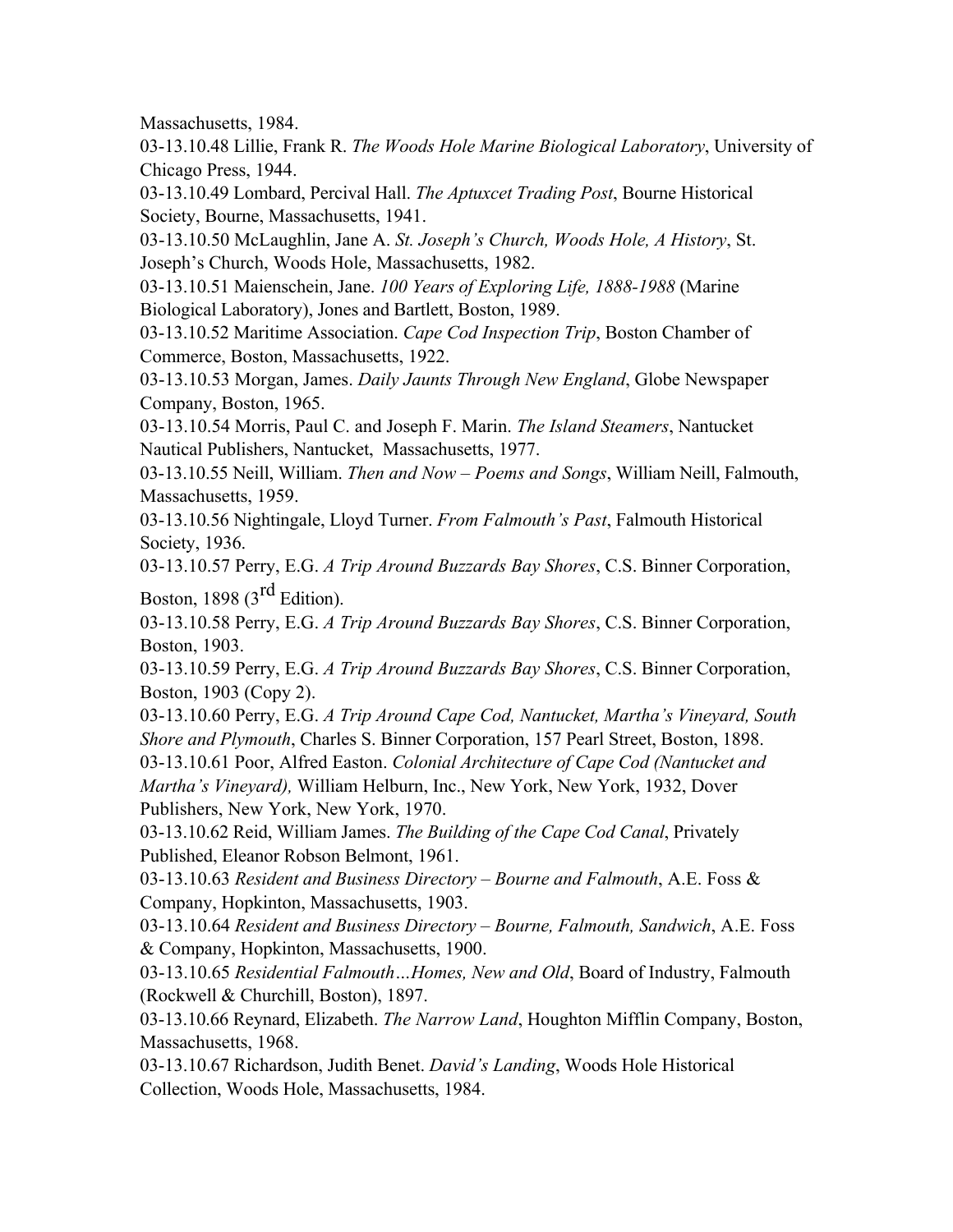Massachusetts, 1984.

03-13.10.48 Lillie, Frank R. *The Woods Hole Marine Biological Laboratory*, University of Chicago Press, 1944.

03-13.10.49 Lombard, Percival Hall. *The Aptuxcet Trading Post*, Bourne Historical Society, Bourne, Massachusetts, 1941.

03-13.10.50 McLaughlin, Jane A. *St. Joseph's Church, Woods Hole, A History*, St. Joseph's Church, Woods Hole, Massachusetts, 1982.

03-13.10.51 Maienschein, Jane. *100 Years of Exploring Life, 1888-1988* (Marine Biological Laboratory), Jones and Bartlett, Boston, 1989.

03-13.10.52 Maritime Association. *Cape Cod Inspection Trip*, Boston Chamber of Commerce, Boston, Massachusetts, 1922.

03-13.10.53 Morgan, James. *Daily Jaunts Through New England*, Globe Newspaper Company, Boston, 1965.

03-13.10.54 Morris, Paul C. and Joseph F. Marin. *The Island Steamers*, Nantucket Nautical Publishers, Nantucket, Massachusetts, 1977.

03-13.10.55 Neill, William. *Then and Now – Poems and Songs*, William Neill, Falmouth, Massachusetts, 1959.

03-13.10.56 Nightingale, Lloyd Turner. *From Falmouth's Past*, Falmouth Historical Society, 1936.

03-13.10.57 Perry, E.G. *A Trip Around Buzzards Bay Shores*, C.S. Binner Corporation,

Boston, 1898  $(3<sup>rd</sup> Edition)$ .

03-13.10.58 Perry, E.G. *A Trip Around Buzzards Bay Shores*, C.S. Binner Corporation, Boston, 1903.

03-13.10.59 Perry, E.G. *A Trip Around Buzzards Bay Shores*, C.S. Binner Corporation, Boston, 1903 (Copy 2).

03-13.10.60 Perry, E.G. *A Trip Around Cape Cod, Nantucket, Martha's Vineyard, South Shore and Plymouth*, Charles S. Binner Corporation, 157 Pearl Street, Boston, 1898.

03-13.10.61 Poor, Alfred Easton. *Colonial Architecture of Cape Cod (Nantucket and Martha's Vineyard),* William Helburn, Inc., New York, New York, 1932, Dover Publishers, New York, New York, 1970.

03-13.10.62 Reid, William James. *The Building of the Cape Cod Canal*, Privately Published, Eleanor Robson Belmont, 1961.

03-13.10.63 *Resident and Business Directory – Bourne and Falmouth*, A.E. Foss & Company, Hopkinton, Massachusetts, 1903.

03-13.10.64 *Resident and Business Directory – Bourne, Falmouth, Sandwich*, A.E. Foss & Company, Hopkinton, Massachusetts, 1900.

03-13.10.65 *Residential Falmouth…Homes, New and Old*, Board of Industry, Falmouth (Rockwell & Churchill, Boston), 1897.

03-13.10.66 Reynard, Elizabeth. *The Narrow Land*, Houghton Mifflin Company, Boston, Massachusetts, 1968.

03-13.10.67 Richardson, Judith Benet. *David's Landing*, Woods Hole Historical Collection, Woods Hole, Massachusetts, 1984.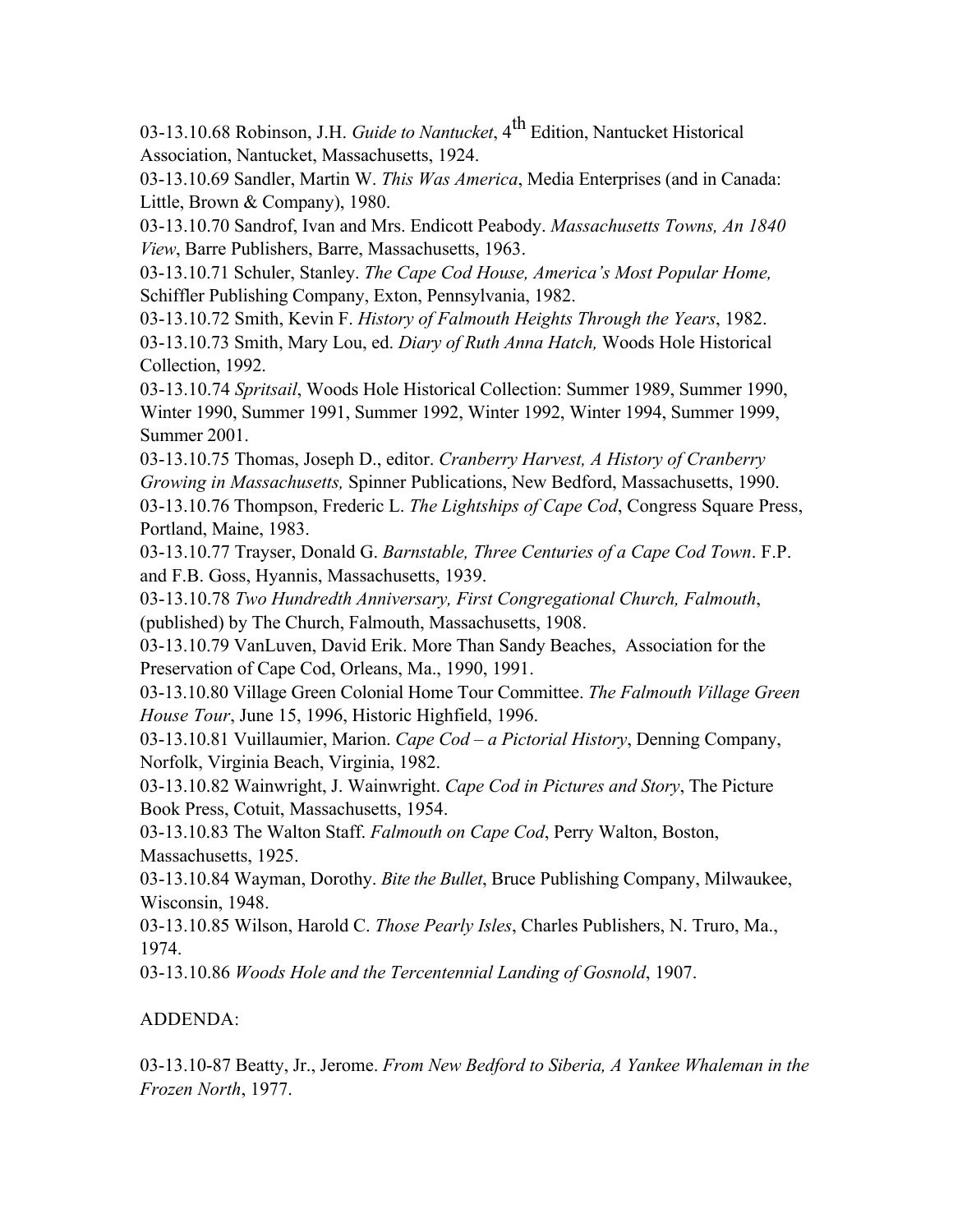03-13.10.68 Robinson, J.H. *Guide to Nantucket*, 4th Edition, Nantucket Historical Association, Nantucket, Massachusetts, 1924.

03-13.10.69 Sandler, Martin W. *This Was America*, Media Enterprises (and in Canada: Little, Brown & Company), 1980.

03-13.10.70 Sandrof, Ivan and Mrs. Endicott Peabody. *Massachusetts Towns, An 1840 View*, Barre Publishers, Barre, Massachusetts, 1963.

03-13.10.71 Schuler, Stanley. *The Cape Cod House, America's Most Popular Home,* Schiffler Publishing Company, Exton, Pennsylvania, 1982.

03-13.10.72 Smith, Kevin F. *History of Falmouth Heights Through the Years*, 1982. 03-13.10.73 Smith, Mary Lou, ed. *Diary of Ruth Anna Hatch,* Woods Hole Historical Collection, 1992.

03-13.10.74 *Spritsail*, Woods Hole Historical Collection: Summer 1989, Summer 1990, Winter 1990, Summer 1991, Summer 1992, Winter 1992, Winter 1994, Summer 1999, Summer 2001.

03-13.10.75 Thomas, Joseph D., editor. *Cranberry Harvest, A History of Cranberry Growing in Massachusetts,* Spinner Publications, New Bedford, Massachusetts, 1990. 03-13.10.76 Thompson, Frederic L. *The Lightships of Cape Cod*, Congress Square Press, Portland, Maine, 1983.

03-13.10.77 Trayser, Donald G. *Barnstable, Three Centuries of a Cape Cod Town*. F.P. and F.B. Goss, Hyannis, Massachusetts, 1939.

03-13.10.78 *Two Hundredth Anniversary, First Congregational Church, Falmouth*, (published) by The Church, Falmouth, Massachusetts, 1908.

03-13.10.79 VanLuven, David Erik. More Than Sandy Beaches, Association for the Preservation of Cape Cod, Orleans, Ma., 1990, 1991.

03-13.10.80 Village Green Colonial Home Tour Committee. *The Falmouth Village Green House Tour*, June 15, 1996, Historic Highfield, 1996.

03-13.10.81 Vuillaumier, Marion. *Cape Cod – a Pictorial History*, Denning Company, Norfolk, Virginia Beach, Virginia, 1982.

03-13.10.82 Wainwright, J. Wainwright. *Cape Cod in Pictures and Story*, The Picture Book Press, Cotuit, Massachusetts, 1954.

03-13.10.83 The Walton Staff. *Falmouth on Cape Cod*, Perry Walton, Boston, Massachusetts, 1925.

03-13.10.84 Wayman, Dorothy. *Bite the Bullet*, Bruce Publishing Company, Milwaukee, Wisconsin, 1948.

03-13.10.85 Wilson, Harold C. *Those Pearly Isles*, Charles Publishers, N. Truro, Ma., 1974.

03-13.10.86 *Woods Hole and the Tercentennial Landing of Gosnold*, 1907.

## ADDENDA:

03-13.10-87 Beatty, Jr., Jerome. *From New Bedford to Siberia, A Yankee Whaleman in the Frozen North*, 1977.